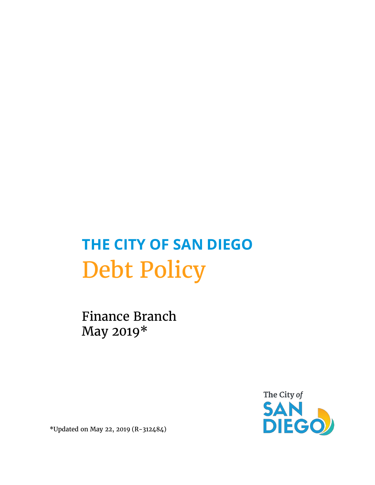# **THE CITY OF SAN DIEGO** Debt Policy

Finance Branch May 2019\*



\*Updated on May 22, 2019 (R-312484)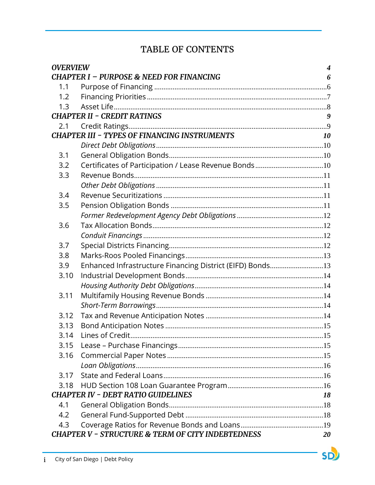# TABLE OF CONTENTS

| <b>OVERVIEW</b>                                                    |                                                           |           |  |
|--------------------------------------------------------------------|-----------------------------------------------------------|-----------|--|
|                                                                    | <b>CHAPTER I - PURPOSE &amp; NEED FOR FINANCING</b>       | 6         |  |
| 1.1                                                                |                                                           |           |  |
| 1.2                                                                |                                                           |           |  |
| 1.3                                                                |                                                           |           |  |
| <b>CHAPTER II - CREDIT RATINGS</b>                                 |                                                           |           |  |
| 2.1                                                                |                                                           |           |  |
|                                                                    | <b>CHAPTER III - TYPES OF FINANCING INSTRUMENTS</b>       | <i>10</i> |  |
|                                                                    |                                                           |           |  |
| 3.1                                                                |                                                           |           |  |
| 3.2                                                                | Certificates of Participation / Lease Revenue Bonds10     |           |  |
| 3.3                                                                |                                                           |           |  |
|                                                                    |                                                           |           |  |
| 3.4                                                                |                                                           |           |  |
| 3.5                                                                |                                                           |           |  |
|                                                                    |                                                           |           |  |
| 3.6                                                                |                                                           |           |  |
|                                                                    |                                                           |           |  |
| 3.7                                                                |                                                           |           |  |
| 3.8                                                                |                                                           |           |  |
| 3.9                                                                | Enhanced Infrastructure Financing District (EIFD) Bonds13 |           |  |
| 3.10                                                               |                                                           |           |  |
|                                                                    |                                                           |           |  |
| 3.11                                                               |                                                           |           |  |
|                                                                    |                                                           |           |  |
| 3.12                                                               |                                                           |           |  |
| 3.13                                                               |                                                           |           |  |
| 3.14                                                               |                                                           |           |  |
| 3.15                                                               |                                                           |           |  |
| 3.16                                                               |                                                           |           |  |
|                                                                    |                                                           |           |  |
| 3.17                                                               |                                                           |           |  |
| 3.18                                                               |                                                           |           |  |
|                                                                    | <b>CHAPTER IV - DEBT RATIO GUIDELINES</b>                 | 18        |  |
| 4.1                                                                |                                                           |           |  |
| 4.2                                                                |                                                           |           |  |
| 4.3                                                                |                                                           |           |  |
| <b>CHAPTER V - STRUCTURE &amp; TERM OF CITY INDEBTEDNESS</b><br>20 |                                                           |           |  |

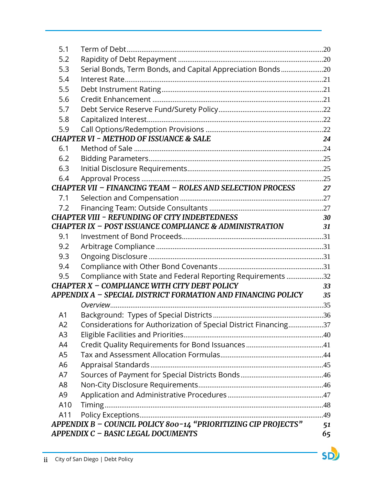| 5.1                                            |                                                                                                              |    |  |
|------------------------------------------------|--------------------------------------------------------------------------------------------------------------|----|--|
| 5.2                                            |                                                                                                              |    |  |
| 5.3                                            | Serial Bonds, Term Bonds, and Capital Appreciation Bonds20                                                   |    |  |
| 5.4                                            |                                                                                                              |    |  |
| 5.5                                            |                                                                                                              |    |  |
| 5.6                                            |                                                                                                              |    |  |
| 5.7                                            |                                                                                                              |    |  |
| 5.8                                            |                                                                                                              |    |  |
| 5.9                                            |                                                                                                              |    |  |
|                                                | <b>CHAPTER VI - METHOD OF ISSUANCE &amp; SALE</b>                                                            | 24 |  |
| 6.1                                            |                                                                                                              |    |  |
| 6.2                                            |                                                                                                              |    |  |
| 6.3                                            |                                                                                                              |    |  |
| 6.4                                            |                                                                                                              |    |  |
|                                                | <b>CHAPTER VII - FINANCING TEAM - ROLES AND SELECTION PROCESS</b>                                            | 27 |  |
| 7.1                                            |                                                                                                              |    |  |
| 7.2                                            |                                                                                                              |    |  |
|                                                | <b>CHAPTER VIII - REFUNDING OF CITY INDEBTEDNESS</b>                                                         | 30 |  |
|                                                | CHAPTER IX - POST ISSUANCE COMPLIANCE & ADMINISTRATION                                                       | 31 |  |
| 9.1                                            |                                                                                                              |    |  |
| 9.2                                            |                                                                                                              |    |  |
| 9.3                                            |                                                                                                              |    |  |
| 9.4                                            |                                                                                                              |    |  |
| 9.5                                            | Compliance with State and Federal Reporting Requirements 32                                                  |    |  |
|                                                | CHAPTER X - COMPLIANCE WITH CITY DEBT POLICY<br>APPENDIX A - SPECIAL DISTRICT FORMATION AND FINANCING POLICY | 33 |  |
|                                                | Overview                                                                                                     | 35 |  |
|                                                |                                                                                                              |    |  |
| A <sub>1</sub><br>A2                           |                                                                                                              |    |  |
| A <sub>3</sub>                                 | Considerations for Authorization of Special District Financing37                                             |    |  |
| A4                                             |                                                                                                              |    |  |
| A <sub>5</sub>                                 |                                                                                                              |    |  |
| A <sub>6</sub>                                 |                                                                                                              |    |  |
| A7                                             |                                                                                                              |    |  |
| A <sub>8</sub>                                 |                                                                                                              |    |  |
| A <sub>9</sub>                                 |                                                                                                              |    |  |
| A10                                            |                                                                                                              |    |  |
| A11                                            |                                                                                                              |    |  |
|                                                | APPENDIX B - COUNCIL POLICY 800-14 "PRIORITIZING CIP PROJECTS"                                               |    |  |
| 51<br>APPENDIX C - BASIC LEGAL DOCUMENTS<br>65 |                                                                                                              |    |  |
|                                                |                                                                                                              |    |  |

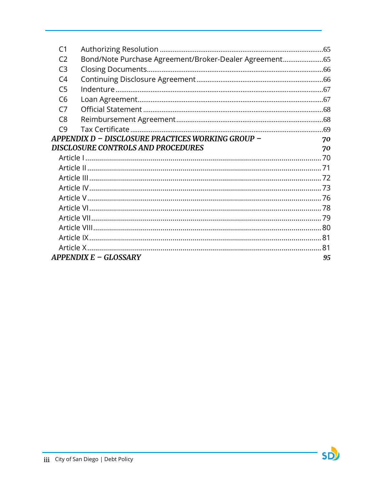| C <sub>1</sub>                                    |                                                      |    |
|---------------------------------------------------|------------------------------------------------------|----|
| C <sub>2</sub>                                    | Bond/Note Purchase Agreement/Broker-Dealer Agreement |    |
| C <sub>3</sub>                                    |                                                      |    |
| C <sub>4</sub>                                    |                                                      |    |
| C <sub>5</sub>                                    |                                                      |    |
| C <sub>6</sub>                                    |                                                      |    |
| C <sub>7</sub>                                    |                                                      |    |
| C <sub>8</sub>                                    |                                                      |    |
| C9                                                |                                                      |    |
| APPENDIX D - DISCLOSURE PRACTICES WORKING GROUP - |                                                      | 70 |
| <b>DISCLOSURE CONTROLS AND PROCEDURES</b>         |                                                      | 70 |
|                                                   |                                                      |    |
|                                                   |                                                      |    |
|                                                   |                                                      |    |
|                                                   |                                                      |    |
|                                                   |                                                      |    |
|                                                   |                                                      |    |
|                                                   |                                                      |    |
|                                                   |                                                      |    |
|                                                   |                                                      |    |
|                                                   |                                                      | 81 |
| <b>APPENDIX E - GLOSSARY</b>                      |                                                      |    |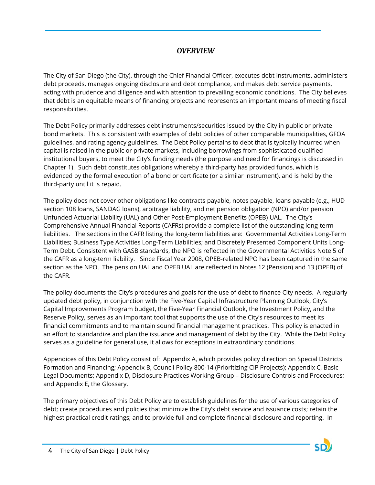# *OVERVIEW*

<span id="page-4-0"></span>The City of San Diego (the City), through the Chief Financial Officer, executes debt instruments, administers debt proceeds, manages ongoing disclosure and debt compliance, and makes debt service payments, acting with prudence and diligence and with attention to prevailing economic conditions. The City believes that debt is an equitable means of financing projects and represents an important means of meeting fiscal responsibilities.

The Debt Policy primarily addresses debt instruments/securities issued by the City in public or private bond markets. This is consistent with examples of debt policies of other comparable municipalities, GFOA guidelines, and rating agency guidelines. The Debt Policy pertains to debt that is typically incurred when capital is raised in the public or private markets, including borrowings from sophisticated qualified institutional buyers, to meet the City's funding needs (the purpose and need for financings is discussed in Chapter 1). Such debt constitutes obligations whereby a third-party has provided funds, which is evidenced by the formal execution of a bond or certificate (or a similar instrument), and is held by the third-party until it is repaid.

The policy does not cover other obligations like contracts payable, notes payable, loans payable (e.g., HUD section 108 loans, SANDAG loans), arbitrage liability, and net pension obligation (NPO) and/or pension Unfunded Actuarial Liability (UAL) and Other Post-Employment Benefits (OPEB) UAL. The City's Comprehensive Annual Financial Reports (CAFRs) provide a complete list of the outstanding long-term liabilities. The sections in the CAFR listing the long-term liabilities are: Governmental Activities Long-Term Liabilities; Business Type Activities Long-Term Liabilities; and Discretely Presented Component Units Long-Term Debt. Consistent with GASB standards, the NPO is reflected in the Governmental Activities Note 5 of the CAFR as a long-term liability. Since Fiscal Year 2008, OPEB-related NPO has been captured in the same section as the NPO. The pension UAL and OPEB UAL are reflected in Notes 12 (Pension) and 13 (OPEB) of the CAFR.

The policy documents the City's procedures and goals for the use of debt to finance City needs. A regularly updated debt policy, in conjunction with the Five-Year Capital Infrastructure Planning Outlook, City's Capital Improvements Program budget, the Five-Year Financial Outlook, the Investment Policy, and the Reserve Policy, serves as an important tool that supports the use of the City's resources to meet its financial commitments and to maintain sound financial management practices. This policy is enacted in an effort to standardize and plan the issuance and management of debt by the City. While the Debt Policy serves as a guideline for general use, it allows for exceptions in extraordinary conditions.

Appendices of this Debt Policy consist of: Appendix A, which provides policy direction on Special Districts Formation and Financing; Appendix B, Council Policy 800-14 (Prioritizing CIP Projects); Appendix C, Basic Legal Documents; Appendix D, Disclosure Practices Working Group – Disclosure Controls and Procedures; and Appendix E, the Glossary.

The primary objectives of this Debt Policy are to establish guidelines for the use of various categories of debt; create procedures and policies that minimize the City's debt service and issuance costs; retain the highest practical credit ratings; and to provide full and complete financial disclosure and reporting. In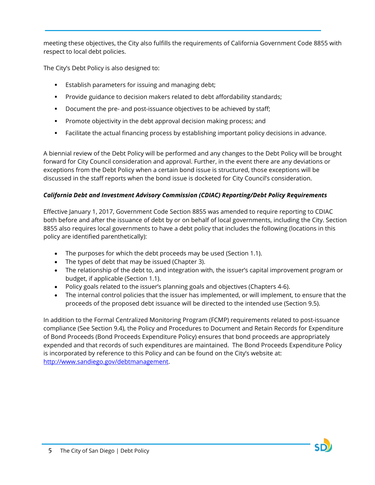meeting these objectives, the City also fulfills the requirements of California Government Code 8855 with respect to local debt policies.

The City's Debt Policy is also designed to:

- **E** Establish parameters for issuing and managing debt;
- Provide guidance to decision makers related to debt affordability standards;
- Document the pre- and post-issuance objectives to be achieved by staff;
- **Promote objectivity in the debt approval decision making process; and**
- Facilitate the actual financing process by establishing important policy decisions in advance.

A biennial review of the Debt Policy will be performed and any changes to the Debt Policy will be brought forward for City Council consideration and approval. Further, in the event there are any deviations or exceptions from the Debt Policy when a certain bond issue is structured, those exceptions will be discussed in the staff reports when the bond issue is docketed for City Council's consideration.

# *California Debt and Investment Advisory Commission (CDIAC) Reporting/Debt Policy Requirements*

Effective January 1, 2017, Government Code Section 8855 was amended to require reporting to CDIAC both before and after the issuance of debt by or on behalf of local governments, including the City. Section 8855 also requires local governments to have a debt policy that includes the following (locations in this policy are identified parenthetically):

- The purposes for which the debt proceeds may be used (Section 1.1).
- The types of debt that may be issued (Chapter 3).
- The relationship of the debt to, and integration with, the issuer's capital improvement program or budget, if applicable (Section 1.1).
- Policy goals related to the issuer's planning goals and objectives (Chapters 4-6).
- The internal control policies that the issuer has implemented, or will implement, to ensure that the proceeds of the proposed debt issuance will be directed to the intended use (Section 9.5).

In addition to the Formal Centralized Monitoring Program (FCMP) requirements related to post-issuance compliance (See Section 9.4), the Policy and Procedures to Document and Retain Records for Expenditure of Bond Proceeds (Bond Proceeds Expenditure Policy) ensures that bond proceeds are appropriately expended and that records of such expenditures are maintained. The Bond Proceeds Expenditure Policy is incorporated by reference to this Policy and can be found on the City's website at: [http://www.sandiego.gov/debtmanagement.](http://www.sandiego.gov/debtmanagement)

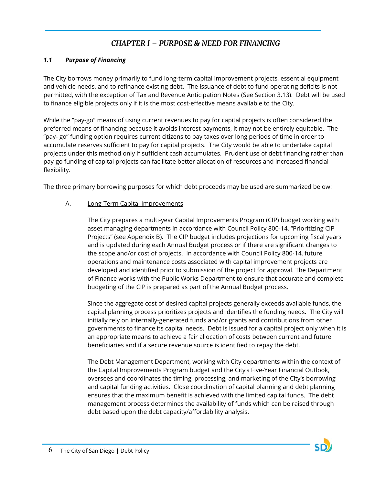# *CHAPTER I – PURPOSE & NEED FOR FINANCING*

#### <span id="page-6-1"></span><span id="page-6-0"></span>*1.1 Purpose of Financing*

The City borrows money primarily to fund long-term capital improvement projects, essential equipment and vehicle needs, and to refinance existing debt. The issuance of debt to fund operating deficits is not permitted, with the exception of Tax and Revenue Anticipation Notes (See Section 3.13). Debt will be used to finance eligible projects only if it is the most cost-effective means available to the City.

While the "pay-go" means of using current revenues to pay for capital projects is often considered the preferred means of financing because it avoids interest payments, it may not be entirely equitable. The "pay- go" funding option requires current citizens to pay taxes over long periods of time in order to accumulate reserves sufficient to pay for capital projects. The City would be able to undertake capital projects under this method only if sufficient cash accumulates. Prudent use of debt financing rather than pay-go funding of capital projects can facilitate better allocation of resources and increased financial flexibility.

The three primary borrowing purposes for which debt proceeds may be used are summarized below:

#### A. Long-Term Capital Improvements

The City prepares a multi-year Capital Improvements Program (CIP) budget working with asset managing departments in accordance with Council Policy 800-14, "Prioritizing CIP Projects" (see Appendix B). The CIP budget includes projections for upcoming fiscal years and is updated during each Annual Budget process or if there are significant changes to the scope and/or cost of projects. In accordance with Council Policy 800-14, future operations and maintenance costs associated with capital improvement projects are developed and identified prior to submission of the project for approval. The Department of Finance works with the Public Works Department to ensure that accurate and complete budgeting of the CIP is prepared as part of the Annual Budget process.

Since the aggregate cost of desired capital projects generally exceeds available funds, the capital planning process prioritizes projects and identifies the funding needs. The City will initially rely on internally-generated funds and/or grants and contributions from other governments to finance its capital needs. Debt is issued for a capital project only when it is an appropriate means to achieve a fair allocation of costs between current and future beneficiaries and if a secure revenue source is identified to repay the debt.

The Debt Management Department, working with City departments within the context of the Capital Improvements Program budget and the City's Five-Year Financial Outlook, oversees and coordinates the timing, processing, and marketing of the City's borrowing and capital funding activities. Close coordination of capital planning and debt planning ensures that the maximum benefit is achieved with the limited capital funds. The debt management process determines the availability of funds which can be raised through debt based upon the debt capacity/affordability analysis.

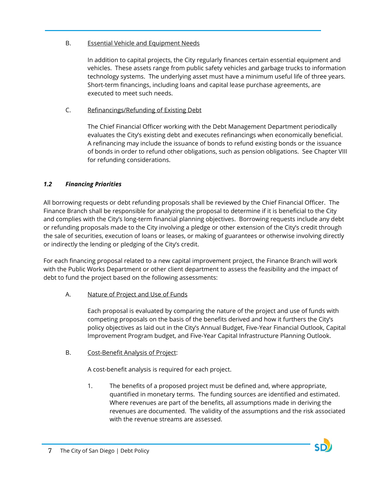#### B. Essential Vehicle and Equipment Needs

In addition to capital projects, the City regularly finances certain essential equipment and vehicles. These assets range from public safety vehicles and garbage trucks to information technology systems. The underlying asset must have a minimum useful life of three years. Short-term financings, including loans and capital lease purchase agreements, are executed to meet such needs.

# C. Refinancings/Refunding of Existing Debt

The Chief Financial Officer working with the Debt Management Department periodically evaluates the City's existing debt and executes refinancings when economically beneficial. A refinancing may include the issuance of bonds to refund existing bonds or the issuance of bonds in order to refund other obligations, such as pension obligations. See Chapter VIII for refunding considerations.

# <span id="page-7-0"></span>*1.2 Financing Priorities*

All borrowing requests or debt refunding proposals shall be reviewed by the Chief Financial Officer. The Finance Branch shall be responsible for analyzing the proposal to determine if it is beneficial to the City and complies with the City's long-term financial planning objectives. Borrowing requests include any debt or refunding proposals made to the City involving a pledge or other extension of the City's credit through the sale of securities, execution of loans or leases, or making of guarantees or otherwise involving directly or indirectly the lending or pledging of the City's credit.

For each financing proposal related to a new capital improvement project, the Finance Branch will work with the Public Works Department or other client department to assess the feasibility and the impact of debt to fund the project based on the following assessments:

A. Nature of Project and Use of Funds

Each proposal is evaluated by comparing the nature of the project and use of funds with competing proposals on the basis of the benefits derived and how it furthers the City's policy objectives as laid out in the City's Annual Budget, Five-Year Financial Outlook, Capital Improvement Program budget, and Five-Year Capital Infrastructure Planning Outlook.

B. Cost-Benefit Analysis of Project:

A cost-benefit analysis is required for each project.

1. The benefits of a proposed project must be defined and, where appropriate, quantified in monetary terms. The funding sources are identified and estimated. Where revenues are part of the benefits, all assumptions made in deriving the revenues are documented. The validity of the assumptions and the risk associated with the revenue streams are assessed.

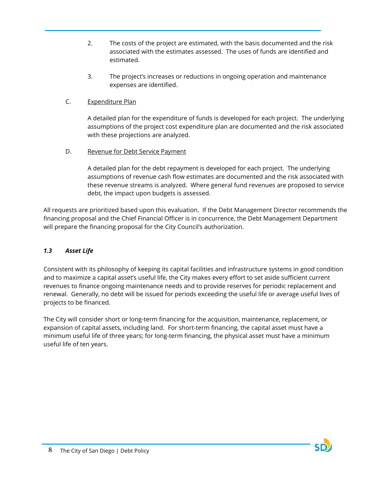- 2. The costs of the project are estimated, with the basis documented and the risk associated with the estimates assessed. The uses of funds are identified and estimated.
- 3. The project's increases or reductions in ongoing operation and maintenance expenses are identified.

### C. Expenditure Plan

A detailed plan for the expenditure of funds is developed for each project. The underlying assumptions of the project cost expenditure plan are documented and the risk associated with these projections are analyzed.

D. Revenue for Debt Service Payment

A detailed plan for the debt repayment is developed for each project. The underlying assumptions of revenue cash flow estimates are documented and the risk associated with these revenue streams is analyzed. Where general fund revenues are proposed to service debt, the impact upon budgets is assessed.

All requests are prioritized based upon this evaluation. If the Debt Management Director recommends the financing proposal and the Chief Financial Officer is in concurrence, the Debt Management Department will prepare the financing proposal for the City Council's authorization.

# <span id="page-8-0"></span>*1.3 Asset Life*

Consistent with its philosophy of keeping its capital facilities and infrastructure systems in good condition and to maximize a capital asset's useful life, the City makes every effort to set aside sufficient current revenues to finance ongoing maintenance needs and to provide reserves for periodic replacement and renewal. Generally, no debt will be issued for periods exceeding the useful life or average useful lives of projects to be financed.

The City will consider short or long-term financing for the acquisition, maintenance, replacement, or expansion of capital assets, including land. For short-term financing, the capital asset must have a minimum useful life of three years; for long-term financing, the physical asset must have a minimum useful life of ten years.

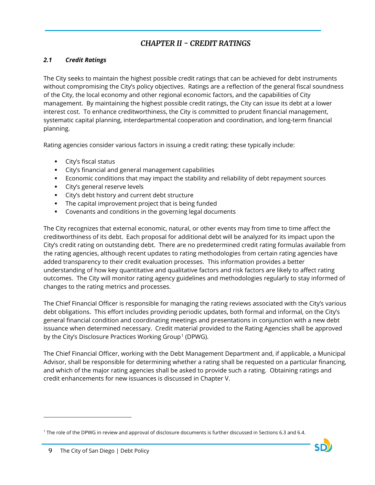# *CHAPTER II - CREDIT RATINGS*

### <span id="page-9-1"></span><span id="page-9-0"></span>*2.1 Credit Ratings*

The City seeks to maintain the highest possible credit ratings that can be achieved for debt instruments without compromising the City's policy objectives. Ratings are a reflection of the general fiscal soundness of the City, the local economy and other regional economic factors, and the capabilities of City management. By maintaining the highest possible credit ratings, the City can issue its debt at a lower interest cost. To enhance creditworthiness, the City is committed to prudent financial management, systematic capital planning, interdepartmental cooperation and coordination, and long-term financial planning.

Rating agencies consider various factors in issuing a credit rating; these typically include:

- City's fiscal status
- City's financial and general management capabilities
- Economic conditions that may impact the stability and reliability of debt repayment sources
- **City's general reserve levels**
- City's debt history and current debt structure
- **The capital improvement project that is being funded**
- Covenants and conditions in the governing legal documents

The City recognizes that external economic, natural, or other events may from time to time affect the creditworthiness of its debt. Each proposal for additional debt will be analyzed for its impact upon the City's credit rating on outstanding debt. There are no predetermined credit rating formulas available from the rating agencies, although recent updates to rating methodologies from certain rating agencies have added transparency to their credit evaluation processes. This information provides a better understanding of how key quantitative and qualitative factors and risk factors are likely to affect rating outcomes. The City will monitor rating agency guidelines and methodologies regularly to stay informed of changes to the rating metrics and processes.

The Chief Financial Officer is responsible for managing the rating reviews associated with the City's various debt obligations. This effort includes providing periodic updates, both formal and informal, on the City's general financial condition and coordinating meetings and presentations in conjunction with a new debt issuance when determined necessary. Credit material provided to the Rating Agencies shall be approved by the City's Disclosure Practices Working Group<sup>[1](#page-9-2)</sup> (DPWG).

The Chief Financial Officer, working with the Debt Management Department and, if applicable, a Municipal Advisor, shall be responsible for determining whether a rating shall be requested on a particular financing, and which of the major rating agencies shall be asked to provide such a rating. Obtaining ratings and credit enhancements for new issuances is discussed in Chapter V.

<span id="page-9-2"></span><sup>1</sup> The role of the DPWG in review and approval of disclosure documents is further discussed in Sections 6.3 and 6.4.



 $\overline{a}$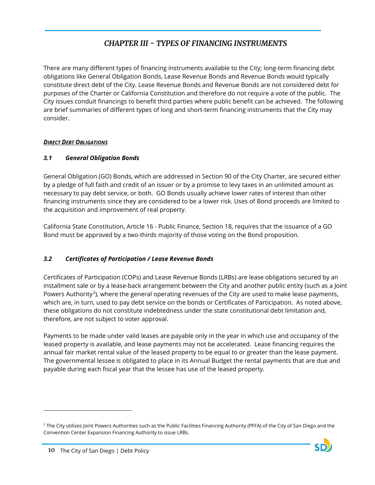# *CHAPTER III - TYPES OF FINANCING INSTRUMENTS*

<span id="page-10-0"></span>There are many different types of financing instruments available to the City; long-term financing debt obligations like General Obligation Bonds, Lease Revenue Bonds and Revenue Bonds would typically constitute direct debt of the City. Lease Revenue Bonds and Revenue Bonds are not considered debt for purposes of the Charter or California Constitution and therefore do not require a vote of the public. The City issues conduit financings to benefit third parties where public benefit can be achieved. The following are brief summaries of different types of long and short-term financing instruments that the City may consider.

#### <span id="page-10-1"></span>*DIRECT DEBT OBLIGATIONS*

# <span id="page-10-2"></span>*3.1 General Obligation Bonds*

General Obligation (GO) Bonds, which are addressed in Section 90 of the City Charter, are secured either by a pledge of full faith and credit of an issuer or by a promise to levy taxes in an unlimited amount as necessary to pay debt service, or both. GO Bonds usually achieve lower rates of interest than other financing instruments since they are considered to be a lower risk. Uses of Bond proceeds are limited to the acquisition and improvement of real property.

California State Constitution, Article 16 - Public Finance, Section 18, requires that the issuance of a GO Bond must be approved by a two-thirds majority of those voting on the Bond proposition.

# <span id="page-10-3"></span>*3.2 Certificates of Participation / Lease Revenue Bonds*

Certificates of Participation (COPs) and Lease Revenue Bonds (LRBs) are lease obligations secured by an installment sale or by a lease-back arrangement between the City and another public entity (such as a Joint Powers Authority<sup>2</sup>), where the general operating revenues of the City are used to make lease payments, which are, in turn, used to pay debt service on the bonds or Certificates of Participation. As noted above, these obligations do not constitute indebtedness under the state constitutional debt limitation and, therefore, are not subject to voter approval.

Payments to be made under valid leases are payable only in the year in which use and occupancy of the leased property is available, and lease payments may not be accelerated. Lease financing requires the annual fair market rental value of the leased property to be equal to or greater than the lease payment. The governmental lessee is obligated to place in its Annual Budget the rental payments that are due and payable during each fiscal year that the lessee has use of the leased property.

 $\overline{a}$ 

<span id="page-10-4"></span> $<sup>2</sup>$  The City utilizes Joint Powers Authorities such as the Public Facilities Financing Authority (PFFA) of the City of San Diego and the</sup> Convention Center Expansion Financing Authority to issue LRBs.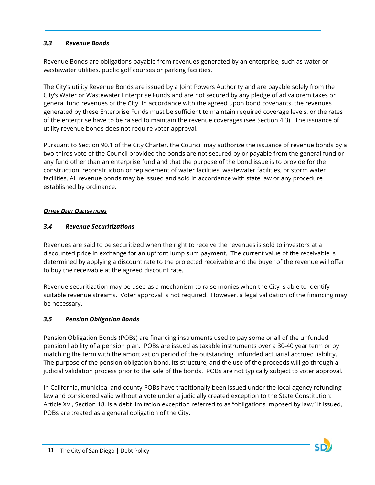#### <span id="page-11-0"></span>*3.3 Revenue Bonds*

Revenue Bonds are obligations payable from revenues generated by an enterprise, such as water or wastewater utilities, public golf courses or parking facilities.

The City's utility Revenue Bonds are issued by a Joint Powers Authority and are payable solely from the City's Water or Wastewater Enterprise Funds and are not secured by any pledge of ad valorem taxes or general fund revenues of the City. In accordance with the agreed upon bond covenants, the revenues generated by these Enterprise Funds must be sufficient to maintain required coverage levels, or the rates of the enterprise have to be raised to maintain the revenue coverages (see Section 4.3). The issuance of utility revenue bonds does not require voter approval.

Pursuant to Section 90.1 of the City Charter, the Council may authorize the issuance of revenue bonds by a two-thirds vote of the Council provided the bonds are not secured by or payable from the general fund or any fund other than an enterprise fund and that the purpose of the bond issue is to provide for the construction, reconstruction or replacement of water facilities, wastewater facilities, or storm water facilities. All revenue bonds may be issued and sold in accordance with state law or any procedure established by ordinance.

#### <span id="page-11-1"></span>*OTHER DEBT OBLIGATIONS*

#### <span id="page-11-2"></span>*3.4 Revenue Securitizations*

Revenues are said to be securitized when the right to receive the revenues is sold to investors at a discounted price in exchange for an upfront lump sum payment. The current value of the receivable is determined by applying a discount rate to the projected receivable and the buyer of the revenue will offer to buy the receivable at the agreed discount rate.

Revenue securitization may be used as a mechanism to raise monies when the City is able to identify suitable revenue streams. Voter approval is not required. However, a legal validation of the financing may be necessary.

#### <span id="page-11-3"></span>*3.5 Pension Obligation Bonds*

Pension Obligation Bonds (POBs) are financing instruments used to pay some or all of the unfunded pension liability of a pension plan. POBs are issued as taxable instruments over a 30-40 year term or by matching the term with the amortization period of the outstanding unfunded actuarial accrued liability. The purpose of the pension obligation bond, its structure, and the use of the proceeds will go through a judicial validation process prior to the sale of the bonds. POBs are not typically subject to voter approval.

In California, municipal and county POBs have traditionally been issued under the local agency refunding law and considered valid without a vote under a judicially created exception to the State Constitution: Article XVI, Section 18, is a debt limitation exception referred to as "obligations imposed by law." If issued, POBs are treated as a general obligation of the City.

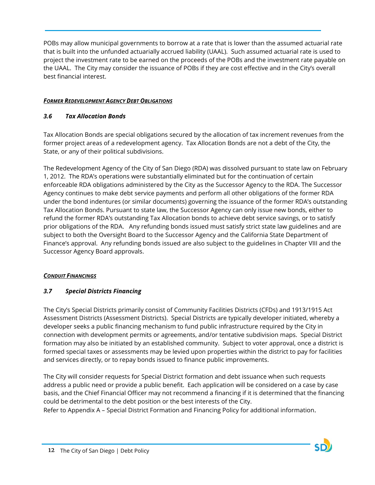POBs may allow municipal governments to borrow at a rate that is lower than the assumed actuarial rate that is built into the unfunded actuarially accrued liability (UAAL). Such assumed actuarial rate is used to project the investment rate to be earned on the proceeds of the POBs and the investment rate payable on the UAAL. The City may consider the issuance of POBs if they are cost effective and in the City's overall best financial interest.

#### <span id="page-12-0"></span>*FORMER REDEVELOPMENT AGENCY DEBT OBLIGATIONS*

#### <span id="page-12-1"></span>*3.6 Tax Allocation Bonds*

Tax Allocation Bonds are special obligations secured by the allocation of tax increment revenues from the former project areas of a redevelopment agency. Tax Allocation Bonds are not a debt of the City, the State, or any of their political subdivisions.

The Redevelopment Agency of the City of San Diego (RDA) was dissolved pursuant to state law on February 1, 2012. The RDA's operations were substantially eliminated but for the continuation of certain enforceable RDA obligations administered by the City as the Successor Agency to the RDA. The Successor Agency continues to make debt service payments and perform all other obligations of the former RDA under the bond indentures (or similar documents) governing the issuance of the former RDA's outstanding Tax Allocation Bonds. Pursuant to state law, the Successor Agency can only issue new bonds, either to refund the former RDA's outstanding Tax Allocation bonds to achieve debt service savings, or to satisfy prior obligations of the RDA. Any refunding bonds issued must satisfy strict state law guidelines and are subject to both the Oversight Board to the Successor Agency and the California State Department of Finance's approval. Any refunding bonds issued are also subject to the guidelines in Chapter VIII and the Successor Agency Board approvals.

#### <span id="page-12-2"></span>*CONDUIT FINANCINGS*

#### <span id="page-12-3"></span>*3.7 Special Districts Financing*

The City's Special Districts primarily consist of Community Facilities Districts (CFDs) and 1913/1915 Act Assessment Districts (Assessment Districts). Special Districts are typically developer initiated, whereby a developer seeks a public financing mechanism to fund public infrastructure required by the City in connection with development permits or agreements, and/or tentative subdivision maps. Special District formation may also be initiated by an established community. Subject to voter approval, once a district is formed special taxes or assessments may be levied upon properties within the district to pay for facilities and services directly, or to repay bonds issued to finance public improvements.

The City will consider requests for Special District formation and debt issuance when such requests address a public need or provide a public benefit. Each application will be considered on a case by case basis, and the Chief Financial Officer may not recommend a financing if it is determined that the financing could be detrimental to the debt position or the best interests of the City.

Refer to Appendix A – Special District Formation and Financing Policy for additional information.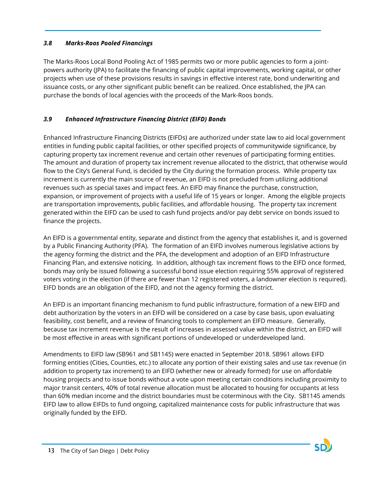#### <span id="page-13-0"></span>*3.8 Marks-Roos Pooled Financings*

The Marks-Roos Local Bond Pooling Act of 1985 permits two or more public agencies to form a jointpowers authority (JPA) to facilitate the financing of public capital improvements, working capital, or other projects when use of these provisions results in savings in effective interest rate, bond underwriting and issuance costs, or any other significant public benefit can be realized. Once established, the JPA can purchase the bonds of local agencies with the proceeds of the Mark-Roos bonds.

# <span id="page-13-1"></span>*3.9 Enhanced Infrastructure Financing District (EIFD) Bonds*

Enhanced Infrastructure Financing Districts (EIFDs) are authorized under state law to aid local government entities in funding public capital facilities, or other specified projects of communitywide significance, by capturing property tax increment revenue and certain other revenues of participating forming entities. The amount and duration of property tax increment revenue allocated to the district, that otherwise would flow to the City's General Fund, is decided by the City during the formation process. While property tax increment is currently the main source of revenue, an EIFD is not precluded from utilizing additional revenues such as special taxes and impact fees. An EIFD may finance the purchase, construction, expansion, or improvement of projects with a useful life of 15 years or longer. Among the eligible projects are transportation improvements, public facilities, and affordable housing. The property tax increment generated within the EIFD can be used to cash fund projects and/or pay debt service on bonds issued to finance the projects.

An EIFD is a governmental entity, separate and distinct from the agency that establishes it, and is governed by a Public Financing Authority (PFA). The formation of an EIFD involves numerous legislative actions by the agency forming the district and the PFA, the development and adoption of an EIFD Infrastructure Financing Plan, and extensive noticing. In addition, although tax increment flows to the EIFD once formed, bonds may only be issued following a successful bond issue election requiring 55% approval of registered voters voting in the election (if there are fewer than 12 registered voters, a landowner election is required). EIFD bonds are an obligation of the EIFD, and not the agency forming the district.

An EIFD is an important financing mechanism to fund public infrastructure, formation of a new EIFD and debt authorization by the voters in an EIFD will be considered on a case by case basis, upon evaluating feasibility, cost benefit, and a review of financing tools to complement an EIFD measure. Generally, because tax increment revenue is the result of increases in assessed value within the district, an EIFD will be most effective in areas with significant portions of undeveloped or underdeveloped land.

Amendments to EIFD law (SB961 and SB1145) were enacted in September 2018. SB961 allows EIFD forming entities (Cities, Counties, etc.) to allocate any portion of their existing sales and use tax revenue (in addition to property tax increment) to an EIFD (whether new or already formed) for use on affordable housing projects and to issue bonds without a vote upon meeting certain conditions including proximity to major transit centers, 40% of total revenue allocation must be allocated to housing for occupants at less than 60% median income and the district boundaries must be coterminous with the City. SB1145 amends EIFD law to allow EIFDs to fund ongoing, capitalized maintenance costs for public infrastructure that was originally funded by the EIFD.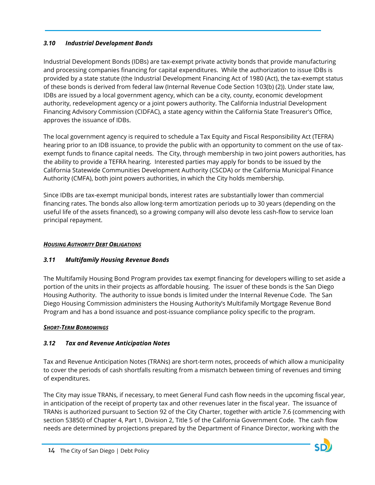#### <span id="page-14-0"></span>*3.10 Industrial Development Bonds*

Industrial Development Bonds (IDBs) are tax-exempt private activity bonds that provide manufacturing and processing companies financing for capital expenditures. While the authorization to issue IDBs is provided by a state statute (the Industrial Development Financing Act of 1980 (Act), the tax-exempt status of these bonds is derived from federal law (Internal Revenue Code Section 103(b) (2)). Under state law, IDBs are issued by a local government agency, which can be a city, county, economic development authority, redevelopment agency or a joint powers authority. The California Industrial Development Financing Advisory Commission (CIDFAC), a state agency within the California State Treasurer's Office, approves the issuance of IDBs.

The local government agency is required to schedule a Tax Equity and Fiscal Responsibility Act (TEFRA) hearing prior to an IDB issuance, to provide the public with an opportunity to comment on the use of taxexempt funds to finance capital needs. The City, through membership in two joint powers authorities, has the ability to provide a TEFRA hearing. Interested parties may apply for bonds to be issued by the California Statewide Communities Development Authority (CSCDA) or the California Municipal Finance Authority (CMFA), both joint powers authorities, in which the City holds membership.

Since IDBs are tax-exempt municipal bonds, interest rates are substantially lower than commercial financing rates. The bonds also allow long-term amortization periods up to 30 years (depending on the useful life of the assets financed), so a growing company will also devote less cash-flow to service loan principal repayment.

#### <span id="page-14-1"></span>*HOUSING AUTHORITY DEBT OBLIGATIONS*

# <span id="page-14-2"></span>*3.11 Multifamily Housing Revenue Bonds*

The Multifamily Housing Bond Program provides tax exempt financing for developers willing to set aside a portion of the units in their projects as affordable housing. The issuer of these bonds is the San Diego Housing Authority. The authority to issue bonds is limited under the Internal Revenue Code. The San Diego Housing Commission administers the Housing Authority's Multifamily Mortgage Revenue Bond Program and has a bond issuance and post-issuance compliance policy specific to the program.

#### <span id="page-14-3"></span>*SHORT-TERM BORROWINGS*

# <span id="page-14-4"></span>*3.12 Tax and Revenue Anticipation Notes*

Tax and Revenue Anticipation Notes (TRANs) are short-term notes, proceeds of which allow a municipality to cover the periods of cash shortfalls resulting from a mismatch between timing of revenues and timing of expenditures.

The City may issue TRANs, if necessary, to meet General Fund cash flow needs in the upcoming fiscal year, in anticipation of the receipt of property tax and other revenues later in the fiscal year. The issuance of TRANs is authorized pursuant to Section 92 of the City Charter, together with article 7.6 (commencing with section 53850) of Chapter 4, Part 1, Division 2, Title 5 of the California Government Code. The cash flow needs are determined by projections prepared by the Department of Finance Director, working with the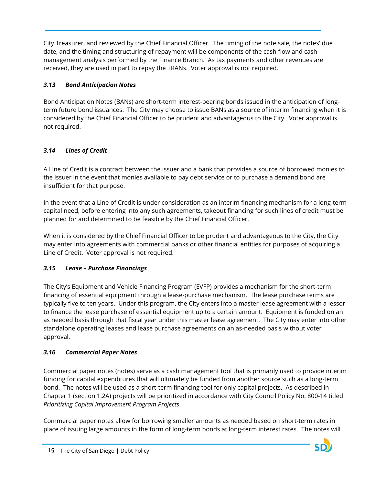City Treasurer, and reviewed by the Chief Financial Officer. The timing of the note sale, the notes' due date, and the timing and structuring of repayment will be components of the cash flow and cash management analysis performed by the Finance Branch. As tax payments and other revenues are received, they are used in part to repay the TRANs. Voter approval is not required.

# <span id="page-15-0"></span>*3.13 Bond Anticipation Notes*

Bond Anticipation Notes (BANs) are short-term interest-bearing bonds issued in the anticipation of longterm future bond issuances. The City may choose to issue BANs as a source of interim financing when it is considered by the Chief Financial Officer to be prudent and advantageous to the City. Voter approval is not required.

# <span id="page-15-1"></span>*3.14 Lines of Credit*

A Line of Credit is a contract between the issuer and a bank that provides a source of borrowed monies to the issuer in the event that monies available to pay debt service or to purchase a demand bond are insufficient for that purpose.

In the event that a Line of Credit is under consideration as an interim financing mechanism for a long-term capital need, before entering into any such agreements, takeout financing for such lines of credit must be planned for and determined to be feasible by the Chief Financial Officer.

When it is considered by the Chief Financial Officer to be prudent and advantageous to the City, the City may enter into agreements with commercial banks or other financial entities for purposes of acquiring a Line of Credit. Voter approval is not required.

# <span id="page-15-2"></span>*3.15 Lease – Purchase Financings*

The City's Equipment and Vehicle Financing Program (EVFP) provides a mechanism for the short-term financing of essential equipment through a lease-purchase mechanism. The lease purchase terms are typically five to ten years. Under this program, the City enters into a master lease agreement with a lessor to finance the lease purchase of essential equipment up to a certain amount. Equipment is funded on an as needed basis through that fiscal year under this master lease agreement. The City may enter into other standalone operating leases and lease purchase agreements on an as-needed basis without voter approval.

# <span id="page-15-3"></span>*3.16 Commercial Paper Notes*

Commercial paper notes (notes) serve as a cash management tool that is primarily used to provide interim funding for capital expenditures that will ultimately be funded from another source such as a long-term bond. The notes will be used as a short-term financing tool for only capital projects. As described in Chapter 1 (section 1.2A) projects will be prioritized in accordance with City Council Policy No. 800-14 titled *Prioritizing Capital Improvement Program Projects*.

Commercial paper notes allow for borrowing smaller amounts as needed based on short-term rates in place of issuing large amounts in the form of long-term bonds at long-term interest rates. The notes will

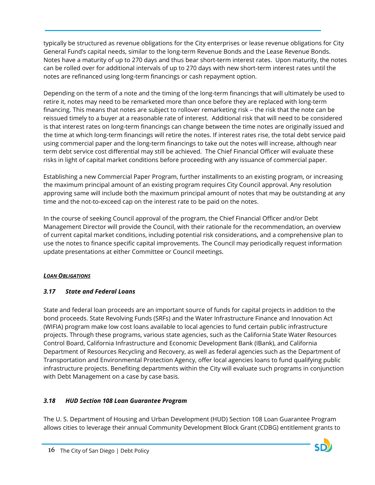typically be structured as revenue obligations for the City enterprises or lease revenue obligations for City General Fund's capital needs, similar to the long-term Revenue Bonds and the Lease Revenue Bonds. Notes have a maturity of up to 270 days and thus bear short-term interest rates. Upon maturity, the notes can be rolled over for additional intervals of up to 270 days with new short-term interest rates until the notes are refinanced using long-term financings or cash repayment option.

Depending on the term of a note and the timing of the long-term financings that will ultimately be used to retire it, notes may need to be remarketed more than once before they are replaced with long-term financing. This means that notes are subject to rollover remarketing risk – the risk that the note can be reissued timely to a buyer at a reasonable rate of interest. Additional risk that will need to be considered is that interest rates on long-term financings can change between the time notes are originally issued and the time at which long-term financings will retire the notes. If interest rates rise, the total debt service paid using commercial paper and the long-term financings to take out the notes will increase, although near term debt service cost differential may still be achieved. The Chief Financial Officer will evaluate these risks in light of capital market conditions before proceeding with any issuance of commercial paper.

Establishing a new Commercial Paper Program, further installments to an existing program, or increasing the maximum principal amount of an existing program requires City Council approval. Any resolution approving same will include both the maximum principal amount of notes that may be outstanding at any time and the not-to-exceed cap on the interest rate to be paid on the notes.

In the course of seeking Council approval of the program, the Chief Financial Officer and/or Debt Management Director will provide the Council, with their rationale for the recommendation, an overview of current capital market conditions, including potential risk considerations, and a comprehensive plan to use the notes to finance specific capital improvements. The Council may periodically request information update presentations at either Committee or Council meetings.

# <span id="page-16-0"></span>*LOAN OBLIGATIONS*

# <span id="page-16-1"></span>*3.17 State and Federal Loans*

State and federal loan proceeds are an important source of funds for capital projects in addition to the bond proceeds. State Revolving Funds (SRFs) and the Water Infrastructure Finance and Innovation Act (WIFIA) program make low cost loans available to local agencies to fund certain public infrastructure projects. Through these programs, various state agencies, such as the California State Water Resources Control Board, California Infrastructure and Economic Development Bank (IBank), and California Department of Resources Recycling and Recovery, as well as federal agencies such as the Department of Transportation and Environmental Protection Agency, offer local agencies loans to fund qualifying public infrastructure projects. Benefiting departments within the City will evaluate such programs in conjunction with Debt Management on a case by case basis.

# <span id="page-16-2"></span>*3.18 HUD Section 108 Loan Guarantee Program*

The U. S. Department of Housing and Urban Development (HUD) Section 108 Loan Guarantee Program allows cities to leverage their annual Community Development Block Grant (CDBG) entitlement grants to

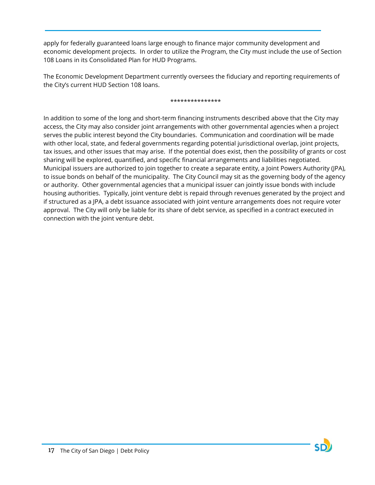apply for federally guaranteed loans large enough to finance major community development and economic development projects. In order to utilize the Program, the City must include the use of Section 108 Loans in its Consolidated Plan for HUD Programs.

The Economic Development Department currently oversees the fiduciary and reporting requirements of the City's current HUD Section 108 loans.

#### \*\*\*\*\*\*\*\*\*\*\*\*\*\*\*

In addition to some of the long and short-term financing instruments described above that the City may access, the City may also consider joint arrangements with other governmental agencies when a project serves the public interest beyond the City boundaries. Communication and coordination will be made with other local, state, and federal governments regarding potential jurisdictional overlap, joint projects, tax issues, and other issues that may arise. If the potential does exist, then the possibility of grants or cost sharing will be explored, quantified, and specific financial arrangements and liabilities negotiated. Municipal issuers are authorized to join together to create a separate entity, a Joint Powers Authority (JPA), to issue bonds on behalf of the municipality. The City Council may sit as the governing body of the agency or authority. Other governmental agencies that a municipal issuer can jointly issue bonds with include housing authorities. Typically, joint venture debt is repaid through revenues generated by the project and if structured as a JPA, a debt issuance associated with joint venture arrangements does not require voter approval. The City will only be liable for its share of debt service, as specified in a contract executed in connection with the joint venture debt.

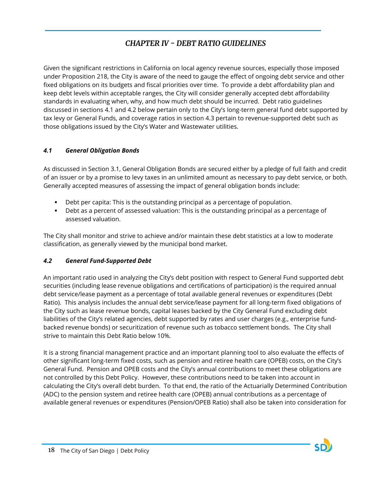# *CHAPTER IV - DEBT RATIO GUIDELINES*

<span id="page-18-0"></span>Given the significant restrictions in California on local agency revenue sources, especially those imposed under Proposition 218, the City is aware of the need to gauge the effect of ongoing debt service and other fixed obligations on its budgets and fiscal priorities over time. To provide a debt affordability plan and keep debt levels within acceptable ranges, the City will consider generally accepted debt affordability standards in evaluating when, why, and how much debt should be incurred. Debt ratio guidelines discussed in sections 4.1 and 4.2 below pertain only to the City's long-term general fund debt supported by tax levy or General Funds, and coverage ratios in section 4.3 pertain to revenue-supported debt such as those obligations issued by the City's Water and Wastewater utilities.

### <span id="page-18-1"></span>*4.1 General Obligation Bonds*

As discussed in Section 3.1, General Obligation Bonds are secured either by a pledge of full faith and credit of an issuer or by a promise to levy taxes in an unlimited amount as necessary to pay debt service, or both. Generally accepted measures of assessing the impact of general obligation bonds include:

- Debt per capita: This is the outstanding principal as a percentage of population.
- Debt as a percent of assessed valuation: This is the outstanding principal as a percentage of assessed valuation.

The City shall monitor and strive to achieve and/or maintain these debt statistics at a low to moderate classification, as generally viewed by the municipal bond market.

# <span id="page-18-2"></span>*4.2 General Fund-Supported Debt*

An important ratio used in analyzing the City's debt position with respect to General Fund supported debt securities (including lease revenue obligations and certifications of participation) is the required annual debt service/lease payment as a percentage of total available general revenues or expenditures (Debt Ratio). This analysis includes the annual debt service/lease payment for all long-term fixed obligations of the City such as lease revenue bonds, capital leases backed by the City General Fund excluding debt liabilities of the City's related agencies, debt supported by rates and user charges (e.g., enterprise fundbacked revenue bonds) or securitization of revenue such as tobacco settlement bonds. The City shall strive to maintain this Debt Ratio below 10%.

It is a strong financial management practice and an important planning tool to also evaluate the effects of other significant long-term fixed costs, such as pension and retiree health care (OPEB) costs, on the City's General Fund. Pension and OPEB costs and the City's annual contributions to meet these obligations are not controlled by this Debt Policy. However, these contributions need to be taken into account in calculating the City's overall debt burden. To that end, the ratio of the Actuarially Determined Contribution (ADC) to the pension system and retiree health care (OPEB) annual contributions as a percentage of available general revenues or expenditures (Pension/OPEB Ratio) shall also be taken into consideration for

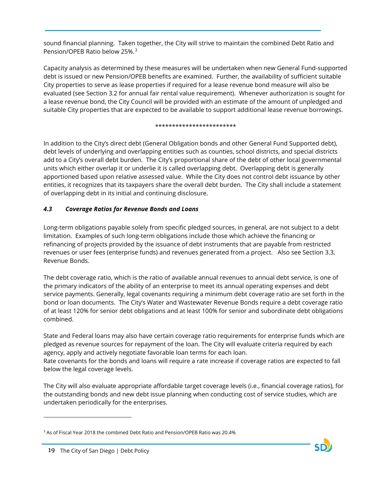sound financial planning. Taken together, the City will strive to maintain the combined Debt Ratio and Pension/OPEB Ratio below 25%. [3](#page-19-1)

Capacity analysis as determined by these measures will be undertaken when new General Fund-supported debt is issued or new Pension/OPEB benefits are examined. Further, the availability of sufficient suitable City properties to serve as lease properties if required for a lease revenue bond measure will also be evaluated (see Section 3.2 for annual fair rental value requirement). Whenever authorization is sought for a lease revenue bond, the City Council will be provided with an estimate of the amount of unpledged and suitable City properties that are expected to be available to support additional lease revenue borrowings.

#### \*\*\*\*\*\*\*\*\*\*\*\*\*\*\*\*\*\*\*\*\*\*\*\*

In addition to the City's direct debt (General Obligation bonds and other General Fund Supported debt), debt levels of underlying and overlapping entities such as counties, school districts, and special districts add to a City's overall debt burden. The City's proportional share of the debt of other local governmental units which either overlap it or underlie it is called overlapping debt. Overlapping debt is generally apportioned based upon relative assessed value. While the City does not control debt issuance by other entities, it recognizes that its taxpayers share the overall debt burden. The City shall include a statement of overlapping debt in its initial and continuing disclosure.

### <span id="page-19-0"></span>*4.3 Coverage Ratios for Revenue Bonds and Loans*

Long-term obligations payable solely from specific pledged sources, in general, are not subject to a debt limitation. Examples of such long-term obligations include those which achieve the financing or refinancing of projects provided by the issuance of debt instruments that are payable from restricted revenues or user fees (enterprise funds) and revenues generated from a project. Also see Section 3.3, Revenue Bonds.

The debt coverage ratio, which is the ratio of available annual revenues to annual debt service, is one of the primary indicators of the ability of an enterprise to meet its annual operating expenses and debt service payments. Generally, legal covenants requiring a minimum debt coverage ratio are set forth in the bond or loan documents. The City's Water and Wastewater Revenue Bonds require a debt coverage ratio of at least 120% for senior debt obligations and at least 100% for senior and subordinate debt obligations combined.

State and Federal loans may also have certain coverage ratio requirements for enterprise funds which are pledged as revenue sources for repayment of the loan. The City will evaluate criteria required by each agency, apply and actively negotiate favorable loan terms for each loan. Rate covenants for the bonds and loans will require a rate increase if coverage ratios are expected to fall below the legal coverage levels.

The City will also evaluate appropriate affordable target coverage levels (i.e., financial coverage ratios), for the outstanding bonds and new debt issue planning when conducting cost of service studies, which are undertaken periodically for the enterprises.

 $\overline{a}$ 

<span id="page-19-1"></span><sup>3</sup> As of Fiscal Year 2018 the combined Debt Ratio and Pension/OPEB Ratio was 20.4%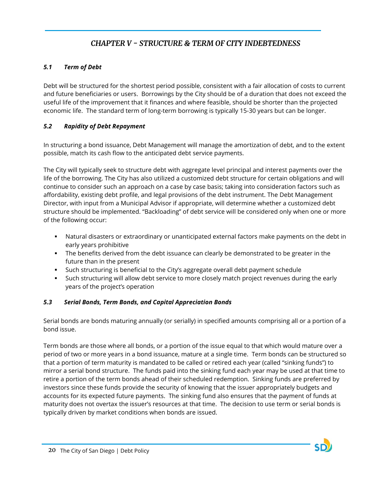# *CHAPTER V - STRUCTURE & TERM OF CITY INDEBTEDNESS*

## <span id="page-20-1"></span><span id="page-20-0"></span>*5.1 Term of Debt*

Debt will be structured for the shortest period possible, consistent with a fair allocation of costs to current and future beneficiaries or users. Borrowings by the City should be of a duration that does not exceed the useful life of the improvement that it finances and where feasible, should be shorter than the projected economic life. The standard term of long-term borrowing is typically 15-30 years but can be longer.

### <span id="page-20-2"></span>*5.2 Rapidity of Debt Repayment*

In structuring a bond issuance, Debt Management will manage the amortization of debt, and to the extent possible, match its cash flow to the anticipated debt service payments.

The City will typically seek to structure debt with aggregate level principal and interest payments over the life of the borrowing. The City has also utilized a customized debt structure for certain obligations and will continue to consider such an approach on a case by case basis; taking into consideration factors such as affordability, existing debt profile, and legal provisions of the debt instrument. The Debt Management Director, with input from a Municipal Advisor if appropriate, will determine whether a customized debt structure should be implemented. "Backloading" of debt service will be considered only when one or more of the following occur:

- Natural disasters or extraordinary or unanticipated external factors make payments on the debt in early years prohibitive
- The benefits derived from the debt issuance can clearly be demonstrated to be greater in the future than in the present
- Such structuring is beneficial to the City's aggregate overall debt payment schedule
- Such structuring will allow debt service to more closely match project revenues during the early years of the project's operation

#### <span id="page-20-3"></span>*5.3 Serial Bonds, Term Bonds, and Capital Appreciation Bonds*

Serial bonds are bonds maturing annually (or serially) in specified amounts comprising all or a portion of a bond issue.

Term bonds are those where all bonds, or a portion of the issue equal to that which would mature over a period of two or more years in a bond issuance, mature at a single time. Term bonds can be structured so that a portion of term maturity is mandated to be called or retired each year (called "sinking funds") to mirror a serial bond structure. The funds paid into the sinking fund each year may be used at that time to retire a portion of the term bonds ahead of their scheduled redemption. Sinking funds are preferred by investors since these funds provide the security of knowing that the issuer appropriately budgets and accounts for its expected future payments. The sinking fund also ensures that the payment of funds at maturity does not overtax the issuer's resources at that time. The decision to use term or serial bonds is typically driven by market conditions when bonds are issued.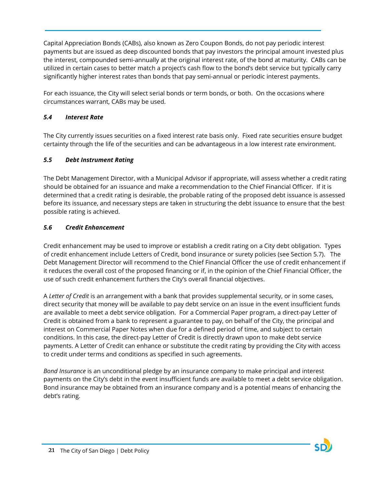Capital Appreciation Bonds (CABs), also known as Zero Coupon Bonds, do not pay periodic interest payments but are issued as deep discounted bonds that pay investors the principal amount invested plus the interest, compounded semi-annually at the original interest rate, of the bond at maturity. CABs can be utilized in certain cases to better match a project's cash flow to the bond's debt service but typically carry significantly higher interest rates than bonds that pay semi-annual or periodic interest payments.

For each issuance, the City will select serial bonds or term bonds, or both. On the occasions where circumstances warrant, CABs may be used.

#### <span id="page-21-0"></span>*5.4 Interest Rate*

The City currently issues securities on a fixed interest rate basis only. Fixed rate securities ensure budget certainty through the life of the securities and can be advantageous in a low interest rate environment.

#### <span id="page-21-1"></span>*5.5 Debt Instrument Rating*

The Debt Management Director, with a Municipal Advisor if appropriate, will assess whether a credit rating should be obtained for an issuance and make a recommendation to the Chief Financial Officer. If it is determined that a credit rating is desirable, the probable rating of the proposed debt issuance is assessed before its issuance, and necessary steps are taken in structuring the debt issuance to ensure that the best possible rating is achieved.

#### <span id="page-21-2"></span>*5.6 Credit Enhancement*

Credit enhancement may be used to improve or establish a credit rating on a City debt obligation. Types of credit enhancement include Letters of Credit, bond insurance or surety policies (see Section 5.7). The Debt Management Director will recommend to the Chief Financial Officer the use of credit enhancement if it reduces the overall cost of the proposed financing or if, in the opinion of the Chief Financial Officer, the use of such credit enhancement furthers the City's overall financial objectives.

A *Letter of Credit* is an arrangement with a bank that provides supplemental security, or in some cases, direct security that money will be available to pay debt service on an issue in the event insufficient funds are available to meet a debt service obligation. For a Commercial Paper program, a direct-pay Letter of Credit is obtained from a bank to represent a guarantee to pay, on behalf of the City, the principal and interest on Commercial Paper Notes when due for a defined period of time, and subject to certain conditions. In this case, the direct-pay Letter of Credit is directly drawn upon to make debt service payments. A Letter of Credit can enhance or substitute the credit rating by providing the City with access to credit under terms and conditions as specified in such agreements.

*Bond Insurance* is an unconditional pledge by an insurance company to make principal and interest payments on the City's debt in the event insufficient funds are available to meet a debt service obligation. Bond insurance may be obtained from an insurance company and is a potential means of enhancing the debt's rating.

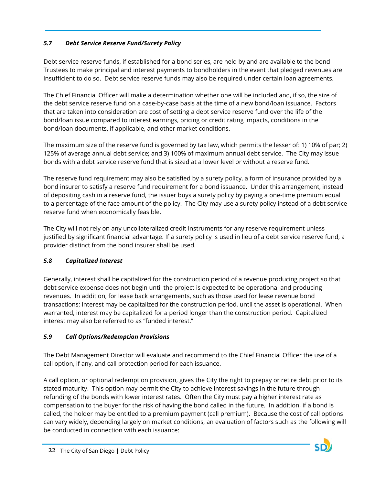# <span id="page-22-0"></span>*5.7 Debt Service Reserve Fund/Surety Policy*

Debt service reserve funds, if established for a bond series, are held by and are available to the bond Trustees to make principal and interest payments to bondholders in the event that pledged revenues are insufficient to do so. Debt service reserve funds may also be required under certain loan agreements.

The Chief Financial Officer will make a determination whether one will be included and, if so, the size of the debt service reserve fund on a case-by-case basis at the time of a new bond/loan issuance. Factors that are taken into consideration are cost of setting a debt service reserve fund over the life of the bond/loan issue compared to interest earnings, pricing or credit rating impacts, conditions in the bond/loan documents, if applicable, and other market conditions.

The maximum size of the reserve fund is governed by tax law, which permits the lesser of: 1) 10% of par; 2) 125% of average annual debt service; and 3) 100% of maximum annual debt service. The City may issue bonds with a debt service reserve fund that is sized at a lower level or without a reserve fund.

The reserve fund requirement may also be satisfied by a surety policy, a form of insurance provided by a bond insurer to satisfy a reserve fund requirement for a bond issuance. Under this arrangement, instead of depositing cash in a reserve fund, the issuer buys a surety policy by paying a one-time premium equal to a percentage of the face amount of the policy. The City may use a surety policy instead of a debt service reserve fund when economically feasible.

The City will not rely on any uncollateralized credit instruments for any reserve requirement unless justified by significant financial advantage. If a surety policy is used in lieu of a debt service reserve fund, a provider distinct from the bond insurer shall be used.

# <span id="page-22-1"></span>*5.8 Capitalized Interest*

Generally, interest shall be capitalized for the construction period of a revenue producing project so that [debt service](http://www.msrb.org/MSRB1/glossary/view_def.asp?param=DEBTSERVICE) expense does not begin until the project is expected to be operational and producing revenues. In addition, for lease back arrangements, such as those used for lease revenue bond transactions; interest may be capitalized for the construction period, until the asset is operational. When warranted, interest may be capitalized for a period longer than the construction period. Capitalized interest may also be referred to as "funded interest."

# <span id="page-22-2"></span>*5.9 Call Options/Redemption Provisions*

The Debt Management Director will evaluate and recommend to the Chief Financial Officer the use of a call option, if any, and call protection period for each issuance.

A call option, or optional redemption provision, gives the City the right to prepay or retire debt prior to its stated maturity. This option may permit the City to achieve interest savings in the future through refunding of the bonds with lower interest rates. Often the City must pay a higher interest rate as compensation to the buyer for the risk of having the bond called in the future. In addition, if a bond is called, the holder may be entitled to a premium payment (call premium). Because the cost of call options can vary widely, depending largely on market conditions, an evaluation of factors such as the following will be conducted in connection with each issuance:

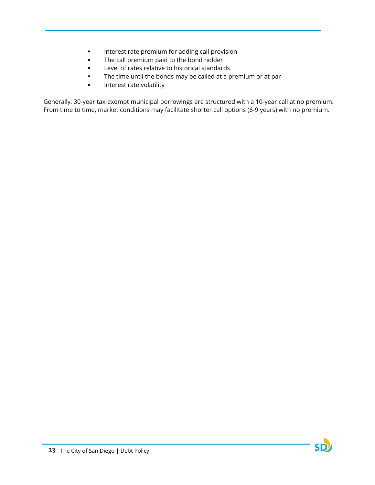- **Interest rate premium for adding call provision**
- **The call premium paid to the bond holder**
- **Level of rates relative to historical standards**
- **The time until the bonds may be called at a premium or at par**
- **Interest rate volatility**

Generally, 30-year tax-exempt municipal borrowings are structured with a 10-year call at no premium. From time to time, market conditions may facilitate shorter call options (6-9 years) with no premium.

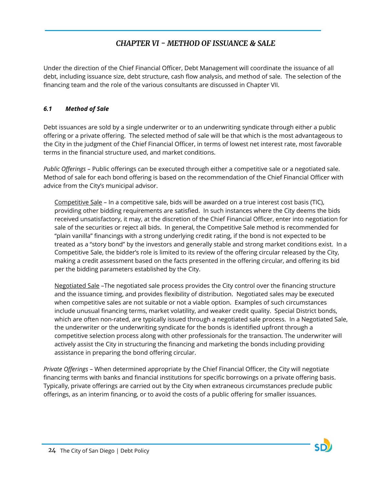# *CHAPTER VI - METHOD OF ISSUANCE & SALE*

<span id="page-24-0"></span>Under the direction of the Chief Financial Officer, Debt Management will coordinate the issuance of all debt, including issuance size, debt structure, cash flow analysis, and method of sale. The selection of the financing team and the role of the various consultants are discussed in Chapter VII.

#### <span id="page-24-1"></span>*6.1 Method of Sale*

Debt issuances are sold by a single underwriter or to an underwriting syndicate through either a public offering or a private offering. The selected method of sale will be that which is the most advantageous to the City in the judgment of the Chief Financial Officer, in terms of lowest net interest rate, most favorable terms in the financial structure used, and market conditions.

*Public Offerings* – Public offerings can be executed through either a competitive sale or a negotiated sale. Method of sale for each bond offering is based on the recommendation of the Chief Financial Officer with advice from the City's municipal advisor.

Competitive Sale – In a competitive sale, bids will be awarded on a true interest cost basis (TIC), providing other bidding requirements are satisfied. In such instances where the City deems the bids received unsatisfactory, it may, at the discretion of the Chief Financial Officer, enter into negotiation for sale of the securities or reject all bids. In general, the Competitive Sale method is recommended for "plain vanilla" financings with a strong underlying credit rating, if the bond is not expected to be treated as a "story bond" by the investors and generally stable and strong market conditions exist. In a Competitive Sale, the bidder's role is limited to its review of the offering circular released by the City, making a credit assessment based on the facts presented in the offering circular, and offering its bid per the bidding parameters established by the City.

Negotiated Sale –The negotiated sale process provides the City control over the financing structure and the issuance timing, and provides flexibility of distribution. Negotiated sales may be executed when competitive sales are not suitable or not a viable option. Examples of such circumstances include unusual financing terms, market volatility, and weaker credit quality. Special District bonds, which are often non-rated, are typically issued through a negotiated sale process. In a Negotiated Sale, the underwriter or the underwriting syndicate for the bonds is identified upfront through a competitive selection process along with other professionals for the transaction. The underwriter will actively assist the City in structuring the financing and marketing the bonds including providing assistance in preparing the bond offering circular.

*Private Offerings* – When determined appropriate by the Chief Financial Officer, the City will negotiate financing terms with banks and financial institutions for specific borrowings on a private offering basis. Typically, private offerings are carried out by the City when extraneous circumstances preclude public offerings, as an interim financing, or to avoid the costs of a public offering for smaller issuances.

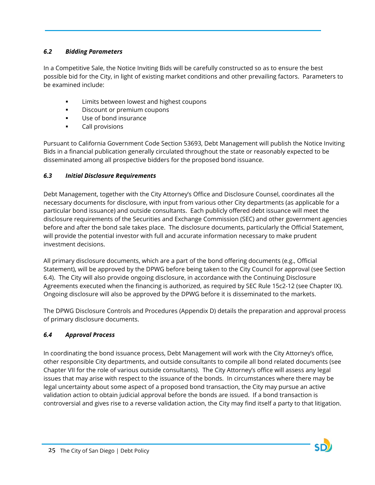#### <span id="page-25-0"></span>*6.2 Bidding Parameters*

In a Competitive Sale, the Notice Inviting Bids will be carefully constructed so as to ensure the best possible bid for the City, in light of existing market conditions and other prevailing factors. Parameters to be examined include:

- Limits between lowest and highest coupons
- **Discount or premium coupons**
- Use of bond insurance
- **Call provisions**

Pursuant to California Government Code Section 53693, Debt Management will publish the Notice Inviting Bids in a financial publication generally circulated throughout the state or reasonably expected to be disseminated among all prospective bidders for the proposed bond issuance.

# <span id="page-25-1"></span>*6.3 Initial Disclosure Requirements*

Debt Management, together with the City Attorney's Office and Disclosure Counsel, coordinates all the necessary documents for disclosure, with input from various other City departments (as applicable for a particular bond issuance) and outside consultants. Each publicly offered debt issuance will meet the disclosure requirements of the Securities and Exchange Commission (SEC) and other government agencies before and after the bond sale takes place. The disclosure documents, particularly the Official Statement, will provide the potential investor with full and accurate information necessary to make prudent investment decisions.

All primary disclosure documents, which are a part of the bond offering documents (e.g., Official Statement), will be approved by the DPWG before being taken to the City Council for approval (see Section 6.4). The City will also provide ongoing disclosure, in accordance with the Continuing Disclosure Agreements executed when the financing is authorized, as required by SEC Rule 15c2-12 (see Chapter IX). Ongoing disclosure will also be approved by the DPWG before it is disseminated to the markets.

The DPWG Disclosure Controls and Procedures (Appendix D) details the preparation and approval process of primary disclosure documents.

# <span id="page-25-2"></span>*6.4 Approval Process*

In coordinating the bond issuance process, Debt Management will work with the City Attorney's office, other responsible City departments, and outside consultants to compile all bond related documents (see Chapter VII for the role of various outside consultants). The City Attorney's office will assess any legal issues that may arise with respect to the issuance of the bonds. In circumstances where there may be legal uncertainty about some aspect of a proposed bond transaction, the City may pursue an active validation action to obtain judicial approval before the bonds are issued. If a bond transaction is controversial and gives rise to a reverse validation action, the City may find itself a party to that litigation.

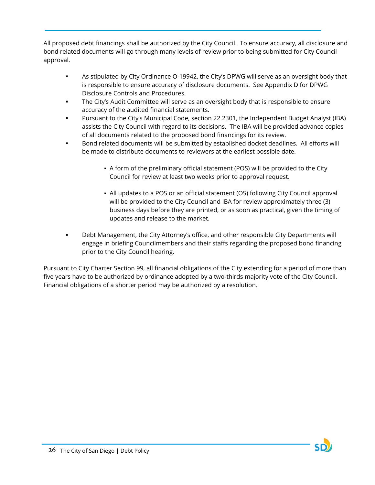All proposed debt financings shall be authorized by the City Council. To ensure accuracy, all disclosure and bond related documents will go through many levels of review prior to being submitted for City Council approval.

- As stipulated by City Ordinance O-19942, the City's DPWG will serve as an oversight body that is responsible to ensure accuracy of disclosure documents. See Appendix D for DPWG Disclosure Controls and Procedures.
- The City's Audit Committee will serve as an oversight body that is responsible to ensure accuracy of the audited financial statements.
- Pursuant to the City's Municipal Code, section 22.2301, the Independent Budget Analyst (IBA) assists the City Council with regard to its decisions. The IBA will be provided advance copies of all documents related to the proposed bond financings for its review.
- Bond related documents will be submitted by established docket deadlines. All efforts will be made to distribute documents to reviewers at the earliest possible date.
	- *▪* A form of the preliminary official statement (POS) will be provided to the City Council for review at least two weeks prior to approval request.
	- All updates to a POS or an official statement (OS) following City Council approval will be provided to the City Council and IBA for review approximately three (3) business days before they are printed, or as soon as practical, given the timing of updates and release to the market.
- Debt Management, the City Attorney's office, and other responsible City Departments will engage in briefing Councilmembers and their staffs regarding the proposed bond financing prior to the City Council hearing.

Pursuant to City Charter Section 99, all financial obligations of the City extending for a period of more than five years have to be authorized by ordinance adopted by a two-thirds majority vote of the City Council. Financial obligations of a shorter period may be authorized by a resolution.

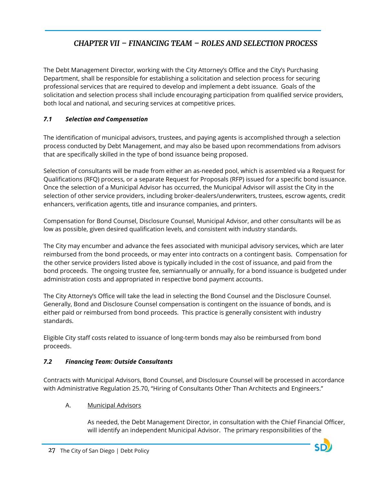# *CHAPTER VII – FINANCING TEAM – ROLES AND SELECTION PROCESS*

<span id="page-27-0"></span>The Debt Management Director, working with the City Attorney's Office and the City's Purchasing Department, shall be responsible for establishing a solicitation and selection process for securing professional services that are required to develop and implement a debt issuance. Goals of the solicitation and selection process shall include encouraging participation from qualified service providers, both local and national, and securing services at competitive prices.

# <span id="page-27-1"></span>*7.1 Selection and Compensation*

The identification of municipal advisors, trustees, and paying agents is accomplished through a selection process conducted by Debt Management, and may also be based upon recommendations from advisors that are specifically skilled in the type of bond issuance being proposed.

Selection of consultants will be made from either an as-needed pool, which is assembled via a Request for Qualifications (RFQ) process, or a separate Request for Proposals (RFP) issued for a specific bond issuance. Once the selection of a Municipal Advisor has occurred, the Municipal Advisor will assist the City in the selection of other service providers, including broker-dealers/underwriters, trustees, escrow agents, credit enhancers, verification agents, title and insurance companies, and printers.

Compensation for Bond Counsel, Disclosure Counsel, Municipal Advisor, and other consultants will be as low as possible, given desired qualification levels, and consistent with industry standards.

The City may encumber and advance the fees associated with municipal advisory services, which are later reimbursed from the bond proceeds, or may enter into contracts on a contingent basis. Compensation for the other service providers listed above is typically included in the cost of issuance, and paid from the bond proceeds. The ongoing trustee fee, semiannually or annually, for a bond issuance is budgeted under administration costs and appropriated in respective bond payment accounts.

The City Attorney's Office will take the lead in selecting the Bond Counsel and the Disclosure Counsel. Generally, Bond and Disclosure Counsel compensation is contingent on the issuance of bonds, and is either paid or reimbursed from bond proceeds. This practice is generally consistent with industry standards.

Eligible City staff costs related to issuance of long-term bonds may also be reimbursed from bond proceeds.

# <span id="page-27-2"></span>*7.2 Financing Team: Outside Consultants*

Contracts with Municipal Advisors, Bond Counsel, and Disclosure Counsel will be processed in accordance with Administrative Regulation 25.70, "Hiring of Consultants Other Than Architects and Engineers."

# A. Municipal Advisors

As needed, the Debt Management Director, in consultation with the Chief Financial Officer, will identify an independent Municipal Advisor. The primary responsibilities of the

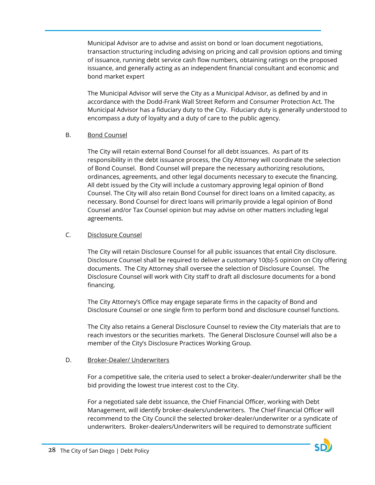Municipal Advisor are to advise and assist on bond or loan document negotiations, transaction structuring including advising on pricing and call provision options and timing of issuance, running debt service cash flow numbers, obtaining ratings on the proposed issuance, and generally acting as an independent financial consultant and economic and bond market expert

The Municipal Advisor will serve the City as a Municipal Advisor, as defined by and in accordance with the Dodd-Frank Wall Street Reform and Consumer Protection Act. The Municipal Advisor has a fiduciary duty to the City. Fiduciary duty is generally understood to encompass a duty of loyalty and a duty of care to the public agency.

#### B. Bond Counsel

The City will retain external Bond Counsel for all debt issuances. As part of its responsibility in the debt issuance process, the City Attorney will coordinate the selection of Bond Counsel. Bond Counsel will prepare the necessary authorizing resolutions, ordinances, agreements, and other legal documents necessary to execute the financing. All debt issued by the City will include a customary approving legal opinion of Bond Counsel. The City will also retain Bond Counsel for direct loans on a limited capacity, as necessary. Bond Counsel for direct loans will primarily provide a legal opinion of Bond Counsel and/or Tax Counsel opinion but may advise on other matters including legal agreements.

#### C. Disclosure Counsel

The City will retain Disclosure Counsel for all public issuances that entail City disclosure. Disclosure Counsel shall be required to deliver a customary 10(b)-5 opinion on City offering documents. The City Attorney shall oversee the selection of Disclosure Counsel. The Disclosure Counsel will work with City staff to draft all disclosure documents for a bond financing.

The City Attorney's Office may engage separate firms in the capacity of Bond and Disclosure Counsel or one single firm to perform bond and disclosure counsel functions.

The City also retains a General Disclosure Counsel to review the City materials that are to reach investors or the securities markets. The General Disclosure Counsel will also be a member of the City's Disclosure Practices Working Group.

#### D. Broker-Dealer/ Underwriters

For a competitive sale, the criteria used to select a broker-dealer/underwriter shall be the bid providing the lowest true interest cost to the City.

For a negotiated sale debt issuance, the Chief Financial Officer, working with Debt Management, will identify broker-dealers/underwriters. The Chief Financial Officer will recommend to the City Council the selected broker-dealer/underwriter or a syndicate of underwriters. Broker-dealers/Underwriters will be required to demonstrate sufficient

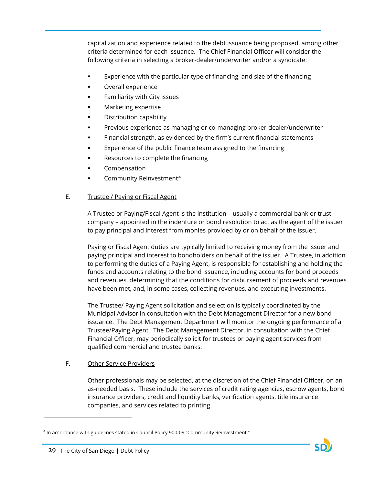capitalization and experience related to the debt issuance being proposed, among other criteria determined for each issuance. The Chief Financial Officer will consider the following criteria in selecting a broker-dealer/underwriter and/or a syndicate:

- Experience with the particular type of financing, and size of the financing
- Overall experience
- Familiarity with City issues
- Marketing expertise
- Distribution capability
- Previous experience as managing or co-managing broker-dealer/underwriter
- Financial strength, as evidenced by the firm's current financial statements
- Experience of the public finance team assigned to the financing
- Resources to complete the financing
- Compensation
- Community Reinvestment[4](#page-29-0)

#### E. Trustee / Paying or Fiscal Agent

A Trustee or Paying/Fiscal Agent is the institution – usually a commercial bank or trust company – appointed in the indenture or bond resolution to act as the agent of the issuer to pay principal and interest from monies provided by or on behalf of the issuer.

Paying or Fiscal Agent duties are typically limited to receiving money from the issuer and paying principal and interest to bondholders on behalf of the issuer. A Trustee, in addition to performing the duties of a Paying Agent, is responsible for establishing and holding the funds and accounts relating to the bond issuance, including accounts for bond proceeds and revenues, determining that the conditions for disbursement of proceeds and revenues have been met, and, in some cases, collecting revenues, and executing investments.

The Trustee/ Paying Agent solicitation and selection is typically coordinated by the Municipal Advisor in consultation with the Debt Management Director for a new bond issuance. The Debt Management Department will monitor the ongoing performance of a Trustee/Paying Agent. The Debt Management Director, in consultation with the Chief Financial Officer, may periodically solicit for trustees or paying agent services from qualified commercial and trustee banks.

#### F. Other Service Providers

Other professionals may be selected, at the discretion of the Chief Financial Officer, on an as-needed basis. These include the services of credit rating agencies, escrow agents, bond insurance providers, credit and liquidity banks, verification agents, title insurance companies, and services related to printing.

 $\overline{a}$ 

<span id="page-29-0"></span><sup>4</sup> In accordance with guidelines stated in Council Policy 900-09 "Community Reinvestment."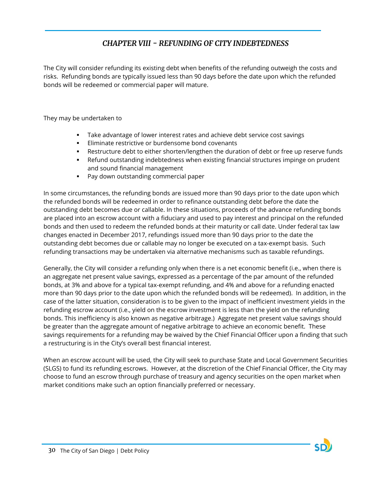# *CHAPTER VIII - REFUNDING OF CITY INDEBTEDNESS*

<span id="page-30-0"></span>The City will consider refunding its existing debt when benefits of the refunding outweigh the costs and risks. Refunding bonds are typically issued less than 90 days before the date upon which the refunded bonds will be redeemed or commercial paper will mature.

They may be undertaken to

- Take advantage of lower interest rates and achieve debt service cost savings
- **Eliminate restrictive or burdensome bond covenants**
- Restructure debt to either shorten/lengthen the duration of debt or free up reserve funds
- Refund outstanding indebtedness when existing financial structures impinge on prudent and sound financial management
- Pay down outstanding commercial paper

In some circumstances, the refunding bonds are issued more than 90 days prior to the date upon which the refunded bonds will be redeemed in order to refinance outstanding debt before the date the outstanding debt becomes due or callable. In these situations, proceeds of the advance refunding bonds are placed into an escrow account with a fiduciary and used to pay interest and principal on the refunded bonds and then used to redeem the refunded bonds at their maturity or call date. Under federal tax law changes enacted in December 2017, refundings issued more than 90 days prior to the date the outstanding debt becomes due or callable may no longer be executed on a tax-exempt basis. Such refunding transactions may be undertaken via alternative mechanisms such as taxable refundings.

Generally, the City will consider a refunding only when there is a net economic benefit (i.e., when there is an aggregate net present value savings, expressed as a percentage of the par amount of the refunded bonds, at 3% and above for a typical tax-exempt refunding, and 4% and above for a refunding enacted more than 90 days prior to the date upon which the refunded bonds will be redeemed). In addition, in the case of the latter situation, consideration is to be given to the impact of inefficient investment yields in the refunding escrow account (i.e., yield on the escrow investment is less than the yield on the refunding bonds. This inefficiency is also known as negative arbitrage.) Aggregate net present value savings should be greater than the aggregate amount of negative arbitrage to achieve an economic benefit. These savings requirements for a refunding may be waived by the Chief Financial Officer upon a finding that such a restructuring is in the City's overall best financial interest.

When an escrow account will be used, the City will seek to purchase State and Local Government Securities (SLGS) to fund its refunding escrows. However, at the discretion of the Chief Financial Officer, the City may choose to fund an escrow through purchase of treasury and agency securities on the open market when market conditions make such an option financially preferred or necessary.

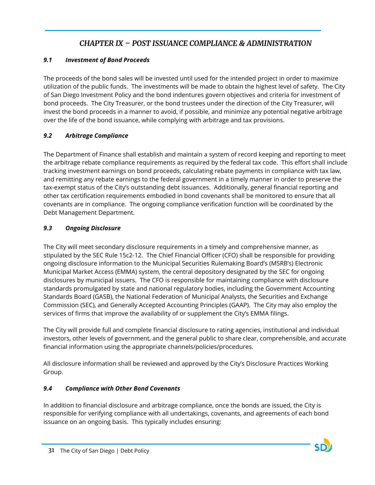# *CHAPTER IX – POST ISSUANCE COMPLIANCE & ADMINISTRATION*

# <span id="page-31-1"></span><span id="page-31-0"></span>*9.1 Investment of Bond Proceeds*

The proceeds of the bond sales will be invested until used for the intended project in order to maximize utilization of the public funds. The investments will be made to obtain the highest level of safety. The City of San Diego Investment Policy and the bond indentures govern objectives and criteria for investment of bond proceeds. The City Treasurer, or the bond trustees under the direction of the City Treasurer, will invest the bond proceeds in a manner to avoid, if possible, and minimize any potential negative arbitrage over the life of the bond issuance, while complying with arbitrage and tax provisions.

### <span id="page-31-2"></span>*9.2 Arbitrage Compliance*

The Department of Finance shall establish and maintain a system of record keeping and reporting to meet the arbitrage rebate compliance requirements as required by the federal tax code. This effort shall include tracking investment earnings on bond proceeds, calculating rebate payments in compliance with tax law, and remitting any rebate earnings to the federal government in a timely manner in order to preserve the tax-exempt status of the City's outstanding debt issuances. Additionally, general financial reporting and other tax certification requirements embodied in bond covenants shall be monitored to ensure that all covenants are in compliance. The ongoing compliance verification function will be coordinated by the Debt Management Department.

### <span id="page-31-3"></span>*9.3 Ongoing Disclosure*

The City will meet secondary disclosure requirements in a timely and comprehensive manner, as stipulated by the SEC Rule 15c2-12. The Chief Financial Officer (CFO) shall be responsible for providing ongoing disclosure information to the Municipal Securities Rulemaking Board's (MSRB's) Electronic Municipal Market Access (EMMA) system, the central depository designated by the SEC for ongoing disclosures by municipal issuers. The CFO is responsible for maintaining compliance with disclosure standards promulgated by state and national regulatory bodies, including the Government Accounting Standards Board (GASB), the National Federation of Municipal Analysts, the Securities and Exchange Commission (SEC), and Generally Accepted Accounting Principles (GAAP). The City may also employ the services of firms that improve the availability of or supplement the City's EMMA filings.

The City will provide full and complete financial disclosure to rating agencies, institutional and individual investors, other levels of government, and the general public to share clear, comprehensible, and accurate financial information using the appropriate channels/policies/procedures.

All disclosure information shall be reviewed and approved by the City's Disclosure Practices Working Group.

# <span id="page-31-4"></span>*9.4 Compliance with Other Bond Covenants*

In addition to financial disclosure and arbitrage compliance, once the bonds are issued, the City is responsible for verifying compliance with all undertakings, covenants, and agreements of each bond issuance on an ongoing basis. This typically includes ensuring: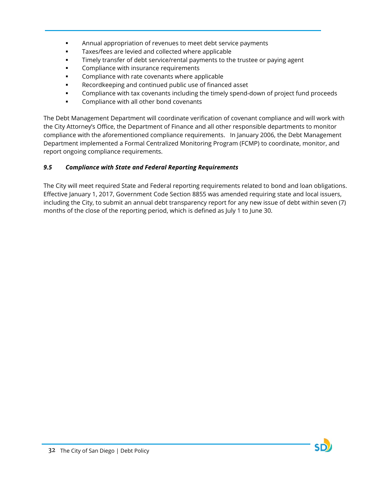- Annual appropriation of revenues to meet debt service payments
- **Taxes/fees are levied and collected where applicable**
- Timely transfer of debt service/rental payments to the trustee or paying agent
- Compliance with insurance requirements
- **EXECOMPLE COMPLEANCE COVERTS** where applicable
- Recordkeeping and continued public use of financed asset
- Compliance with tax covenants including the timely spend-down of project fund proceeds
- **Compliance with all other bond covenants**

The Debt Management Department will coordinate verification of covenant compliance and will work with the City Attorney's Office, the Department of Finance and all other responsible departments to monitor compliance with the aforementioned compliance requirements. In January 2006, the Debt Management Department implemented a Formal Centralized Monitoring Program (FCMP) to coordinate, monitor, and report ongoing compliance requirements.

# <span id="page-32-0"></span>*9.5 Compliance with State and Federal Reporting Requirements*

The City will meet required State and Federal reporting requirements related to bond and loan obligations. Effective January 1, 2017, Government Code Section 8855 was amended requiring state and local issuers, including the City, to submit an annual debt transparency report for any new issue of debt within seven (7) months of the close of the reporting period, which is defined as July 1 to June 30.

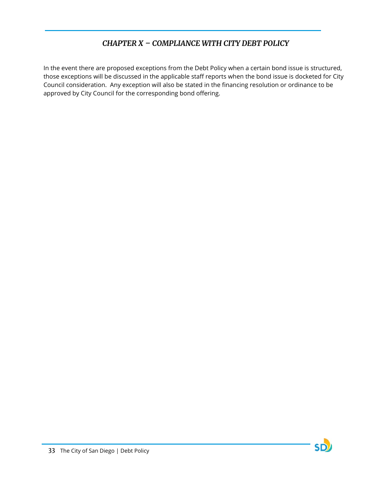# *CHAPTER X – COMPLIANCE WITH CITY DEBT POLICY*

<span id="page-33-0"></span>In the event there are proposed exceptions from the Debt Policy when a certain bond issue is structured, those exceptions will be discussed in the applicable staff reports when the bond issue is docketed for City Council consideration. Any exception will also be stated in the financing resolution or ordinance to be approved by City Council for the corresponding bond offering.

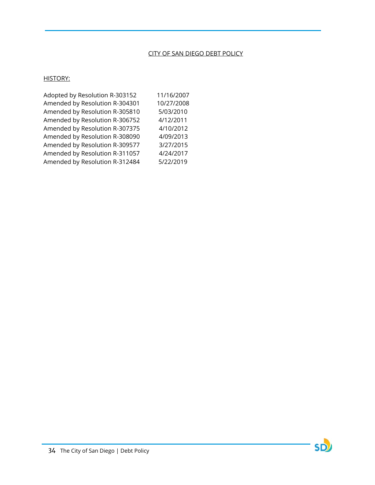### CITY OF SAN DIEGO DEBT POLICY

## HISTORY:

| Adopted by Resolution R-303152 | 11/16/2007 |
|--------------------------------|------------|
| Amended by Resolution R-304301 | 10/27/2008 |
| Amended by Resolution R-305810 | 5/03/2010  |
| Amended by Resolution R-306752 | 4/12/2011  |
| Amended by Resolution R-307375 | 4/10/2012  |
| Amended by Resolution R-308090 | 4/09/2013  |
| Amended by Resolution R-309577 | 3/27/2015  |
| Amended by Resolution R-311057 | 4/24/2017  |
| Amended by Resolution R-312484 | 5/22/2019  |

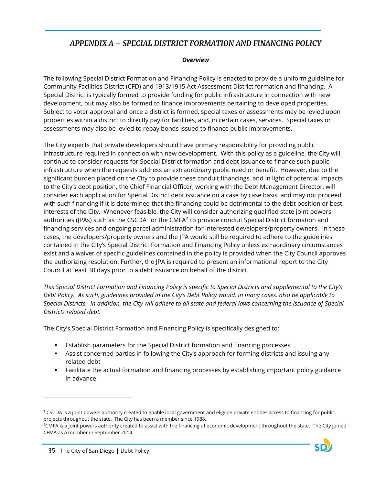# <span id="page-35-0"></span>*APPENDIX A – SPECIAL DISTRICT FORMATION AND FINANCING POLICY*

#### *Overview*

<span id="page-35-1"></span>The following Special District Formation and Financing Policy is enacted to provide a uniform guideline for Community Facilities District (CFD) and 1913/1915 Act Assessment District formation and financing. A Special District is typically formed to provide funding for public infrastructure in connection with new development, but may also be formed to finance improvements pertaining to developed properties. Subject to voter approval and once a district is formed, special taxes or assessments may be levied upon properties within a district to directly pay for facilities, and, in certain cases, services. Special taxes or assessments may also be levied to repay bonds issued to finance public improvements.

The City expects that private developers should have primary responsibility for providing public infrastructure required in connection with new development. With this policy as a guideline, the City will continue to consider requests for Special District formation and debt issuance to finance such public infrastructure when the requests address an extraordinary public need or benefit. However, due to the significant burden placed on the City to provide these conduit financings, and in light of potential impacts to the City's debt position, the Chief Financial Officer, working with the Debt Management Director, will consider each application for Special District debt issuance on a case by case basis, and may not proceed with such financing if it is determined that the financing could be detrimental to the debt position or best interests of the City. Whenever feasible, the City will consider authorizing qualified state joint powers authorities (JPAs) such as the CSCDA<sup>[1](#page-35-2)</sup> or the CMFA<sup>[2](#page-35-3)</sup> to provide conduit Special District formation and financing services and ongoing parcel administration for interested developers/property owners. In these cases, the developers/property owners and the JPA would still be required to adhere to the guidelines contained in the City's Special District Formation and Financing Policy unless extraordinary circumstances exist and a waiver of specific guidelines contained in the policy is provided when the City Council approves the authorizing resolution. Further, the JPA is required to present an informational report to the City Council at least 30 days prior to a debt issuance on behalf of the district.

*This Special District Formation and Financing Policy is specific to Special Districts and supplemental to the City's Debt Policy. As such, guidelines provided in the City's Debt Policy would, in many cases, also be applicable to Special Districts. In addition, the City will adhere to all state and federal laws concerning the issuance of Special Districts related debt.*

The City's Special District Formation and Financing Policy is specifically designed to:

- Establish parameters for the Special District formation and financing processes
- Assist concerned parties in following the City's approach for forming districts and issuing any related debt
- Facilitate the actual formation and financing processes by establishing important policy guidance in advance

 $\overline{a}$ 

<span id="page-35-2"></span> $1$  CSCDA is a joint powers authority created to enable local government and eligible private entities access to financing for public projects throughout the state. The City has been a member since 1988.

<span id="page-35-3"></span><sup>2</sup> CMFA is a joint powers authority created to assist with the financing of economic development throughout the state. The City joined CFMA as a member in September 2014.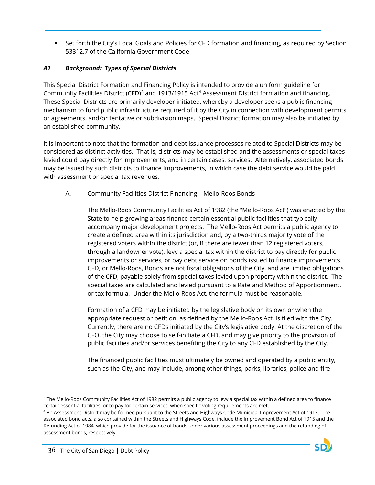Set forth the City's Local Goals and Policies for CFD formation and financing, as required by Section 53312.7 of the California Government Code

## *A1 Background: Types of Special Districts*

This Special District Formation and Financing Policy is intended to provide a uniform guideline for Community Facilities District (CFD)<sup>[3](#page-36-0)</sup> and 1913/1915 Act<sup>[4](#page-36-1)</sup> Assessment District formation and financing. These Special Districts are primarily developer initiated, whereby a developer seeks a public financing mechanism to fund public infrastructure required of it by the City in connection with development permits or agreements, and/or tentative or subdivision maps. Special District formation may also be initiated by an established community.

It is important to note that the formation and debt issuance processes related to Special Districts may be considered as distinct activities. That is, districts may be established and the assessments or special taxes levied could pay directly for improvements, and in certain cases, services. Alternatively, associated bonds may be issued by such districts to finance improvements, in which case the debt service would be paid with assessment or special tax revenues.

### A. Community Facilities District Financing – Mello-Roos Bonds

The Mello-Roos Community Facilities Act of 1982 (the "Mello-Roos Act") was enacted by the State to help growing areas finance certain essential public facilities that typically accompany major development projects. The Mello-Roos Act permits a public agency to create a defined area within its jurisdiction and, by a two-thirds majority vote of the registered voters within the district (or, if there are fewer than 12 registered voters, through a landowner vote), levy a special tax within the district to pay directly for public improvements or services, or pay debt service on bonds issued to finance improvements. CFD, or Mello-Roos, Bonds are not fiscal obligations of the City, and are limited obligations of the CFD, payable solely from special taxes levied upon property within the district. The special taxes are calculated and levied pursuant to a Rate and Method of Apportionment, or tax formula. Under the Mello-Roos Act, the formula must be reasonable.

Formation of a CFD may be initiated by the legislative body on its own or when the appropriate request or petition, as defined by the Mello-Roos Act, is filed with the City. Currently, there are no CFDs initiated by the City's legislative body. At the discretion of the CFO, the City may choose to self-initiate a CFD, and may give priority to the provision of public facilities and/or services benefiting the City to any CFD established by the City.

The financed public facilities must ultimately be owned and operated by a public entity, such as the City, and may include, among other things, parks, libraries, police and fire

<span id="page-36-1"></span><sup>4</sup> An Assessment District may be formed pursuant to the Streets and Highways Code Municipal Improvement Act of 1913. The associated bond acts, also contained within the Streets and Highways Code, include the Improvement Bond Act of 1915 and the Refunding Act of 1984, which provide for the issuance of bonds under various assessment proceedings and the refunding of assessment bonds, respectively.



 $\overline{a}$ 

<span id="page-36-0"></span><sup>&</sup>lt;sup>3</sup> The Mello-Roos Community Facilities Act of 1982 permits a public agency to levy a special tax within a defined area to finance certain essential facilities, or to pay for certain services, when specific voting requirements are met.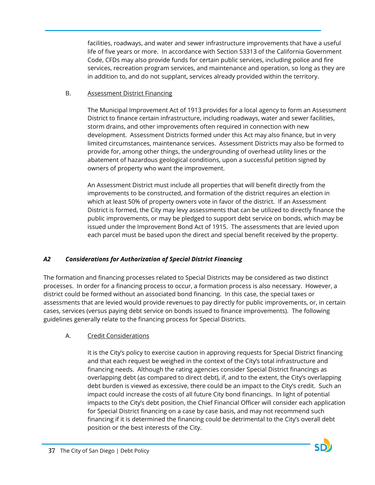facilities, roadways, and water and sewer infrastructure improvements that have a useful life of five years or more. In accordance with Section 53313 of the California Government Code, CFDs may also provide funds for certain public services, including police and fire services, recreation program services, and maintenance and operation, so long as they are in addition to, and do not supplant, services already provided within the territory.

## B. Assessment District Financing

The Municipal Improvement Act of 1913 provides for a local agency to form an Assessment District to finance certain infrastructure, including roadways, water and sewer facilities, storm drains, and other improvements often required in connection with new development. Assessment Districts formed under this Act may also finance, but in very limited circumstances, maintenance services. Assessment Districts may also be formed to provide for, among other things, the undergrounding of overhead utility lines or the abatement of hazardous geological conditions, upon a successful petition signed by owners of property who want the improvement.

An Assessment District must include all properties that will benefit directly from the improvements to be constructed, and formation of the district requires an election in which at least 50% of property owners vote in favor of the district. If an Assessment District is formed, the City may levy assessments that can be utilized to directly finance the public improvements, or may be pledged to support debt service on bonds, which may be issued under the Improvement Bond Act of 1915. The assessments that are levied upon each parcel must be based upon the direct and special benefit received by the property.

## *A2 Considerations for Authorization of Special District Financing*

The formation and financing processes related to Special Districts may be considered as two distinct processes. In order for a financing process to occur, a formation process is also necessary. However, a district could be formed without an associated bond financing. In this case, the special taxes or assessments that are levied would provide revenues to pay directly for public improvements, or, in certain cases, services (versus paying debt service on bonds issued to finance improvements). The following guidelines generally relate to the financing process for Special Districts.

## A. Credit Considerations

It is the City's policy to exercise caution in approving requests for Special District financing and that each request be weighed in the context of the City's total infrastructure and financing needs. Although the rating agencies consider Special District financings as overlapping debt (as compared to direct debt), if, and to the extent, the City's overlapping debt burden is viewed as excessive, there could be an impact to the City's credit. Such an impact could increase the costs of all future City bond financings. In light of potential impacts to the City's debt position, the Chief Financial Officer will consider each application for Special District financing on a case by case basis, and may not recommend such financing if it is determined the financing could be detrimental to the City's overall debt position or the best interests of the City.

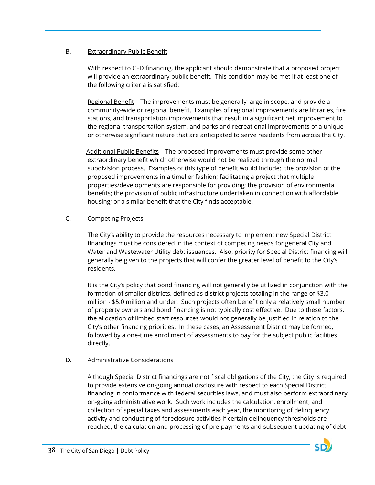### B. Extraordinary Public Benefit

With respect to CFD financing, the applicant should demonstrate that a proposed project will provide an extraordinary public benefit. This condition may be met if at least one of the following criteria is satisfied:

Regional Benefit - The improvements must be generally large in scope, and provide a community-wide or regional benefit. Examples of regional improvements are libraries, fire stations, and transportation improvements that result in a significant net improvement to the regional transportation system, and parks and recreational improvements of a unique or otherwise significant nature that are anticipated to serve residents from across the City.

 Additional Public Benefits – The proposed improvements must provide some other extraordinary benefit which otherwise would not be realized through the normal subdivision process. Examples of this type of benefit would include: the provision of the proposed improvements in a timelier fashion; facilitating a project that multiple properties/developments are responsible for providing; the provision of environmental benefits; the provision of public infrastructure undertaken in connection with affordable housing; or a similar benefit that the City finds acceptable.

### C. Competing Projects

The City's ability to provide the resources necessary to implement new Special District financings must be considered in the context of competing needs for general City and Water and Wastewater Utility debt issuances. Also, priority for Special District financing will generally be given to the projects that will confer the greater level of benefit to the City's residents.

It is the City's policy that bond financing will not generally be utilized in conjunction with the formation of smaller districts, defined as district projects totaling in the range of \$3.0 million - \$5.0 million and under. Such projects often benefit only a relatively small number of property owners and bond financing is not typically cost effective. Due to these factors, the allocation of limited staff resources would not generally be justified in relation to the City's other financing priorities. In these cases, an Assessment District may be formed, followed by a one-time enrollment of assessments to pay for the subject public facilities directly.

### D. Administrative Considerations

Although Special District financings are not fiscal obligations of the City, the City is required to provide extensive on-going annual disclosure with respect to each Special District financing in conformance with federal securities laws, and must also perform extraordinary on-going administrative work. Such work includes the calculation, enrollment, and collection of special taxes and assessments each year, the monitoring of delinquency activity and conducting of foreclosure activities if certain delinquency thresholds are reached, the calculation and processing of pre-payments and subsequent updating of debt

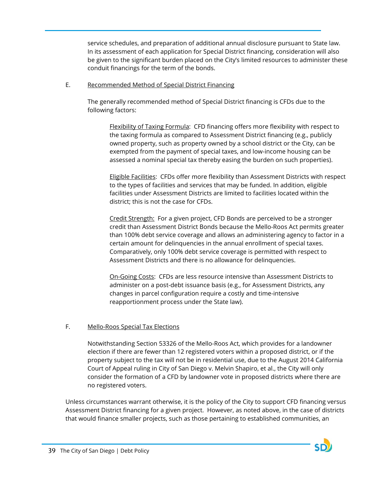service schedules, and preparation of additional annual disclosure pursuant to State law. In its assessment of each application for Special District financing, consideration will also be given to the significant burden placed on the City's limited resources to administer these conduit financings for the term of the bonds.

#### E. Recommended Method of Special District Financing

The generally recommended method of Special District financing is CFDs due to the following factors:

Flexibility of Taxing Formula: CFD financing offers more flexibility with respect to the taxing formula as compared to Assessment District financing (e.g., publicly owned property, such as property owned by a school district or the City, can be exempted from the payment of special taxes, and low-income housing can be assessed a nominal special tax thereby easing the burden on such properties).

Eligible Facilities: CFDs offer more flexibility than Assessment Districts with respect to the types of facilities and services that may be funded. In addition, eligible facilities under Assessment Districts are limited to facilities located within the district; this is not the case for CFDs.

Credit Strength: For a given project, CFD Bonds are perceived to be a stronger credit than Assessment District Bonds because the Mello-Roos Act permits greater than 100% debt service coverage and allows an administering agency to factor in a certain amount for delinquencies in the annual enrollment of special taxes. Comparatively, only 100% debt service coverage is permitted with respect to Assessment Districts and there is no allowance for delinquencies.

On-Going Costs: CFDs are less resource intensive than Assessment Districts to administer on a post-debt issuance basis (e.g., for Assessment Districts, any changes in parcel configuration require a costly and time-intensive reapportionment process under the State law).

### F. Mello-Roos Special Tax Elections

Notwithstanding Section 53326 of the Mello-Roos Act, which provides for a landowner election if there are fewer than 12 registered voters within a proposed district, or if the property subject to the tax will not be in residential use, due to the August 2014 California Court of Appeal ruling in City of San Diego v. Melvin Shapiro, et al., the City will only consider the formation of a CFD by landowner vote in proposed districts where there are no registered voters.

Unless circumstances warrant otherwise, it is the policy of the City to support CFD financing versus Assessment District financing for a given project. However, as noted above, in the case of districts that would finance smaller projects, such as those pertaining to established communities, an

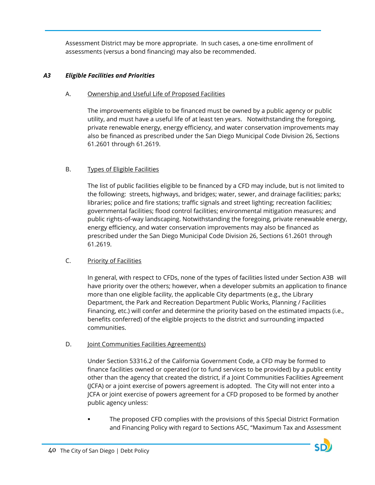Assessment District may be more appropriate. In such cases, a one-time enrollment of assessments (versus a bond financing) may also be recommended.

## *A3 Eligible Facilities and Priorities*

## A. Ownership and Useful Life of Proposed Facilities

The improvements eligible to be financed must be owned by a public agency or public utility, and must have a useful life of at least ten years. Notwithstanding the foregoing, private renewable energy, energy efficiency, and water conservation improvements may also be financed as prescribed under the San Diego Municipal Code Division 26, Sections 61.2601 through 61.2619.

## B. Types of Eligible Facilities

The list of public facilities eligible to be financed by a CFD may include, but is not limited to the following: streets, highways, and bridges; water, sewer, and drainage facilities; parks; libraries; police and fire stations; traffic signals and street lighting; recreation facilities; governmental facilities; flood control facilities; environmental mitigation measures; and public rights-of-way landscaping. Notwithstanding the foregoing, private renewable energy, energy efficiency, and water conservation improvements may also be financed as prescribed under the San Diego Municipal Code Division 26, Sections 61.2601 through 61.2619.

## C. Priority of Facilities

In general, with respect to CFDs, none of the types of facilities listed under Section A3B will have priority over the others; however, when a developer submits an application to finance more than one eligible facility, the applicable City departments (e.g., the Library Department, the Park and Recreation Department Public Works, Planning / Facilities Financing, etc.) will confer and determine the priority based on the estimated impacts (i.e., benefits conferred) of the eligible projects to the district and surrounding impacted communities.

### D. **Joint Communities Facilities Agreement(s)**

Under Section 53316.2 of the California Government Code, a CFD may be formed to finance facilities owned or operated (or to fund services to be provided) by a public entity other than the agency that created the district, if a Joint Communities Facilities Agreement (JCFA) or a joint exercise of powers agreement is adopted. The City will not enter into a JCFA or joint exercise of powers agreement for a CFD proposed to be formed by another public agency unless:

 The proposed CFD complies with the provisions of this Special District Formation and Financing Policy with regard to Sections A5C, "Maximum Tax and Assessment

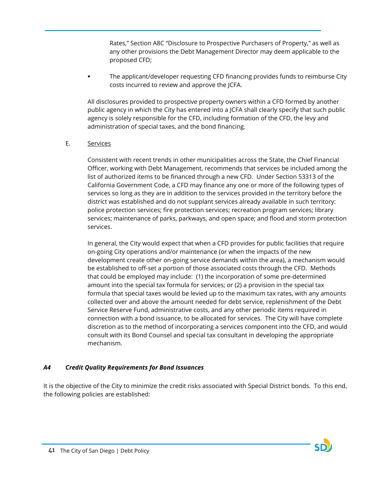Rates," Section A8C "Disclosure to Prospective Purchasers of Property," as well as any other provisions the Debt Management Director may deem applicable to the proposed CFD;

 The applicant/developer requesting CFD financing provides funds to reimburse City costs incurred to review and approve the JCFA.

All disclosures provided to prospective property owners within a CFD formed by another public agency in which the City has entered into a JCFA shall clearly specify that such public agency is solely responsible for the CFD, including formation of the CFD, the levy and administration of special taxes, and the bond financing.

### E. Services

Consistent with recent trends in other municipalities across the State, the Chief Financial Officer, working with Debt Management, recommends that services be included among the list of authorized items to be financed through a new CFD. Under Section 53313 of the California Government Code, a CFD may finance any one or more of the following types of services so long as they are in addition to the services provided in the territory before the district was established and do not supplant services already available in such territory: police protection services; fire protection services; recreation program services; library services; maintenance of parks, parkways, and open space; and flood and storm protection services.

In general, the City would expect that when a CFD provides for public facilities that require on-going City operations and/or maintenance (or when the impacts of the new development create other on-going service demands within the area), a mechanism would be established to off-set a portion of those associated costs through the CFD. Methods that could be employed may include: (1) the incorporation of some pre-determined amount into the special tax formula for services; or (2) a provision in the special tax formula that special taxes would be levied up to the maximum tax rates, with any amounts collected over and above the amount needed for debt service, replenishment of the Debt Service Reserve Fund, administrative costs, and any other periodic items required in connection with a bond issuance, to be allocated for services. The City will have complete discretion as to the method of incorporating a services component into the CFD, and would consult with its Bond Counsel and special tax consultant in developing the appropriate mechanism.

### *A4 Credit Quality Requirements for Bond Issuances*

It is the objective of the City to minimize the credit risks associated with Special District bonds. To this end, the following policies are established:

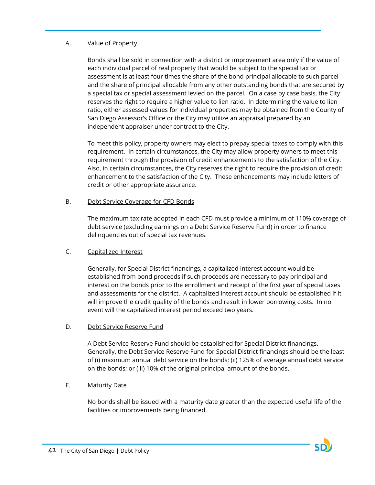### A. Value of Property

Bonds shall be sold in connection with a district or improvement area only if the value of each individual parcel of real property that would be subject to the special tax or assessment is at least four times the share of the bond principal allocable to such parcel and the share of principal allocable from any other outstanding bonds that are secured by a special tax or special assessment levied on the parcel. On a case by case basis, the City reserves the right to require a higher value to lien ratio. In determining the value to lien ratio, either assessed values for individual properties may be obtained from the County of San Diego Assessor's Office or the City may utilize an appraisal prepared by an independent appraiser under contract to the City.

To meet this policy, property owners may elect to prepay special taxes to comply with this requirement. In certain circumstances, the City may allow property owners to meet this requirement through the provision of credit enhancements to the satisfaction of the City. Also, in certain circumstances, the City reserves the right to require the provision of credit enhancement to the satisfaction of the City. These enhancements may include letters of credit or other appropriate assurance.

### B. Debt Service Coverage for CFD Bonds

The maximum tax rate adopted in each CFD must provide a minimum of 110% coverage of debt service (excluding earnings on a Debt Service Reserve Fund) in order to finance delinquencies out of special tax revenues.

### C. Capitalized Interest

Generally, for Special District financings, a capitalized interest account would be established from bond proceeds if such proceeds are necessary to pay principal and interest on the bonds prior to the enrollment and receipt of the first year of special taxes and assessments for the district. A capitalized interest account should be established if it will improve the credit quality of the bonds and result in lower borrowing costs. In no event will the capitalized interest period exceed two years.

### D. Debt Service Reserve Fund

A Debt Service Reserve Fund should be established for Special District financings. Generally, the Debt Service Reserve Fund for Special District financings should be the least of (i) maximum annual debt service on the bonds; (ii) 125% of average annual debt service on the bonds; or (iii) 10% of the original principal amount of the bonds.

### E. Maturity Date

No bonds shall be issued with a maturity date greater than the expected useful life of the facilities or improvements being financed.

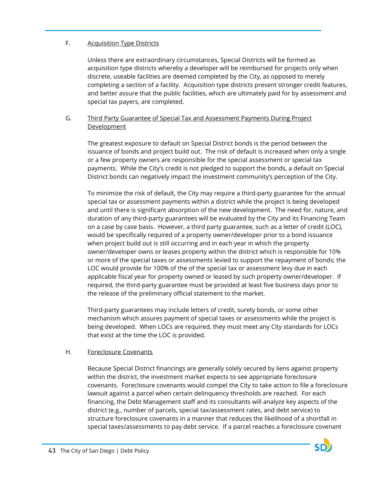### F. Acquisition Type Districts

Unless there are extraordinary circumstances, Special Districts will be formed as acquisition type districts whereby a developer will be reimbursed for projects only when discrete, useable facilities are deemed completed by the City, as opposed to merely completing a section of a facility. Acquisition type districts present stronger credit features, and better assure that the public facilities, which are ultimately paid for by assessment and special tax payers, are completed.

### G. Third Party Guarantee of Special Tax and Assessment Payments During Project **Development**

The greatest exposure to default on Special District bonds is the period between the issuance of bonds and project build out. The risk of default is increased when only a single or a few property owners are responsible for the special assessment or special tax payments. While the City's credit is not pledged to support the bonds, a default on Special District bonds can negatively impact the investment community's perception of the City.

To minimize the risk of default, the City may require a third-party guarantee for the annual special tax or assessment payments within a district while the project is being developed and until there is significant absorption of the new development. The need for, nature, and duration of any third-party guarantees will be evaluated by the City and its Financing Team on a case by case basis. However, a third party guarantee, such as a letter of credit (LOC), would be specifically required of a property owner/developer prior to a bond issuance when project build out is still occurring and in each year in which the property owner/developer owns or leases property within the district which is responsible for 10% or more of the special taxes or assessments levied to support the repayment of bonds; the LOC would provide for 100% of the of the special tax or assessment levy due in each applicable fiscal year for property owned or leased by such property owner/developer. If required, the third-party guarantee must be provided at least five business days prior to the release of the preliminary official statement to the market.

Third-party guarantees may include letters of credit, surety bonds, or some other mechanism which assures payment of special taxes or assessments while the project is being developed. When LOCs are required, they must meet any City standards for LOCs that exist at the time the LOC is provided.

### H. Foreclosure Covenants

Because Special District financings are generally solely secured by liens against property within the district, the investment market expects to see appropriate foreclosure covenants. Foreclosure covenants would compel the City to take action to file a foreclosure lawsuit against a parcel when certain delinquency thresholds are reached. For each financing, the Debt Management staff and its consultants will analyze key aspects of the district (e.g., number of parcels, special tax/assessment rates, and debt service) to structure foreclosure covenants in a manner that reduces the likelihood of a shortfall in special taxes/assessments to pay debt service. If a parcel reaches a foreclosure covenant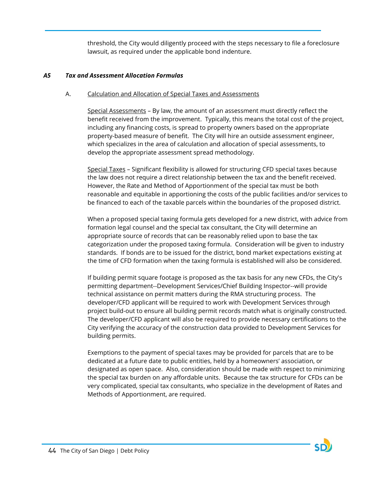threshold, the City would diligently proceed with the steps necessary to file a foreclosure lawsuit, as required under the applicable bond indenture.

### *A5 Tax and Assessment Allocation Formulas*

### A. Calculation and Allocation of Special Taxes and Assessments

Special Assessments – By law, the amount of an assessment must directly reflect the benefit received from the improvement. Typically, this means the total cost of the project, including any financing costs, is spread to property owners based on the appropriate property-based measure of benefit. The City will hire an outside assessment engineer, which specializes in the area of calculation and allocation of special assessments, to develop the appropriate assessment spread methodology.

Special Taxes – Significant flexibility is allowed for structuring CFD special taxes because the law does not require a direct relationship between the tax and the benefit received. However, the Rate and Method of Apportionment of the special tax must be both reasonable and equitable in apportioning the costs of the public facilities and/or services to be financed to each of the taxable parcels within the boundaries of the proposed district.

When a proposed special taxing formula gets developed for a new district, with advice from formation legal counsel and the special tax consultant, the City will determine an appropriate source of records that can be reasonably relied upon to base the tax categorization under the proposed taxing formula. Consideration will be given to industry standards. If bonds are to be issued for the district, bond market expectations existing at the time of CFD formation when the taxing formula is established will also be considered.

If building permit square footage is proposed as the tax basis for any new CFDs, the City's permitting department--Development Services/Chief Building Inspector--will provide technical assistance on permit matters during the RMA structuring process. The developer/CFD applicant will be required to work with Development Services through project build-out to ensure all building permit records match what is originally constructed. The developer/CFD applicant will also be required to provide necessary certifications to the City verifying the accuracy of the construction data provided to Development Services for building permits.

Exemptions to the payment of special taxes may be provided for parcels that are to be dedicated at a future date to public entities, held by a homeowners' association, or designated as open space. Also, consideration should be made with respect to minimizing the special tax burden on any affordable units. Because the tax structure for CFDs can be very complicated, special tax consultants, who specialize in the development of Rates and Methods of Apportionment, are required.

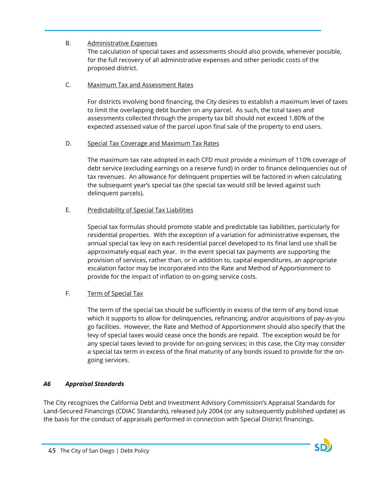## B. Administrative Expenses

The calculation of special taxes and assessments should also provide, whenever possible, for the full recovery of all administrative expenses and other periodic costs of the proposed district.

### C. Maximum Tax and Assessment Rates

For districts involving bond financing, the City desires to establish a maximum level of taxes to limit the overlapping debt burden on any parcel. As such, the total taxes and assessments collected through the property tax bill should not exceed 1.80% of the expected assessed value of the parcel upon final sale of the property to end users.

### D. Special Tax Coverage and Maximum Tax Rates

The maximum tax rate adopted in each CFD must provide a minimum of 110% coverage of debt service (excluding earnings on a reserve fund) in order to finance delinquencies out of tax revenues. An allowance for delinquent properties will be factored in when calculating the subsequent year's special tax (the special tax would still be levied against such delinquent parcels).

## E. Predictability of Special Tax Liabilities

Special tax formulas should promote stable and predictable tax liabilities, particularly for residential properties. With the exception of a variation for administrative expenses, the annual special tax levy on each residential parcel developed to its final land use shall be approximately equal each year. In the event special tax payments are supporting the provision of services, rather than, or in addition to, capital expenditures, an appropriate escalation factor may be incorporated into the Rate and Method of Apportionment to provide for the impact of inflation to on-going service costs.

### F. Term of Special Tax

The term of the special tax should be sufficiently in excess of the term of any bond issue which it supports to allow for delinquencies, refinancing, and/or acquisitions of pay-as-you go facilities. However, the Rate and Method of Apportionment should also specify that the levy of special taxes would cease once the bonds are repaid. The exception would be for any special taxes levied to provide for on-going services; in this case, the City may consider a special tax term in excess of the final maturity of any bonds issued to provide for the ongoing services.

## *A6 Appraisal Standards*

The City recognizes the California Debt and Investment Advisory Commission's Appraisal Standards for Land-Secured Financings (CDIAC Standards), released July 2004 (or any subsequently published update) as the basis for the conduct of appraisals performed in connection with Special District financings.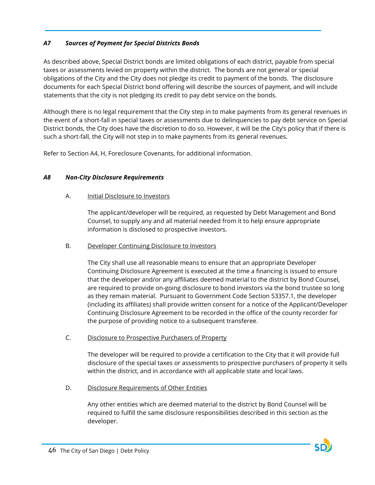## *A7 Sources of Payment for Special Districts Bonds*

As described above, Special District bonds are limited obligations of each district, payable from special taxes or assessments levied on property within the district. The bonds are not general or special obligations of the City and the City does not pledge its credit to payment of the bonds. The disclosure documents for each Special District bond offering will describe the sources of payment, and will include statements that the city is not pledging its credit to pay debt service on the bonds.

Although there is no legal requirement that the City step in to make payments from its general revenues in the event of a short-fall in special taxes or assessments due to delinquencies to pay debt service on Special District bonds, the City does have the discretion to do so. However, it will be the City's policy that if there is such a short-fall, the City will not step in to make payments from its general revenues.

Refer to Section A4, H, Foreclosure Covenants, for additional information.

### *A8 Non-City Disclosure Requirements*

### A. Initial Disclosure to Investors

The applicant/developer will be required, as requested by Debt Management and Bond Counsel, to supply any and all material needed from it to help ensure appropriate information is disclosed to prospective investors.

### B. Developer Continuing Disclosure to Investors

The City shall use all reasonable means to ensure that an appropriate Developer Continuing Disclosure Agreement is executed at the time a financing is issued to ensure that the developer and/or any affiliates deemed material to the district by Bond Counsel, are required to provide on-going disclosure to bond investors via the bond trustee so long as they remain material. Pursuant to Government Code Section 53357.1, the developer (including its affiliates) shall provide written consent for a notice of the Applicant/Developer Continuing Disclosure Agreement to be recorded in the office of the county recorder for the purpose of providing notice to a subsequent transferee.

### C. Disclosure to Prospective Purchasers of Property

The developer will be required to provide a certification to the City that it will provide full disclosure of the special taxes or assessments to prospective purchasers of property it sells within the district, and in accordance with all applicable state and local laws.

D. Disclosure Requirements of Other Entities

Any other entities which are deemed material to the district by Bond Counsel will be required to fulfill the same disclosure responsibilities described in this section as the developer.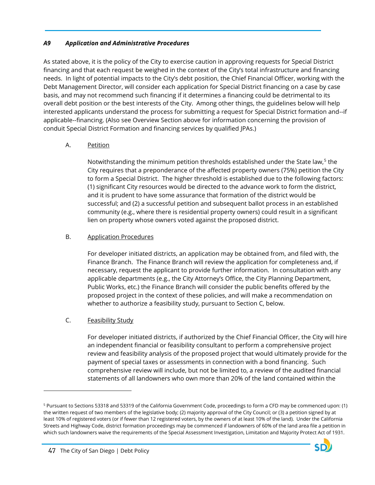### *A9 Application and Administrative Procedures*

As stated above, it is the policy of the City to exercise caution in approving requests for Special District financing and that each request be weighed in the context of the City's total infrastructure and financing needs. In light of potential impacts to the City's debt position, the Chief Financial Officer, working with the Debt Management Director, will consider each application for Special District financing on a case by case basis, and may not recommend such financing if it determines a financing could be detrimental to its overall debt position or the best interests of the City. Among other things, the guidelines below will help interested applicants understand the process for submitting a request for Special District formation and--if applicable--financing. (Also see Overview Section above for information concerning the provision of conduit Special District Formation and financing services by qualified JPAs.)

## A. Petition

Notwithstanding the minimum petition thresholds established under the State law, [5](#page-47-0) the City requires that a preponderance of the affected property owners (75%) petition the City to form a Special District. The higher threshold is established due to the following factors: (1) significant City resources would be directed to the advance work to form the district, and it is prudent to have some assurance that formation of the district would be successful; and (2) a successful petition and subsequent ballot process in an established community (e.g., where there is residential property owners) could result in a significant lien on property whose owners voted against the proposed district.

### B. Application Procedures

For developer initiated districts, an application may be obtained from, and filed with, the Finance Branch. The Finance Branch will review the application for completeness and, if necessary, request the applicant to provide further information. In consultation with any applicable departments (e.g., the City Attorney's Office, the City Planning Department, Public Works, etc.) the Finance Branch will consider the public benefits offered by the proposed project in the context of these policies, and will make a recommendation on whether to authorize a feasibility study, pursuant to Section C, below.

## C. Feasibility Study

For developer initiated districts, if authorized by the Chief Financial Officer, the City will hire an independent financial or feasibility consultant to perform a comprehensive project review and feasibility analysis of the proposed project that would ultimately provide for the payment of special taxes or assessments in connection with a bond financing. Such comprehensive review will include, but not be limited to, a review of the audited financial statements of all landowners who own more than 20% of the land contained within the

 $\overline{a}$ 

<span id="page-47-0"></span><sup>5</sup> Pursuant to Sections 53318 and 53319 of the California Government Code, proceedings to form a CFD may be commenced upon: (1) the written request of two members of the legislative body; (2) majority approval of the City Council; or (3) a petition signed by at least 10% of registered voters (or if fewer than 12 registered voters, by the owners of at least 10% of the land). Under the California Streets and Highway Code, district formation proceedings may be commenced if landowners of 60% of the land area file a petition in which such landowners waive the requirements of the Special Assessment Investigation, Limitation and Majority Protect Act of 1931.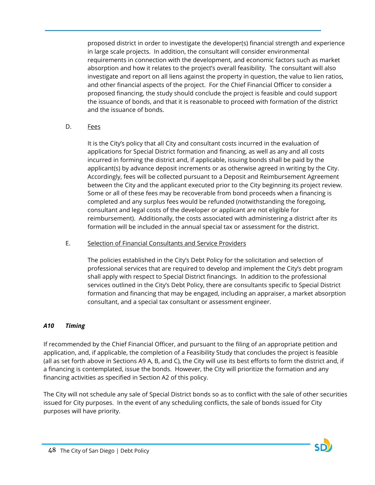proposed district in order to investigate the developer(s) financial strength and experience in large scale projects. In addition, the consultant will consider environmental requirements in connection with the development, and economic factors such as market absorption and how it relates to the project's overall feasibility. The consultant will also investigate and report on all liens against the property in question, the value to lien ratios, and other financial aspects of the project. For the Chief Financial Officer to consider a proposed financing, the study should conclude the project is feasible and could support the issuance of bonds, and that it is reasonable to proceed with formation of the district and the issuance of bonds.

### D. Fees

It is the City's policy that all City and consultant costs incurred in the evaluation of applications for Special District formation and financing, as well as any and all costs incurred in forming the district and, if applicable, issuing bonds shall be paid by the applicant(s) by advance deposit increments or as otherwise agreed in writing by the City. Accordingly, fees will be collected pursuant to a Deposit and Reimbursement Agreement between the City and the applicant executed prior to the City beginning its project review. Some or all of these fees may be recoverable from bond proceeds when a financing is completed and any surplus fees would be refunded (notwithstanding the foregoing, consultant and legal costs of the developer or applicant are not eligible for reimbursement). Additionally, the costs associated with administering a district after its formation will be included in the annual special tax or assessment for the district.

### E. Selection of Financial Consultants and Service Providers

The policies established in the City's Debt Policy for the solicitation and selection of professional services that are required to develop and implement the City's debt program shall apply with respect to Special District financings. In addition to the professional services outlined in the City's Debt Policy, there are consultants specific to Special District formation and financing that may be engaged, including an appraiser, a market absorption consultant, and a special tax consultant or assessment engineer.

### *A10 Timing*

If recommended by the Chief Financial Officer, and pursuant to the filing of an appropriate petition and application, and, if applicable, the completion of a Feasibility Study that concludes the project is feasible (all as set forth above in Sections A9 A, B, and C), the City will use its best efforts to form the district and, if a financing is contemplated, issue the bonds. However, the City will prioritize the formation and any financing activities as specified in Section A2 of this policy.

The City will not schedule any sale of Special District bonds so as to conflict with the sale of other securities issued for City purposes. In the event of any scheduling conflicts, the sale of bonds issued for City purposes will have priority.

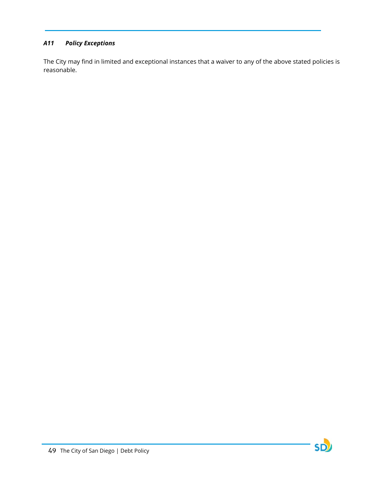## *A11 Policy Exceptions*

The City may find in limited and exceptional instances that a waiver to any of the above stated policies is reasonable.

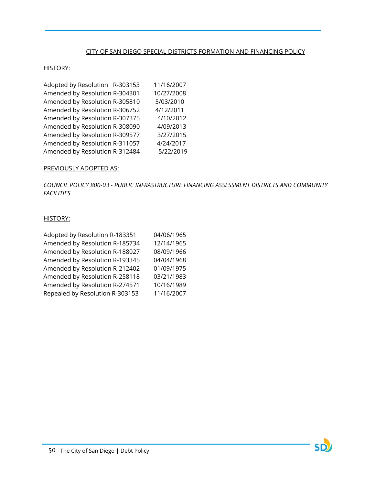### CITY OF SAN DIEGO SPECIAL DISTRICTS FORMATION AND FINANCING POLICY

#### HISTORY:

| 11/16/2007                                                                                                                                                                                                                                                                                                     |
|----------------------------------------------------------------------------------------------------------------------------------------------------------------------------------------------------------------------------------------------------------------------------------------------------------------|
| 10/27/2008                                                                                                                                                                                                                                                                                                     |
| 5/03/2010                                                                                                                                                                                                                                                                                                      |
| 4/12/2011                                                                                                                                                                                                                                                                                                      |
| 4/10/2012                                                                                                                                                                                                                                                                                                      |
| 4/09/2013                                                                                                                                                                                                                                                                                                      |
| 3/27/2015                                                                                                                                                                                                                                                                                                      |
| 4/24/2017                                                                                                                                                                                                                                                                                                      |
| 5/22/2019                                                                                                                                                                                                                                                                                                      |
| Adopted by Resolution R-303153<br>Amended by Resolution R-304301<br>Amended by Resolution R-305810<br>Amended by Resolution R-306752<br>Amended by Resolution R-307375<br>Amended by Resolution R-308090<br>Amended by Resolution R-309577<br>Amended by Resolution R-311057<br>Amended by Resolution R-312484 |

#### PREVIOUSLY ADOPTED AS:

*COUNCIL POLICY 800-03 - PUBLIC INFRASTRUCTURE FINANCING ASSESSMENT DISTRICTS AND COMMUNITY FACILITIES*

#### HISTORY:

| Adopted by Resolution R-183351  | 04/06/1965 |
|---------------------------------|------------|
| Amended by Resolution R-185734  | 12/14/1965 |
| Amended by Resolution R-188027  | 08/09/1966 |
| Amended by Resolution R-193345  | 04/04/1968 |
| Amended by Resolution R-212402  | 01/09/1975 |
| Amended by Resolution R-258118  | 03/21/1983 |
| Amended by Resolution R-274571  | 10/16/1989 |
| Repealed by Resolution R-303153 | 11/16/2007 |

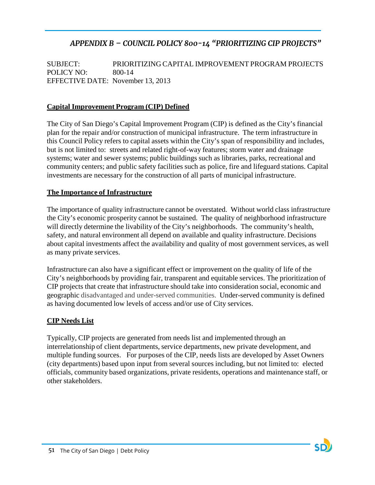# *APPENDIX B – COUNCIL POLICY 800-14 "PRIORITIZING CIP PROJECTS"*

SUBJECT: PRIORITIZING CAPITAL IMPROVEMENT PROGRAM PROJECTS POLICY NO: 800-14 EFFECTIVE DATE: November 13, 2013

## **Capital Improvement Program (CIP) Defined**

The City of San Diego's Capital Improvement Program (CIP) is defined as the City's financial plan for the repair and/or construction of municipal infrastructure. The term infrastructure in this Council Policy refers to capital assets within the City's span of responsibility and includes, but is not limited to: streets and related right-of-way features; storm water and drainage systems; water and sewer systems; public buildings such as libraries, parks, recreational and community centers; and public safety facilities such as police, fire and lifeguard stations. Capital investments are necessary for the construction of all parts of municipal infrastructure.

### **The Importance of Infrastructure**

The importance of quality infrastructure cannot be overstated. Without world class infrastructure the City's economic prosperity cannot be sustained. The quality of neighborhood infrastructure will directly determine the livability of the City's neighborhoods. The community's health, safety, and natural environment all depend on available and quality infrastructure. Decisions about capital investments affect the availability and quality of most government services, as well as many private services.

Infrastructure can also have a significant effect or improvement on the quality of life of the City's neighborhoods by providing fair, transparent and equitable services. The prioritization of CIP projects that create that infrastructure should take into consideration social, economic and geographic disadvantaged and under-served communities. Under-served community is defined as having documented low levels of access and/or use of City services.

### **CIP Needs List**

Typically, CIP projects are generated from needs list and implemented through an interrelationship of client departments, service departments, new private development, and multiple funding sources. For purposes of the CIP, needs lists are developed by Asset Owners (city departments) based upon input from several sources including, but not limited to: elected officials, community based organizations, private residents, operations and maintenance staff, or other stakeholders.

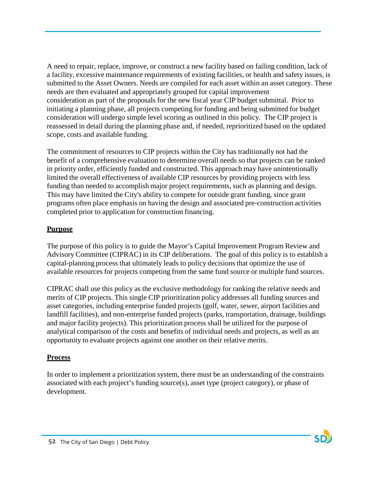A need to repair, replace, improve, or construct a new facility based on failing condition, lack of a facility, excessive maintenance requirements of existing facilities, or health and safety issues, is submitted to the Asset Owners. Needs are compiled for each asset within an asset category. These needs are then evaluated and appropriately grouped for capital improvement consideration as part of the proposals for the new fiscal year CIP budget submittal. Prior to initiating a planning phase, all projects competing for funding and being submitted for budget consideration will undergo simple level scoring as outlined in this policy. The CIP project is reassessed in detail during the planning phase and, if needed, reprioritized based on the updated scope, costs and available funding.

The commitment of resources to CIP projects within the City has traditionally not had the benefit of a comprehensive evaluation to determine overall needs so that projects can be ranked in priority order, efficiently funded and constructed. This approach may have unintentionally limited the overall effectiveness of available CIP resources by providing projects with less funding than needed to accomplish major project requirements, such as planning and design. This may have limited the City's ability to compete for outside grant funding, since grant programs often place emphasis on having the design and associated pre-construction activities completed prior to application for construction financing.

## **Purpose**

The purpose of this policy is to guide the Mayor's Capital Improvement Program Review and Advisory Committee (CIPRAC) in its CIP deliberations. The goal of this policy is to establish a capital-planning process that ultimately leads to policy decisions that optimize the use of available resources for projects competing from the same fund source or multiple fund sources.

CIPRAC shall use this policy as the exclusive methodology for ranking the relative needs and merits of CIP projects. This single CIP prioritization policy addresses all funding sources and asset categories, including enterprise funded projects (golf, water, sewer, airport facilities and landfill facilities), and non-enterprise funded projects (parks, transportation, drainage, buildings and major facility projects). This prioritization process shall be utilized for the purpose of analytical comparison of the costs and benefits of individual needs and projects, as well as an opportunity to evaluate projects against one another on their relative merits.

## **Process**

In order to implement a prioritization system, there must be an understanding of the constraints associated with each project's funding source(s), asset type (project category), or phase of development.

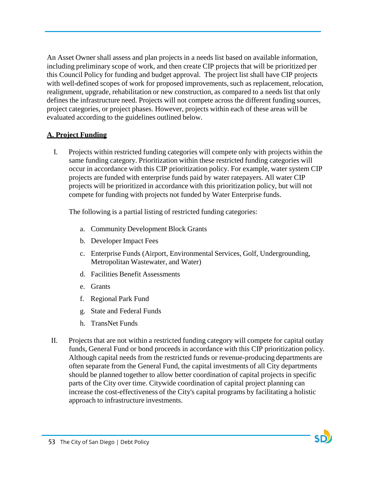An Asset Owner shall assess and plan projects in a needs list based on available information, including preliminary scope of work, and then create CIP projects that will be prioritized per this Council Policy for funding and budget approval. The project list shall have CIP projects with well-defined scopes of work for proposed improvements, such as replacement, relocation, realignment, upgrade, rehabilitation or new construction, as compared to a needs list that only defines the infrastructure need. Projects will not compete across the different funding sources, project categories, or project phases. However, projects within each of these areas will be evaluated according to the guidelines outlined below.

## **A. Project Funding**

I. Projects within restricted funding categories will compete only with projects within the same funding category. Prioritization within these restricted funding categories will occur in accordance with this CIP prioritization policy. For example, water system CIP projects are funded with enterprise funds paid by water ratepayers. All water CIP projects will be prioritized in accordance with this prioritization policy, but will not compete for funding with projects not funded by Water Enterprise funds.

The following is a partial listing of restricted funding categories:

- a. Community Development Block Grants
- b. Developer Impact Fees
- c. Enterprise Funds (Airport, Environmental Services, Golf, Undergrounding, Metropolitan Wastewater, and Water)
- d. Facilities Benefit Assessments
- e. Grants
- f. Regional Park Fund
- g. State and Federal Funds
- h. TransNet Funds
- II. Projects that are not within a restricted funding category will compete for capital outlay funds, General Fund or bond proceeds in accordance with this CIP prioritization policy. Although capital needs from the restricted funds or revenue-producing departments are often separate from the General Fund, the capital investments of all City departments should be planned together to allow better coordination of capital projects in specific parts of the City over time. Citywide coordination of capital project planning can increase the cost-effectiveness of the City's capital programs by facilitating a holistic approach to infrastructure investments.

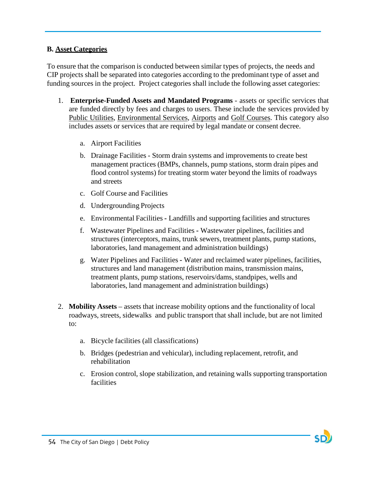## **B. Asset Categories**

To ensure that the comparison is conducted between similar types of projects, the needs and CIP projects shall be separated into categories according to the predominant type of asset and funding sources in the project. Project categories shall include the following asset categories:

- 1. **Enterprise-Funded Assets and Mandated Programs** assets or specific services that are funded directly by fees and charges to users. These include the services provided by Public Utilities, Environmental Services, Airports and Golf Courses. This category also includes assets or services that are required by legal mandate or consent decree.
	- a. Airport Facilities
	- b. Drainage Facilities Storm drain systems and improvements to create best management practices (BMPs, channels, pump stations, storm drain pipes and flood control systems) for treating storm water beyond the limits of roadways and streets
	- c. Golf Course and Facilities
	- d. Undergrounding Projects
	- e. Environmental Facilities **-** Landfills and supporting facilities and structures
	- f. Wastewater Pipelines and Facilities **-** Wastewater pipelines, facilities and structures (interceptors, mains, trunk sewers, treatment plants, pump stations, laboratories, land management and administration buildings)
	- g. Water Pipelines and Facilities **-** Water and reclaimed water pipelines, facilities, structures and land management (distribution mains, transmission mains, treatment plants, pump stations, reservoirs/dams, standpipes, wells and laboratories, land management and administration buildings)
- 2. **Mobility Assets** assets that increase mobility options and the functionality of local roadways, streets, sidewalks and public transport that shall include, but are not limited to:
	- a. Bicycle facilities (all classifications)
	- b. Bridges (pedestrian and vehicular), including replacement, retrofit, and rehabilitation
	- c. Erosion control, slope stabilization, and retaining walls supporting transportation facilities

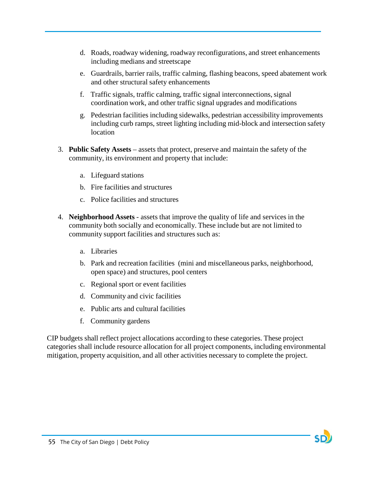- d. Roads, roadway widening, roadway reconfigurations, and street enhancements including medians and streetscape
- e. Guardrails, barrier rails, traffic calming, flashing beacons, speed abatement work and other structural safety enhancements
- f. Traffic signals, traffic calming, traffic signal interconnections,signal coordination work, and other traffic signal upgrades and modifications
- g. Pedestrian facilities including sidewalks, pedestrian accessibility improvements including curb ramps, street lighting including mid-block and intersection safety location
- 3. **Public Safety Assets** assets that protect, preserve and maintain the safety of the community, its environment and property that include:
	- a. Lifeguard stations
	- b. Fire facilities and structures
	- c. Police facilities and structures
- 4. **Neighborhood Assets** assets that improve the quality of life and services in the community both socially and economically. These include but are not limited to community support facilities and structures such as:
	- a. Libraries
	- b. Park and recreation facilities (mini and miscellaneous parks, neighborhood, open space) and structures, pool centers
	- c. Regional sport or event facilities
	- d. Community and civic facilities
	- e. Public arts and cultural facilities
	- f. Community gardens

CIP budgets shall reflect project allocations according to these categories. These project categories shall include resource allocation for all project components, including environmental mitigation, property acquisition, and all other activities necessary to complete the project.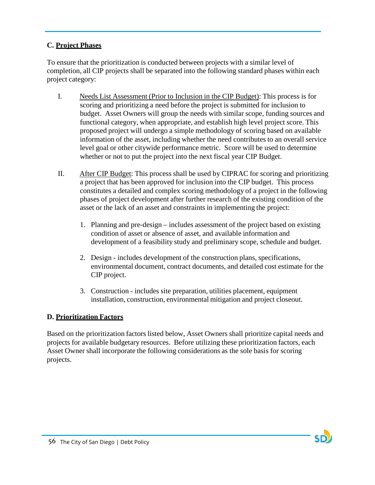# **C. Project Phases**

To ensure that the prioritization is conducted between projects with a similar level of completion, all CIP projects shall be separated into the following standard phases within each project category:

- I. Needs List Assessment (Prior to Inclusion in the CIP Budget): This process is for scoring and prioritizing a need before the project is submitted for inclusion to budget. Asset Owners will group the needs with similar scope, funding sources and functional category, when appropriate, and establish high level project score. This proposed project will undergo a simple methodology of scoring based on available information of the asset, including whether the need contributes to an overall service level goal or other citywide performance metric. Score will be used to determine whether or not to put the project into the next fiscal year CIP Budget.
- II. After CIP Budget: This process shall be used by CIPRAC for scoring and prioritizing a project that has been approved for inclusion into the CIP budget. This process constitutes a detailed and complex scoring methodology of a project in the following phases of project development after further research of the existing condition of the asset or the lack of an asset and constraints in implementing the project:
	- 1. Planning and pre-design includes assessment of the project based on existing condition of asset or absence of asset, and available information and development of a feasibility study and preliminary scope, schedule and budget.
	- 2. Design includes development of the construction plans, specifications, environmental document, contract documents, and detailed cost estimate for the CIP project.
	- 3. Construction includes site preparation, utilities placement, equipment installation, construction, environmental mitigation and project closeout.

# **D. Prioritization Factors**

Based on the prioritization factors listed below, Asset Owners shall prioritize capital needs and projects for available budgetary resources. Before utilizing these prioritization factors, each Asset Owner shall incorporate the following considerations as the sole basis for scoring projects.

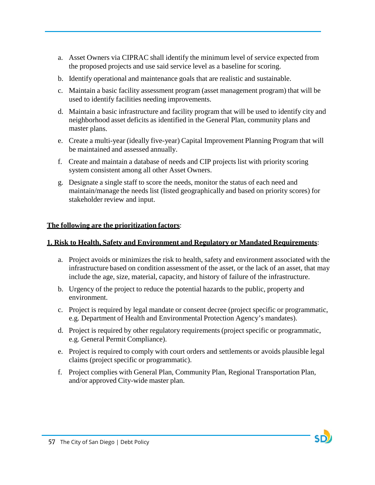- a. Asset Owners via CIPRAC shall identify the minimum level of service expected from the proposed projects and use said service level as a baseline for scoring.
- b. Identify operational and maintenance goals that are realistic and sustainable.
- c. Maintain a basic facility assessment program (asset management program) that will be used to identify facilities needing improvements.
- d. Maintain a basic infrastructure and facility program that will be used to identify city and neighborhood asset deficits as identified in the General Plan, community plans and master plans.
- e. Create a multi-year (ideally five-year) Capital Improvement Planning Program that will be maintained and assessed annually.
- f. Create and maintain a database of needs and CIP projects list with priority scoring system consistent among all other Asset Owners.
- g. Designate a single staff to score the needs, monitor the status of each need and maintain/manage the needs list (listed geographically and based on priority scores) for stakeholder review and input.

## **The following are the prioritization factors**:

## **1. Risk to Health, Safety and Environment and Regulatory or Mandated Requirements**:

- a. Project avoids or minimizes the risk to health, safety and environment associated with the infrastructure based on condition assessment of the asset, or the lack of an asset, that may include the age, size, material, capacity, and history of failure of the infrastructure.
- b. Urgency of the project to reduce the potential hazards to the public, property and environment.
- c. Project is required by legal mandate or consent decree (project specific or programmatic, e.g. Department of Health and Environmental Protection Agency's mandates).
- d. Project is required by other regulatory requirements (project specific or programmatic, e.g. General Permit Compliance).
- e. Project is required to comply with court orders and settlements or avoids plausible legal claims (project specific or programmatic).
- f. Project complies with General Plan, Community Plan, Regional Transportation Plan, and/or approved City-wide master plan.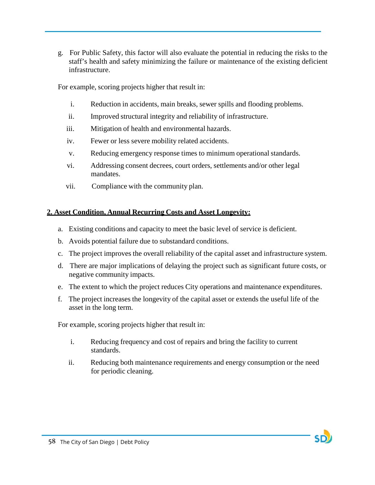g. For Public Safety, this factor will also evaluate the potential in reducing the risks to the staff's health and safety minimizing the failure or maintenance of the existing deficient infrastructure.

For example, scoring projects higher that result in:

- i. Reduction in accidents, main breaks, sewer spills and flooding problems.
- ii. Improved structural integrity and reliability of infrastructure.
- iii. Mitigation of health and environmental hazards.
- iv. Fewer or less severe mobility related accidents.
- v. Reducing emergency response times to minimum operational standards.
- vi. Addressing consent decrees, court orders, settlements and/or other legal mandates.
- vii. Compliance with the community plan.

# **2. Asset Condition, Annual Recurring Costs and Asset Longevity:**

- a. Existing conditions and capacity to meet the basic level of service is deficient.
- b. Avoids potential failure due to substandard conditions.
- c. The project improves the overall reliability of the capital asset and infrastructure system.
- d. There are major implications of delaying the project such as significant future costs, or negative community impacts.
- e. The extent to which the project reduces City operations and maintenance expenditures.
- f. The project increases the longevity of the capital asset or extends the useful life of the asset in the long term.

For example, scoring projects higher that result in:

- i. Reducing frequency and cost of repairs and bring the facility to current standards.
- ii. Reducing both maintenance requirements and energy consumption or the need for periodic cleaning.



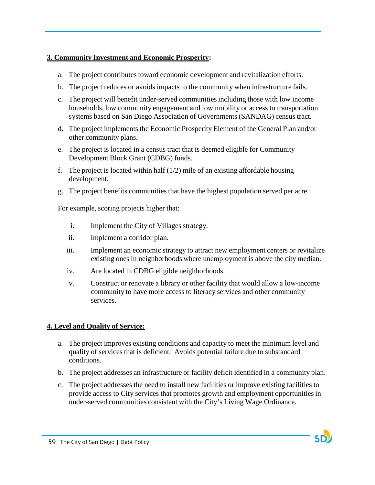## **3. Community Investment and Economic Prosperity:**

- a. The project contributes toward economic development and revitalization efforts.
- b. The project reduces or avoids impacts to the community when infrastructure fails.
- c. The project will benefit under-served communities including those with low income households, low community engagement and low mobility or access to transportation systems based on San Diego Association of Governments (SANDAG) census tract.
- d. The project implements the Economic Prosperity Element of the General Plan and/or other community plans.
- e. The project is located in a census tract that is deemed eligible for Community Development Block Grant (CDBG) funds.
- f. The project is located within half  $(1/2)$  mile of an existing affordable housing development.
- g. The project benefits communities that have the highest population served per acre.

For example, scoring projects higher that:

- i. Implement the City of Villages strategy.
- ii. Implement a corridor plan.
- iii. Implement an economic strategy to attract new employment centers or revitalize existing ones in neighborhoods where unemployment is above the city median.
- iv. Are located in CDBG eligible neighborhoods.
- v. Construct or renovate a library or other facility that would allow a low-income community to have more access to literacy services and other community services.

# **4. Level and Quality of Service:**

- a. The project improves existing conditions and capacity to meet the minimum level and quality of services that is deficient. Avoids potential failure due to substandard conditions.
- b. The project addresses an infrastructure or facility deficit identified in a community plan.
- c. The project addresses the need to install new facilities or improve existing facilities to provide access to City services that promotes growth and employment opportunities in under-served communities consistent with the City's Living Wage Ordinance.

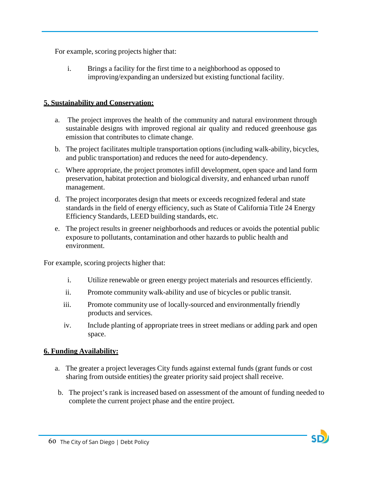For example, scoring projects higher that:

i. Brings a facility for the first time to a neighborhood as opposed to improving/expanding an undersized but existing functional facility.

## **5. Sustainability and Conservation:**

- a. The project improves the health of the community and natural environment through sustainable designs with improved regional air quality and reduced greenhouse gas emission that contributes to climate change.
- b. The project facilitates multiple transportation options (including walk-ability, bicycles, and public transportation) and reduces the need for auto-dependency.
- c. Where appropriate, the project promotes infill development, open space and land form preservation, habitat protection and biological diversity, and enhanced urban runoff management.
- d. The project incorporates design that meets or exceeds recognized federal and state standards in the field of energy efficiency, such as State of California Title 24 Energy Efficiency Standards, LEED building standards, etc.
- e. The project results in greener neighborhoods and reduces or avoids the potential public exposure to pollutants, contamination and other hazards to public health and environment.

For example, scoring projects higher that:

- i. Utilize renewable or green energy project materials and resources efficiently.
- ii. Promote community walk-ability and use of bicycles or public transit.
- iii. Promote community use of locally-sourced and environmentally friendly products and services.
- iv. Include planting of appropriate trees in street medians or adding park and open space.

## **6. Funding Availability:**

- a. The greater a project leverages City funds against external funds (grant funds or cost sharing from outside entities) the greater priority said project shall receive.
- b. The project's rank is increased based on assessment of the amount of funding needed to complete the current project phase and the entire project.

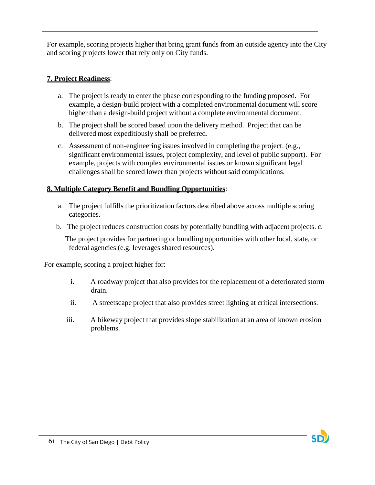For example, scoring projects higher that bring grant funds from an outside agency into the City and scoring projects lower that rely only on City funds.

# **7. Project Readiness**:

- a. The project is ready to enter the phase corresponding to the funding proposed. For example, a design-build project with a completed environmental document will score higher than a design-build project without a complete environmental document.
- b. The project shall be scored based upon the delivery method. Project that can be delivered most expeditiously shall be preferred.
- c. Assessment of non-engineering issues involved in completing the project. (e.g., significant environmental issues, project complexity, and level of public support). For example, projects with complex environmental issues or known significant legal challenges shall be scored lower than projects without said complications.

# **8. Multiple Category Benefit and Bundling Opportunities**:

- a. The project fulfills the prioritization factors described above across multiple scoring categories.
- b. The project reduces construction costs by potentially bundling with adjacent projects. c.

The project provides for partnering or bundling opportunities with other local, state, or federal agencies (e.g. leverages shared resources).

For example, scoring a project higher for:

- i. A roadway project that also provides for the replacement of a deteriorated storm drain.
- ii. A streetscape project that also provides street lighting at critical intersections.
- iii. A bikeway project that provides slope stabilization at an area of known erosion problems.

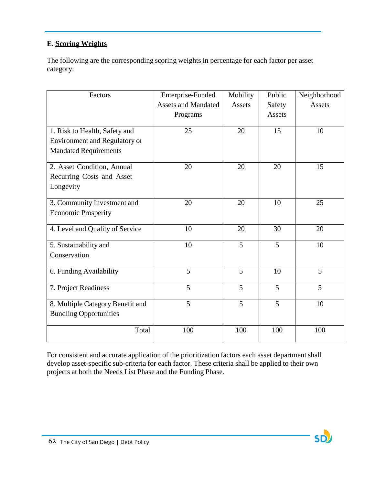# **E. Scoring Weights**

The following are the corresponding scoring weights in percentage for each factor per asset category:

| Factors                              | Enterprise-Funded          | Mobility | Public | Neighborhood |
|--------------------------------------|----------------------------|----------|--------|--------------|
|                                      | <b>Assets and Mandated</b> | Assets   | Safety | Assets       |
|                                      | Programs                   |          | Assets |              |
|                                      |                            |          |        |              |
| 1. Risk to Health, Safety and        | 25                         | 20       | 15     | 10           |
| <b>Environment and Regulatory or</b> |                            |          |        |              |
| <b>Mandated Requirements</b>         |                            |          |        |              |
| 2. Asset Condition, Annual           | 20                         | 20       | 20     | 15           |
| Recurring Costs and Asset            |                            |          |        |              |
| Longevity                            |                            |          |        |              |
|                                      | 20                         | 20       | 10     | 25           |
| 3. Community Investment and          |                            |          |        |              |
| <b>Economic Prosperity</b>           |                            |          |        |              |
| 4. Level and Quality of Service      | 10                         | 20       | 30     | 20           |
| 5. Sustainability and                | 10                         | 5        | 5      | 10           |
| Conservation                         |                            |          |        |              |
|                                      |                            |          |        |              |
| 6. Funding Availability              | $\overline{5}$             | 5        | 10     | 5            |
| 7. Project Readiness                 | 5                          | 5        | 5      | 5            |
|                                      |                            |          |        |              |
| 8. Multiple Category Benefit and     | 5                          | 5        | 5      | 10           |
| <b>Bundling Opportunities</b>        |                            |          |        |              |
| Total                                | 100                        | 100      | 100    | 100          |
|                                      |                            |          |        |              |

For consistent and accurate application of the prioritization factors each asset department shall develop asset-specific sub-criteria for each factor. These criteria shall be applied to their own projects at both the Needs List Phase and the Funding Phase.

**SD**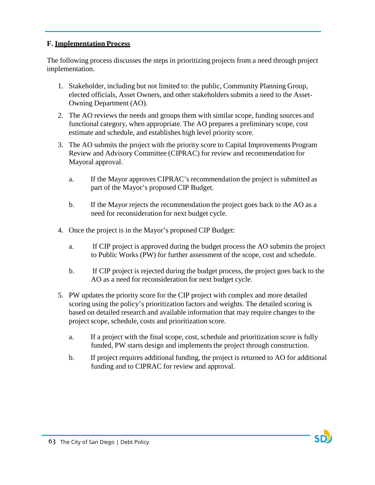## **F. Implementation Process**

The following process discusses the steps in prioritizing projects from a need through project implementation.

- 1. Stakeholder, including but not limited to: the public, Community Planning Group, elected officials, Asset Owners, and other stakeholders submits a need to the Asset-Owning Department (AO).
- 2. The AO reviews the needs and groups them with similar scope, funding sources and functional category, when appropriate. The AO prepares a preliminary scope, cost estimate and schedule, and establishes high level priority score.
- 3. The AO submits the project with the priority score to Capital Improvements Program Review and Advisory Committee (CIPRAC) for review and recommendation for Mayoral approval.
	- a. If the Mayor approves CIPRAC's recommendation the project is submitted as part of the Mayor's proposed CIP Budget.
	- b. If the Mayor rejects the recommendation the project goes back to the AO as a need for reconsideration for next budget cycle.
- 4. Once the project is in the Mayor's proposed CIP Budget:
	- a. If CIP project is approved during the budget process the AO submits the project to Public Works (PW) for further assessment of the scope, cost and schedule.
	- b. If CIP project is rejected during the budget process, the project goes back to the AO as a need for reconsideration for next budget cycle.
- 5. PW updates the priority score for the CIP project with complex and more detailed scoring using the policy's prioritization factors and weights. The detailed scoring is based on detailed research and available information that may require changes to the project scope, schedule, costs and prioritization score.
	- a. If a project with the final scope, cost, schedule and prioritization score is fully funded, PW starts design and implements the project through construction.
	- b. If project requires additional funding, the project is returned to AO for additional funding and to CIPRAC for review and approval.

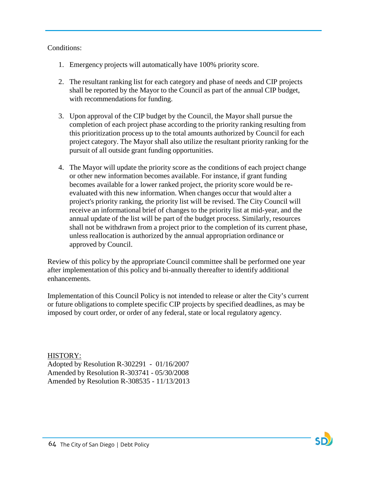## Conditions:

- 1. Emergency projects will automatically have 100% priority score.
- 2. The resultant ranking list for each category and phase of needs and CIP projects shall be reported by the Mayor to the Council as part of the annual CIP budget, with recommendations for funding.
- 3. Upon approval of the CIP budget by the Council, the Mayor shall pursue the completion of each project phase according to the priority ranking resulting from this prioritization process up to the total amounts authorized by Council for each project category. The Mayor shall also utilize the resultant priority ranking for the pursuit of all outside grant funding opportunities.
- 4. The Mayor will update the priority score as the conditions of each project change or other new information becomes available. For instance, if grant funding becomes available for a lower ranked project, the priority score would be reevaluated with this new information. When changes occur that would alter a project's priority ranking, the priority list will be revised. The City Council will receive an informational brief of changes to the priority list at mid-year, and the annual update of the list will be part of the budget process. Similarly, resources shall not be withdrawn from a project prior to the completion of its current phase, unless reallocation is authorized by the annual appropriation ordinance or approved by Council.

Review of this policy by the appropriate Council committee shall be performed one year after implementation of this policy and bi-annually thereafter to identify additional enhancements.

Implementation of this Council Policy is not intended to release or alter the City's current or future obligations to complete specific CIP projects by specified deadlines, as may be imposed by court order, or order of any federal, state or local regulatory agency.

HISTORY: Adopted by Resolution R-302291 - 01/16/2007 Amended by Resolution R-303741 - 05/30/2008 Amended by Resolution R-308535 - 11/13/2013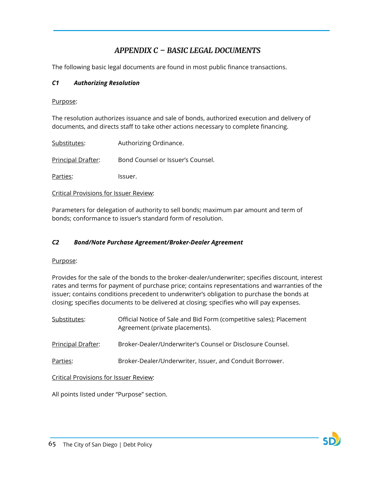# *APPENDIX C – BASIC LEGAL DOCUMENTS*

The following basic legal documents are found in most public finance transactions.

## *C1 Authorizing Resolution*

### Purpose:

The resolution authorizes issuance and sale of bonds, authorized execution and delivery of documents, and directs staff to take other actions necessary to complete financing.

| Substitutes:       | Authorizing Ordinance.            |
|--------------------|-----------------------------------|
| Principal Drafter: | Bond Counsel or Issuer's Counsel. |
| Parties:           | lssuer.                           |

Critical Provisions for Issuer Review:

Parameters for delegation of authority to sell bonds; maximum par amount and term of bonds; conformance to issuer's standard form of resolution.

### *C2 Bond/Note Purchase Agreement/Broker-Dealer Agreement*

### Purpose:

Provides for the sale of the bonds to the broker-dealer/underwriter; specifies discount, interest rates and terms for payment of purchase price; contains representations and warranties of the issuer; contains conditions precedent to underwriter's obligation to purchase the bonds at closing; specifies documents to be delivered at closing; specifies who will pay expenses.

| <u>Substitutes:</u>                    | Official Notice of Sale and Bid Form (competitive sales); Placement<br>Agreement (private placements). |  |
|----------------------------------------|--------------------------------------------------------------------------------------------------------|--|
| Principal Drafter:                     | Broker-Dealer/Underwriter's Counsel or Disclosure Counsel.                                             |  |
| Parties:                               | Broker-Dealer/Underwriter, Issuer, and Conduit Borrower.                                               |  |
| Critical Provisions for Issuer Review: |                                                                                                        |  |

All points listed under "Purpose" section.

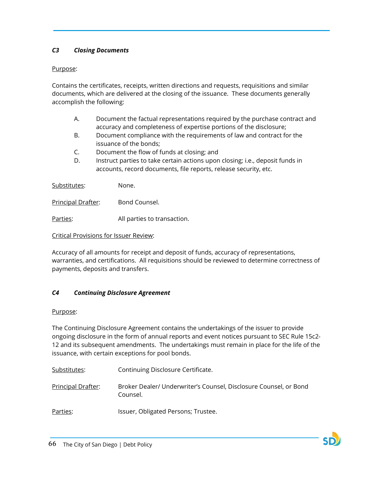### *C3 Closing Documents*

### Purpose:

Contains the certificates, receipts, written directions and requests, requisitions and similar documents, which are delivered at the closing of the issuance. These documents generally accomplish the following:

- A. Document the factual representations required by the purchase contract and accuracy and completeness of expertise portions of the disclosure;
- B. Document compliance with the requirements of law and contract for the issuance of the bonds;
- C. Document the flow of funds at closing; and
- D. Instruct parties to take certain actions upon closing; i.e., deposit funds in accounts, record documents, file reports, release security, etc.

Substitutes: None.

Principal Drafter: Bond Counsel.

Parties: All parties to transaction.

### Critical Provisions for Issuer Review:

Accuracy of all amounts for receipt and deposit of funds, accuracy of representations, warranties, and certifications. All requisitions should be reviewed to determine correctness of payments, deposits and transfers.

### *C4 Continuing Disclosure Agreement*

### Purpose:

The Continuing Disclosure Agreement contains the undertakings of the issuer to provide ongoing disclosure in the form of annual reports and event notices pursuant to SEC Rule 15c2- 12 and its subsequent amendments. The undertakings must remain in place for the life of the issuance, with certain exceptions for pool bonds.

Substitutes: Continuing Disclosure Certificate.

Principal Drafter: Broker Dealer/ Underwriter's Counsel, Disclosure Counsel, or Bond Counsel.

Parties: Issuer, Obligated Persons; Trustee.

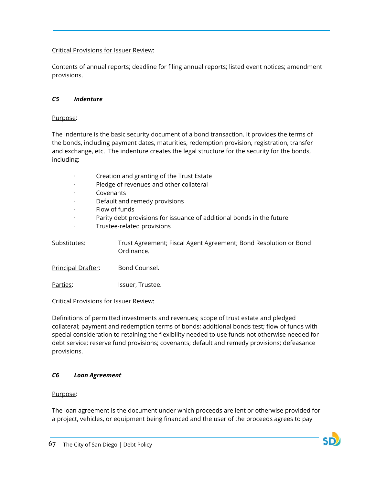### Critical Provisions for Issuer Review:

Contents of annual reports; deadline for filing annual reports; listed event notices; amendment provisions.

### *C5 Indenture*

Purpose:

The indenture is the basic security document of a bond transaction. It provides the terms of the bonds, including payment dates, maturities, redemption provision, registration, transfer and exchange, etc. The indenture creates the legal structure for the security for the bonds, including:

- · Creation and granting of the Trust Estate
- Pledge of revenues and other collateral
- **Covenants**
- Default and remedy provisions
- · Flow of funds
- · Parity debt provisions for issuance of additional bonds in the future
- · Trustee-related provisions

Substitutes: Trust Agreement; Fiscal Agent Agreement; Bond Resolution or Bond Ordinance.

Principal Drafter: Bond Counsel.

Parties: Issuer, Trustee.

Critical Provisions for Issuer Review:

Definitions of permitted investments and revenues; scope of trust estate and pledged collateral; payment and redemption terms of bonds; additional bonds test; flow of funds with special consideration to retaining the flexibility needed to use funds not otherwise needed for debt service; reserve fund provisions; covenants; default and remedy provisions; defeasance provisions.

### *C6 Loan Agreement*

### Purpose:

The loan agreement is the document under which proceeds are lent or otherwise provided for a project, vehicles, or equipment being financed and the user of the proceeds agrees to pay

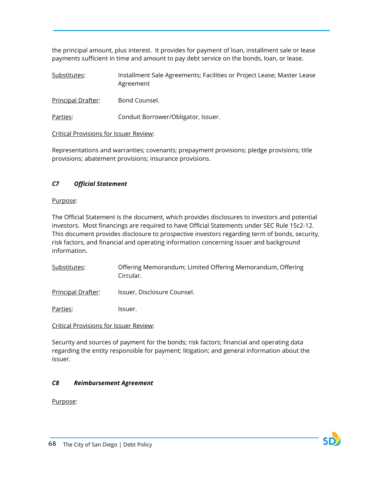the principal amount, plus interest. It provides for payment of loan, installment sale or lease payments sufficient in time and amount to pay debt service on the bonds, loan, or lease.

| Substitutes: | Installment Sale Agreements; Facilities or Project Lease; Master Lease |
|--------------|------------------------------------------------------------------------|
|              | Agreement                                                              |

Principal Drafter: Bond Counsel.

Parties: Conduit Borrower/Obligator, Issuer.

#### Critical Provisions for Issuer Review:

Representations and warranties; covenants; prepayment provisions; pledge provisions; title provisions; abatement provisions; insurance provisions.

### *C7 Official Statement*

#### Purpose:

The Official Statement is the document, which provides disclosures to investors and potential investors. Most financings are required to have Official Statements under SEC Rule 15c2-12. This document provides disclosure to prospective investors regarding term of bonds, security, risk factors, and financial and operating information concerning issuer and background information.

- Substitutes: Offering Memorandum; Limited Offering Memorandum, Offering Circular.
- Principal Drafter: Issuer, Disclosure Counsel.

Parties: Issuer.

### Critical Provisions for Issuer Review:

Security and sources of payment for the bonds; risk factors; financial and operating data regarding the entity responsible for payment; litigation; and general information about the issuer.

### *C8 Reimbursement Agreement*

Purpose:

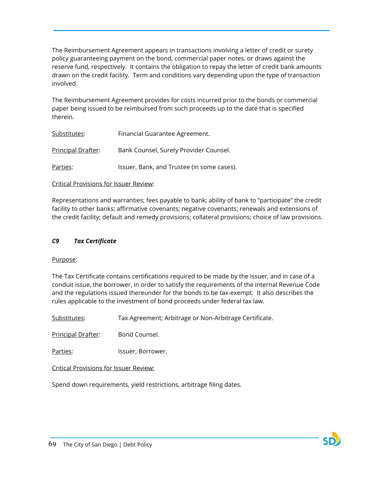The Reimbursement Agreement appears in transactions involving a letter of credit or surety policy guaranteeing payment on the bond, commercial paper notes, or draws against the reserve fund, respectively. It contains the obligation to repay the letter of credit bank amounts drawn on the credit facility. Term and conditions vary depending upon the type of transaction involved.

The Reimbursement Agreement provides for costs incurred prior to the bonds or commercial paper being issued to be reimbursed from such proceeds up to the date that is specified therein.

| Substitutes:       | Financial Guarantee Agreement.             |
|--------------------|--------------------------------------------|
| Principal Drafter: | Bank Counsel, Surety Provider Counsel.     |
| Parties:           | Issuer, Bank, and Trustee (in some cases). |

#### Critical Provisions for Issuer Review:

Representations and warranties; fees payable to bank; ability of bank to "participate" the credit facility to other banks; affirmative covenants; negative covenants; renewals and extensions of the credit facility; default and remedy provisions; collateral provisions; choice of law provisions.

#### *C9 Tax Certificate*

#### Purpose:

The Tax Certificate contains certifications required to be made by the issuer, and in case of a conduit issue, the borrower, in order to satisfy the requirements of the Internal Revenue Code and the regulations issued thereunder for the bonds to be tax-exempt. It also describes the rules applicable to the investment of bond proceeds under federal tax law.

Substitutes: Tax Agreement; Arbitrage or Non-Arbitrage Certificate.

Principal Drafter: Bond Counsel.

Parties: Issuer, Borrower.

Critical Provisions for Issuer Review:

Spend down requirements, yield restrictions, arbitrage filing dates.

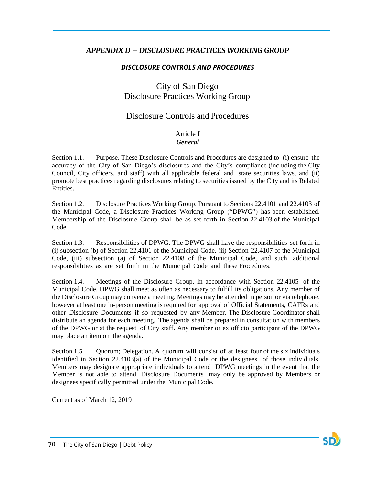## *APPENDIX D – DISCLOSURE PRACTICES WORKING GROUP*

## *DISCLOSURE CONTROLS AND PROCEDURES*

# City of San Diego Disclosure Practices Working Group

## Disclosure Controls and Procedures

#### Article I *General*

Section 1.1. Purpose. These Disclosure Controls and Procedures are designed to (i) ensure the accuracy of the City of San Diego's disclosures and the City's compliance (including the City Council, City officers, and staff) with all applicable federal and state securities laws, and (ii) promote best practices regarding disclosures relating to securities issued by the City and its Related Entities.

Section 1.2. Disclosure Practices Working Group. Pursuant to Sections 22.4101 and 22.4103 of the Municipal Code, a Disclosure Practices Working Group ("DPWG") has been established. Membership of the Disclosure Group shall be as set forth in Section 22.4103 of the Municipal Code.

Section 1.3. Responsibilities of DPWG. The DPWG shall have the responsibilities set forth in (i) subsection (b) of Section 22.4101 of the Municipal Code, (ii) Section 22.4107 of the Municipal Code, (iii) subsection (a) of Section 22.4108 of the Municipal Code, and such additional responsibilities as are set forth in the Municipal Code and these Procedures.

Section 1.4. Meetings of the Disclosure Group. In accordance with Section 22.4105 of the Municipal Code, DPWG shall meet as often as necessary to fulfill its obligations. Any member of the Disclosure Group may convene a meeting. Meetings may be attended in person or via telephone, however at least one in-person meeting is required for approval of Official Statements, CAFRs and other Disclosure Documents if so requested by any Member. The Disclosure Coordinator shall distribute an agenda for each meeting. The agenda shall be prepared in consultation with members of the DPWG or at the request of City staff. Any member or ex officio participant of the DPWG may place an item on the agenda.

Section 1.5. Quorum; Delegation. A quorum will consist of at least four of the six individuals identified in Section 22.4103(a) of the Municipal Code or the designees of those individuals. Members may designate appropriate individuals to attend DPWG meetings in the event that the Member is not able to attend. Disclosure Documents may only be approved by Members or designees specifically permitted under the Municipal Code.

Current as of March 12, 2019

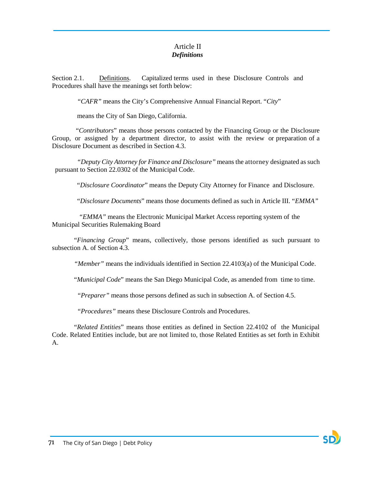### Article II *Definitions*

Section 2.1. Definitions. Capitalized terms used in these Disclosure Controls and Procedures shall have the meanings set forth below:

*"CAFR"* means the City's Comprehensive Annual Financial Report. "*City*"

means the City of San Diego, California.

"*Contributors*" means those persons contacted by the Financing Group or the Disclosure Group, or assigned by a department director, to assist with the review or preparation of a Disclosure Document as described in Section 4.3.

*"Deputy City Attorney for Finance and Disclosure"* means the attorney designated as such pursuant to Section 22.0302 of the Municipal Code.

"*Disclosure Coordinator*" means the Deputy City Attorney for Finance and Disclosure.

"*Disclosure Documents*" means those documents defined as such in Article III. "*EMMA"* 

*"EMMA"* means the Electronic Municipal Market Access reporting system of the Municipal Securities Rulemaking Board

"*Financing Group*" means, collectively, those persons identified as such pursuant to subsection A. of Section 4.3.

*"Member"* means the individuals identified in Section 22.4103(a) of the Municipal Code.

"*Municipal Code*" means the San Diego Municipal Code, as amended from time to time.

*"Preparer"* means those persons defined as such in subsection A. of Section 4.5.

*"Procedures"* means these Disclosure Controls and Procedures.

"*Related Entities*" means those entities as defined in Section 22.4102 of the Municipal Code. Related Entities include, but are not limited to, those Related Entities as set forth in Exhibit A.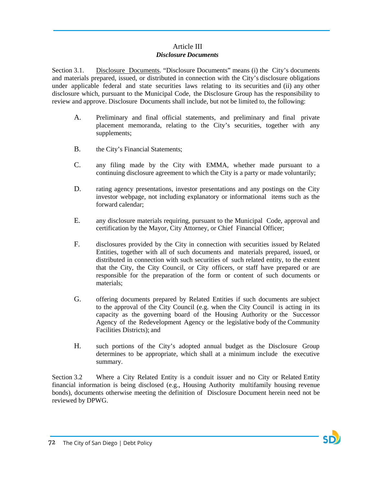## Article III *Disclosure Documents*

Section 3.1. Disclosure Documents. "Disclosure Documents" means (i) the City's documents and materials prepared, issued, or distributed in connection with the City's disclosure obligations under applicable federal and state securities laws relating to its securities and (ii) any other disclosure which, pursuant to the Municipal Code, the Disclosure Group has the responsibility to review and approve. Disclosure Documents shall include, but not be limited to, the following:

- A. Preliminary and final official statements, and preliminary and final private placement memoranda, relating to the City's securities, together with any supplements;
- B. the City's Financial Statements;
- C. any filing made by the City with EMMA, whether made pursuant to a continuing disclosure agreement to which the City is a party or made voluntarily;
- D. rating agency presentations, investor presentations and any postings on the City investor webpage, not including explanatory or informational items such as the forward calendar;
- E. any disclosure materials requiring, pursuant to the Municipal Code, approval and certification by the Mayor, City Attorney, or Chief Financial Officer;
- F. disclosures provided by the City in connection with securities issued by Related Entities, together with all of such documents and materials prepared, issued, or distributed in connection with such securities of such related entity, to the extent that the City, the City Council, or City officers, or staff have prepared or are responsible for the preparation of the form or content of such documents or materials;
- G. offering documents prepared by Related Entities if such documents are subject to the approval of the City Council (e.g. when the City Council is acting in its capacity as the governing board of the Housing Authority or the Successor Agency of the Redevelopment Agency or the legislative body of the Community Facilities Districts); and
- H. such portions of the City's adopted annual budget as the Disclosure Group determines to be appropriate, which shall at a minimum include the executive summary.

Section 3.2 Where a City Related Entity is a conduit issuer and no City or Related Entity financial information is being disclosed (e.g., Housing Authority multifamily housing revenue bonds), documents otherwise meeting the definition of Disclosure Document herein need not be reviewed by DPWG.

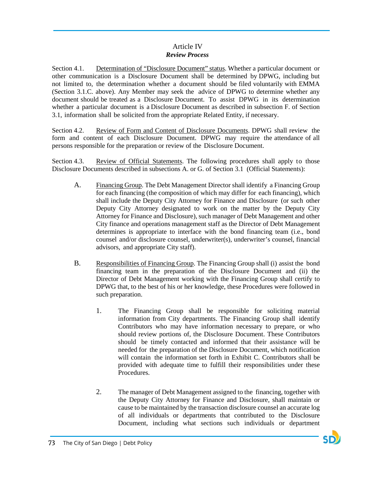## Article IV *Review Process*

Section 4.1. Determination of "Disclosure Document" status. Whether a particular document or other communication is a Disclosure Document shall be determined by DPWG, including but not limited to, the determination whether a document should be filed voluntarily with EMMA (Section 3.1.C. above). Any Member may seek the advice of DPWG to determine whether any document should be treated as a Disclosure Document. To assist DPWG in its determination whether a particular document is a Disclosure Document as described in subsection F. of Section 3.1, information shall be solicited from the appropriate Related Entity, if necessary.

Section 4.2. Review of Form and Content of Disclosure Documents. DPWG shall review the form and content of each Disclosure Document. DPWG may require the attendance of all persons responsible for the preparation or review of the Disclosure Document.

Section 4.3. Review of Official Statements. The following procedures shall apply to those Disclosure Documents described in subsections A. or G. of Section 3.1 (Official Statements):

- A. Financing Group. The Debt Management Director shall identify a Financing Group for each financing (the composition of which may differ for each financing), which shall include the Deputy City Attorney for Finance and Disclosure (or such other Deputy City Attorney designated to work on the matter by the Deputy City Attorney for Finance and Disclosure), such manager of Debt Management and other City finance and operations management staff as the Director of Debt Management determines is appropriate to interface with the bond financing team (i.e., bond counsel and/or disclosure counsel, underwriter(s), underwriter's counsel, financial advisors, and appropriate City staff).
- B. Responsibilities of Financing Group. The Financing Group shall (i) assist the bond financing team in the preparation of the Disclosure Document and (ii) the Director of Debt Management working with the Financing Group shall certify to DPWG that, to the best of his or her knowledge, these Procedures were followed in such preparation.
	- 1. The Financing Group shall be responsible for soliciting material information from City departments. The Financing Group shall identify Contributors who may have information necessary to prepare, or who should review portions of, the Disclosure Document. These Contributors should be timely contacted and informed that their assistance will be needed for the preparation of the Disclosure Document, which notification will contain the information set forth in Exhibit C. Contributors shall be provided with adequate time to fulfill their responsibilities under these Procedures.
	- 2. The manager of Debt Management assigned to the financing, together with the Deputy City Attorney for Finance and Disclosure, shall maintain or cause to be maintained by the transaction disclosure counsel an accurate log of all individuals or departments that contributed to the Disclosure Document, including what sections such individuals or department

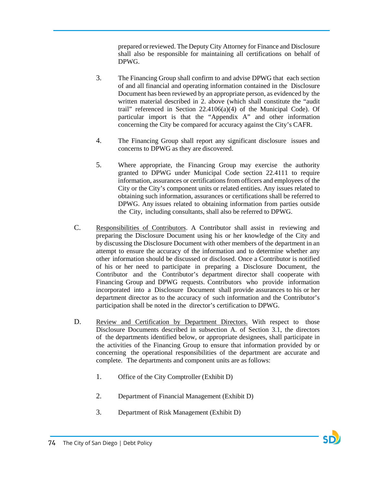prepared orreviewed. The Deputy City Attorney for Finance and Disclosure shall also be responsible for maintaining all certifications on behalf of DPWG.

- 3. The Financing Group shall confirm to and advise DPWG that each section of and all financial and operating information contained in the Disclosure Document has been reviewed by an appropriate person, as evidenced by the written material described in 2. above (which shall constitute the "audit trail" referenced in Section 22.4106(a)(4) of the Municipal Code). Of particular import is that the "Appendix A" and other information concerning the City be compared for accuracy against the City's CAFR.
- 4. The Financing Group shall report any significant disclosure issues and concerns to DPWG as they are discovered.
- 5. Where appropriate, the Financing Group may exercise the authority granted to DPWG under Municipal Code section 22.4111 to require information, assurances or certifications from officers and employees of the City or the City's component units or related entities. Any issues related to obtaining such information, assurances or certifications shall be referred to DPWG. Any issues related to obtaining information from parties outside the City, including consultants, shall also be referred to DPWG.
- C. Responsibilities of Contributors. A Contributor shall assist in reviewing and preparing the Disclosure Document using his or her knowledge of the City and by discussing the Disclosure Document with other members of the department in an attempt to ensure the accuracy of the information and to determine whether any other information should be discussed or disclosed. Once a Contributor is notified of his or her need to participate in preparing a Disclosure Document, the Contributor and the Contributor's department director shall cooperate with Financing Group and DPWG requests. Contributors who provide information incorporated into a Disclosure Document shall provide assurances to his or her department director as to the accuracy of such information and the Contributor's participation shall be noted in the director's certification to DPWG.
- D. Review and Certification by Department Directors. With respect to those Disclosure Documents described in subsection A. of Section 3.1, the directors of the departments identified below, or appropriate designees, shall participate in the activities of the Financing Group to ensure that information provided by or concerning the operational responsibilities of the department are accurate and complete. The departments and component units are as follows:
	- 1. Office of the City Comptroller (Exhibit D)
	- 2. Department of Financial Management (Exhibit D)
	- 3. Department of Risk Management (Exhibit D)

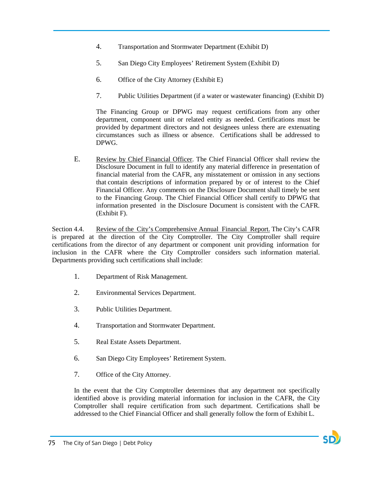- 4. Transportation and Stormwater Department (Exhibit D)
- 5. San Diego City Employees' Retirement System (Exhibit D)
- 6. Office of the City Attorney (Exhibit E)
- 7. Public Utilities Department (if a water or wastewater financing) (Exhibit D)

The Financing Group or DPWG may request certifications from any other department, component unit or related entity as needed. Certifications must be provided by department directors and not designees unless there are extenuating circumstances such as illness or absence. Certifications shall be addressed to DPWG.

E. Review by Chief Financial Officer. The Chief Financial Officer shall review the Disclosure Document in full to identify any material difference in presentation of financial material from the CAFR, any misstatement or omission in any sections that contain descriptions of information prepared by or of interest to the Chief Financial Officer. Any comments on the Disclosure Document shall timely be sent to the Financing Group. The Chief Financial Officer shall certify to DPWG that information presented in the Disclosure Document is consistent with the CAFR. (Exhibit F).

Section 4.4. Review of the City's Comprehensive Annual Financial Report. The City's CAFR is prepared at the direction of the City Comptroller. The City Comptroller shall require certifications from the director of any department or component unit providing information for inclusion in the CAFR where the City Comptroller considers such information material. Departments providing such certifications shall include:

- 1. Department of Risk Management.
- 2. Environmental Services Department.
- 3. Public Utilities Department.
- 4. Transportation and Stormwater Department.
- 5. Real Estate Assets Department.
- 6. San Diego City Employees' Retirement System.
- 7. Office of the City Attorney.

In the event that the City Comptroller determines that any department not specifically identified above is providing material information for inclusion in the CAFR, the City Comptroller shall require certification from such department. Certifications shall be addressed to the Chief Financial Officer and shall generally follow the form of Exhibit L.

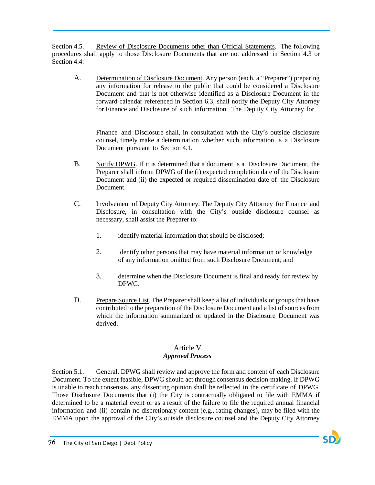Section 4.5. Review of Disclosure Documents other than Official Statements. The following procedures shall apply to those Disclosure Documents that are not addressed in Section 4.3 or Section 4.4:

A. Determination of Disclosure Document. Any person (each, a "Preparer") preparing any information for release to the public that could be considered a Disclosure Document and that is not otherwise identified as a Disclosure Document in the forward calendar referenced in Section 6.3, shall notify the Deputy City Attorney for Finance and Disclosure of such information. The Deputy City Attorney for

Finance and Disclosure shall, in consultation with the City's outside disclosure counsel, timely make a determination whether such information is a Disclosure Document pursuant to Section 4.1.

- B. Notify DPWG. If it is determined that a document is a Disclosure Document, the Preparer shall inform DPWG of the (i) expected completion date of the Disclosure Document and (ii) the expected or required dissemination date of the Disclosure Document.
- C. Involvement of Deputy City Attorney. The Deputy City Attorney for Finance and Disclosure, in consultation with the City's outside disclosure counsel as necessary, shall assist the Preparer to:
	- 1. identify material information that should be disclosed;
	- 2. identify other persons that may have material information or knowledge of any information omitted from such Disclosure Document; and
	- 3. determine when the Disclosure Document is final and ready for review by DPWG.
- D. Prepare Source List. The Preparer shall keep a list of individuals or groups that have contributed to the preparation of the Disclosure Document and a list of sources from which the information summarized or updated in the Disclosure Document was derived.

### Article V *Approval Process*

Section 5.1. General. DPWG shall review and approve the form and content of each Disclosure Document. To the extent feasible, DPWG should act through consensus decision-making. If DPWG is unable to reach consensus, any dissenting opinion shall be reflected in the certificate of DPWG. Those Disclosure Documents that (i) the City is contractually obligated to file with EMMA if determined to be a material event or as a result of the failure to file the required annual financial information and (ii) contain no discretionary content (e.g., rating changes), may be filed with the EMMA upon the approval of the City's outside disclosure counsel and the Deputy City Attorney

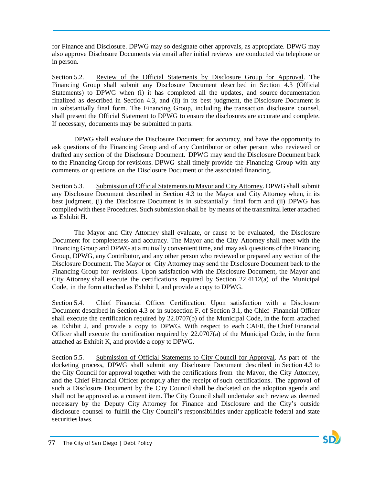for Finance and Disclosure. DPWG may so designate other approvals, as appropriate. DPWG may also approve Disclosure Documents via email after initial reviews are conducted via telephone or in person.

Section 5.2. Review of the Official Statements by Disclosure Group for Approval. The Financing Group shall submit any Disclosure Document described in Section 4.3 (Official Statements) to DPWG when (i) it has completed all the updates, and source documentation finalized as described in Section 4.3, and (ii) in its best judgment, the Disclosure Document is in substantially final form. The Financing Group, including the transaction disclosure counsel, shall present the Official Statement to DPWG to ensure the disclosures are accurate and complete. If necessary, documents may be submitted in parts.

DPWG shall evaluate the Disclosure Document for accuracy, and have the opportunity to ask questions of the Financing Group and of any Contributor or other person who reviewed or drafted any section of the Disclosure Document. DPWG may send the Disclosure Document back to the Financing Group for revisions. DPWG shall timely provide the Financing Group with any comments or questions on the Disclosure Document or the associated financing.

Section 5.3. Submission of Official Statements to Mayor and City Attorney. DPWG shall submit any Disclosure Document described in Section 4.3 to the Mayor and City Attorney when, in its best judgment, (i) the Disclosure Document is in substantially final form and (ii) DPWG has complied with these Procedures. Such submission shall be by means of the transmittal letter attached as Exhibit H.

The Mayor and City Attorney shall evaluate, or cause to be evaluated, the Disclosure Document for completeness and accuracy. The Mayor and the City Attorney shall meet with the Financing Group and DPWG at a mutually convenient time, and may ask questions of the Financing Group, DPWG, any Contributor, and any other person who reviewed or prepared any section of the Disclosure Document. The Mayor or City Attorney may send the Disclosure Document back to the Financing Group for revisions. Upon satisfaction with the Disclosure Document, the Mayor and City Attorney shall execute the certifications required by Section 22.4112(a) of the Municipal Code, in the form attached as Exhibit I, and provide a copy to DPWG.

Section 5.4. Chief Financial Officer Certification. Upon satisfaction with a Disclosure Document described in Section 4.3 or in subsection F. of Section 3.1, the Chief Financial Officer shall execute the certification required by 22.0707(b) of the Municipal Code, in the form attached as Exhibit J, and provide a copy to DPWG. With respect to each CAFR, the Chief Financial Officer shall execute the certification required by 22.0707(a) of the Municipal Code, in the form attached as Exhibit K, and provide a copy to DPWG.

Section 5.5. Submission of Official Statements to City Council for Approval. As part of the docketing process, DPWG shall submit any Disclosure Document described in Section 4.3 to the City Council for approval together with the certifications from the Mayor, the City Attorney, and the Chief Financial Officer promptly after the receipt of such certifications. The approval of such a Disclosure Document by the City Council shall be docketed on the adoption agenda and shall not be approved as a consent item. The City Council shall undertake such review as deemed necessary by the Deputy City Attorney for Finance and Disclosure and the City's outside disclosure counsel to fulfill the City Council's responsibilities under applicable federal and state securities laws.

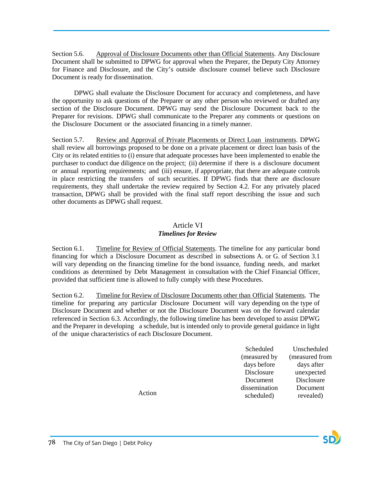Section 5.6. Approval of Disclosure Documents other than Official Statements. Any Disclosure Document shall be submitted to DPWG for approval when the Preparer, the Deputy City Attorney for Finance and Disclosure, and the City's outside disclosure counsel believe such Disclosure Document is ready for dissemination.

DPWG shall evaluate the Disclosure Document for accuracy and completeness, and have the opportunity to ask questions of the Preparer or any other person who reviewed or drafted any section of the Disclosure Document. DPWG may send the Disclosure Document back to the Preparer for revisions. DPWG shall communicate to the Preparer any comments or questions on the Disclosure Document or the associated financing in a timely manner.

Section 5.7. Review and Approval of Private Placements or Direct Loan instruments. DPWG shall review all borrowings proposed to be done on a private placement or direct loan basis of the City or its related entities to (i) ensure that adequate processes have been implemented to enable the purchaser to conduct due diligence on the project; (ii) determine if there is a disclosure document or annual reporting requirements; and (iii) ensure, if appropriate, that there are adequate controls in place restricting the transfers of such securities. If DPWG finds that there are disclosure requirements, they shall undertake the review required by Section 4.2. For any privately placed transaction, DPWG shall be provided with the final staff report describing the issue and such other documents as DPWG shall request.

# Article VI

# *Timelines for Review*

Section 6.1. Timeline for Review of Official Statements. The timeline for any particular bond financing for which a Disclosure Document as described in subsections A. or G. of Section 3.1 will vary depending on the financing timeline for the bond issuance, funding needs, and market conditions as determined by Debt Management in consultation with the Chief Financial Officer, provided that sufficient time is allowed to fully comply with these Procedures.

Section 6.2. Timeline for Review of Disclosure Documents other than Official Statements. The timeline for preparing any particular Disclosure Document will vary depending on the type of Disclosure Document and whether or not the Disclosure Document was on the forward calendar referenced in Section 6.3. Accordingly, the following timeline has been developed to assist DPWG and the Preparer in developing a schedule, but is intended only to provide general guidance in light of the unique characteristics of each Disclosure Document.

| Scheduled     | Unscheduled    |
|---------------|----------------|
| (measured by  | (measured from |
| days before   | days after     |
| Disclosure    | unexpected     |
| Document      | Disclosure     |
| dissemination | Document       |
| scheduled)    | revealed)      |

Action

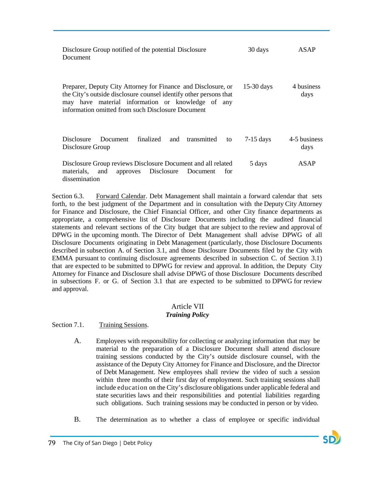| Disclosure Group notified of the potential Disclosure<br>Document                                                                                                                                                                            | 30 days      | ASAP                 |
|----------------------------------------------------------------------------------------------------------------------------------------------------------------------------------------------------------------------------------------------|--------------|----------------------|
| Preparer, Deputy City Attorney for Finance and Disclosure, or<br>the City's outside disclosure counsel identify other persons that<br>may have material information or knowledge of any<br>information omitted from such Disclosure Document | $15-30$ days | 4 business<br>days   |
| finalized<br><b>Disclosure</b><br>Document<br>and<br>transmitted<br>to<br>Disclosure Group                                                                                                                                                   | $7-15$ days  | 4-5 business<br>days |
| Disclosure Group reviews Disclosure Document and all related<br>approves Disclosure<br>materials,<br>and<br>Document<br>tor<br>dissemination                                                                                                 | 5 days       | ASAP                 |

Section 6.3. Forward Calendar. Debt Management shall maintain a forward calendar that sets forth, to the best judgment of the Department and in consultation with the Deputy City Attorney for Finance and Disclosure, the Chief Financial Officer, and other City finance departments as appropriate, a comprehensive list of Disclosure Documents including the audited financial statements and relevant sections of the City budget that are subject to the review and approval of DPWG in the upcoming month. The Director of Debt Management shall advise DPWG of all Disclosure Documents originating in Debt Management (particularly, those Disclosure Documents described in subsection A. of Section 3.1, and those Disclosure Documents filed by the City with EMMA pursuant to continuing disclosure agreements described in subsection C. of Section 3.1) that are expected to be submitted to DPWG for review and approval. In addition, the Deputy City Attorney for Finance and Disclosure shall advise DPWG of those Disclosure Documents described in subsections F. or G. of Section 3.1 that are expected to be submitted to DPWG for review and approval.

### Article VII *Training Policy*

Section 7.1. Training Sessions.

- A. Employees with responsibility for collecting or analyzing information that may be material to the preparation of a Disclosure Document shall attend disclosure training sessions conducted by the City's outside disclosure counsel, with the assistance of the Deputy City Attorney for Finance and Disclosure, and the Director of Debt Management. New employees shall review the video of such a session within three months of their first day of employment. Such training sessions shall include education on the City's disclosure obligations under applicable federal and state securities laws and their responsibilities and potential liabilities regarding such obligations. Such training sessions may be conducted in person or by video.
- B. The determination as to whether a class of employee or specific individual

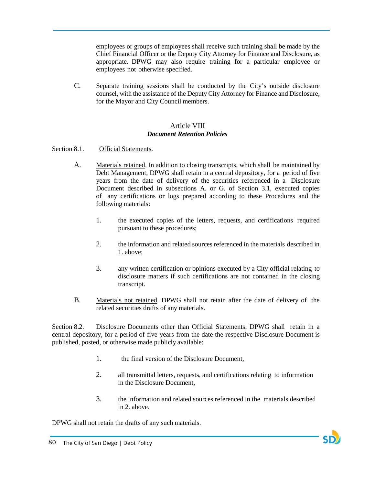employees or groups of employees shall receive such training shall be made by the Chief Financial Officer or the Deputy City Attorney for Finance and Disclosure, as appropriate. DPWG may also require training for a particular employee or employees not otherwise specified.

C. Separate training sessions shall be conducted by the City's outside disclosure counsel, with the assistance of the Deputy City Attorney for Finance and Disclosure, for the Mayor and City Council members.

### Article VIII *Document Retention Policies*

- Section 8.1. Official Statements.
	- A. Materials retained. In addition to closing transcripts, which shall be maintained by Debt Management, DPWG shall retain in a central depository, for a period of five years from the date of delivery of the securities referenced in a Disclosure Document described in subsections A. or G. of Section 3.1, executed copies of any certifications or logs prepared according to these Procedures and the following materials:
		- 1. the executed copies of the letters, requests, and certifications required pursuant to these procedures;
		- 2. the information and related sources referenced in the materials described in 1. above;
		- 3. any written certification or opinions executed by a City official relating to disclosure matters if such certifications are not contained in the closing transcript.
	- B. Materials not retained. DPWG shall not retain after the date of delivery of the related securities drafts of any materials.

Section 8.2. Disclosure Documents other than Official Statements. DPWG shall retain in a central depository, for a period of five years from the date the respective Disclosure Document is published, posted, or otherwise made publicly available:

- 1. the final version of the Disclosure Document,
- 2. all transmittal letters, requests, and certifications relating to information in the Disclosure Document,
- 3. the information and related sources referenced in the materials described in 2. above.

DPWG shall not retain the drafts of any such materials.

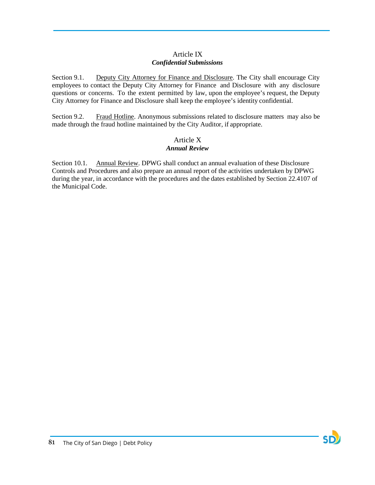# Article IX *Confidential Submissions*

Section 9.1. Deputy City Attorney for Finance and Disclosure. The City shall encourage City employees to contact the Deputy City Attorney for Finance and Disclosure with any disclosure questions or concerns. To the extent permitted by law, upon the employee's request, the Deputy City Attorney for Finance and Disclosure shall keep the employee's identity confidential.

Section 9.2. Fraud Hotline. Anonymous submissions related to disclosure matters may also be made through the fraud hotline maintained by the City Auditor, if appropriate.

## Article X *Annual Review*

Section 10.1. Annual Review. DPWG shall conduct an annual evaluation of these Disclosure Controls and Procedures and also prepare an annual report of the activities undertaken by DPWG during the year, in accordance with the procedures and the dates established by Section 22.4107 of the Municipal Code.

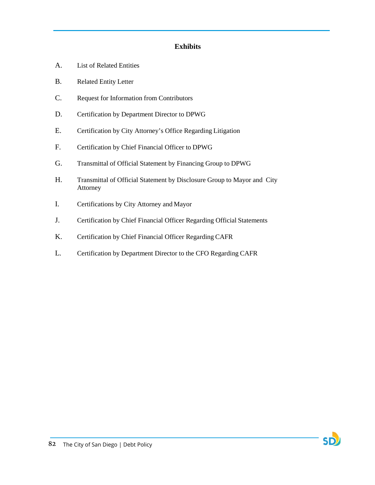# **Exhibits**

- A. List of Related Entities
- B. Related Entity Letter
- C. Request for Information from Contributors
- D. Certification by Department Director to DPWG
- E. Certification by City Attorney's Office Regarding Litigation
- F. Certification by Chief Financial Officer to DPWG
- G. Transmittal of Official Statement by Financing Group to DPWG
- H. Transmittal of Official Statement by Disclosure Group to Mayor and City Attorney
- I. Certifications by City Attorney and Mayor
- J. Certification by Chief Financial Officer Regarding Official Statements
- K. Certification by Chief Financial Officer Regarding CAFR
- L. Certification by Department Director to the CFO Regarding CAFR

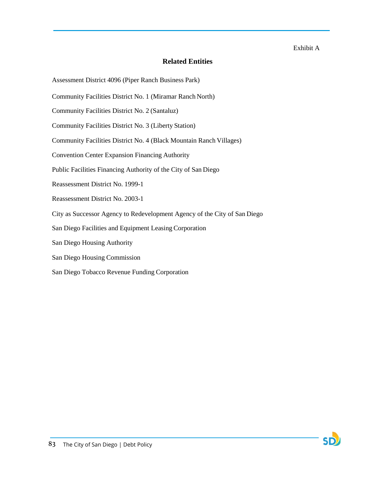### Exhibit A

SD

# **Related Entities**

Assessment District 4096 (Piper Ranch Business Park)

- Community Facilities District No. 1 (Miramar Ranch North)
- Community Facilities District No. 2 (Santaluz)
- Community Facilities District No. 3 (Liberty Station)
- Community Facilities District No. 4 (Black Mountain Ranch Villages)
- Convention Center Expansion Financing Authority
- Public Facilities Financing Authority of the City of San Diego
- Reassessment District No. 1999-1
- Reassessment District No. 2003-1
- City as Successor Agency to Redevelopment Agency of the City of San Diego
- San Diego Facilities and Equipment Leasing Corporation
- San Diego Housing Authority
- San Diego Housing Commission
- San Diego Tobacco Revenue Funding Corporation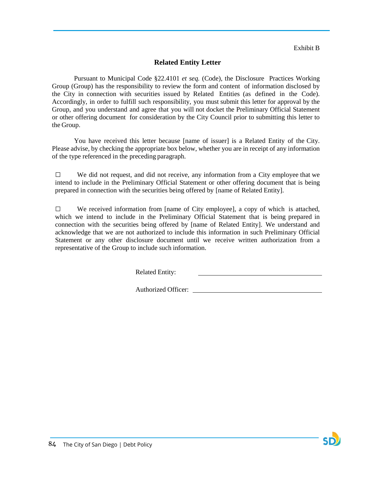Exhibit B

# **Related Entity Letter**

Pursuant to Municipal Code §22.4101 *et seq.* (Code), the Disclosure Practices Working Group (Group) has the responsibility to review the form and content of information disclosed by the City in connection with securities issued by Related Entities (as defined in the Code). Accordingly, in order to fulfill such responsibility, you must submit this letter for approval by the Group, and you understand and agree that you will not docket the Preliminary Official Statement or other offering document for consideration by the City Council prior to submitting this letter to the Group.

You have received this letter because [name of issuer] is a Related Entity of the City. Please advise, by checking the appropriate box below, whether you are in receipt of any information of the type referenced in the preceding paragraph.

□ We did not request, and did not receive, any information from <sup>a</sup> City employee that we intend to include in the Preliminary Official Statement or other offering document that is being prepared in connection with the securities being offered by [name of Related Entity].

□ We received information from [name of City employee], a copy of which is attached, which we intend to include in the Preliminary Official Statement that is being prepared in connection with the securities being offered by [name of Related Entity]. We understand and acknowledge that we are not authorized to include this information in such Preliminary Official Statement or any other disclosure document until we receive written authorization from a representative of the Group to include such information.

Related Entity:

Authorized Officer:

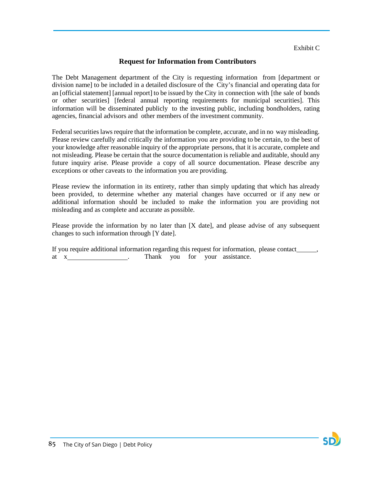# **Request for Information from Contributors**

The Debt Management department of the City is requesting information from [department or division name] to be included in a detailed disclosure of the City's financial and operating data for an [official statement] [annual report] to be issued by the City in connection with [the sale of bonds or other securities] [federal annual reporting requirements for municipal securities]. This information will be disseminated publicly to the investing public, including bondholders, rating agencies, financial advisors and other members of the investment community.

Federal securities laws require that the information be complete, accurate, and in no way misleading. Please review carefully and critically the information you are providing to be certain, to the best of your knowledge after reasonable inquiry of the appropriate persons, that it is accurate, complete and not misleading. Please be certain that the source documentation is reliable and auditable, should any future inquiry arise. Please provide a copy of all source documentation. Please describe any exceptions or other caveats to the information you are providing.

Please review the information in its entirety, rather than simply updating that which has already been provided, to determine whether any material changes have occurred or if any new or additional information should be included to make the information you are providing not misleading and as complete and accurate as possible.

Please provide the information by no later than [X date], and please advise of any subsequent changes to such information through [Y date].

If you require additional information regarding this request for information, please contact  $\qquad \qquad$ at x . Thank you for your assistance.

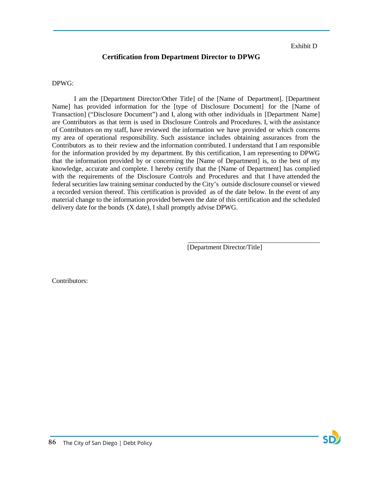SD

# **Certification from Department Director to DPWG**

DPWG:

I am the [Department Director/Other Title] of the [Name of Department]. [Department Name] has provided information for the [type of Disclosure Document] for the [Name of Transaction] ("Disclosure Document") and I, along with other individuals in [Department Name] are Contributors as that term is used in Disclosure Controls and Procedures. I, with the assistance of Contributors on my staff, have reviewed the information we have provided or which concerns my area of operational responsibility. Such assistance includes obtaining assurances from the Contributors as to their review and the information contributed. I understand that I am responsible for the information provided by my department. By this certification, I am representing to DPWG that the information provided by or concerning the [Name of Department] is, to the best of my knowledge, accurate and complete. I hereby certify that the [Name of Department] has complied with the requirements of the Disclosure Controls and Procedures and that I have attended the federal securities law training seminar conducted by the City's outside disclosure counsel or viewed a recorded version thereof. This certification is provided as of the date below. In the event of any material change to the information provided between the date of this certification and the scheduled delivery date for the bonds (X date), I shall promptly advise DPWG.

[Department Director/Title]

Contributors: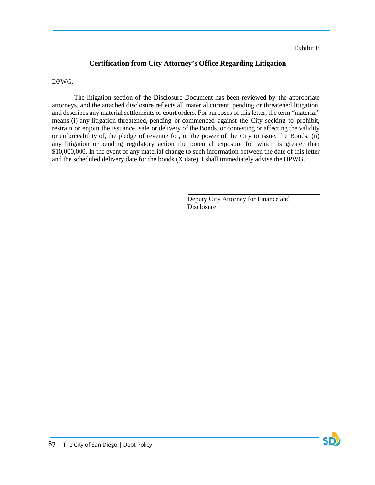### Exhibit E

# **Certification from City Attorney's Office Regarding Litigation**

### DPWG:

The litigation section of the Disclosure Document has been reviewed by the appropriate attorneys, and the attached disclosure reflects all material current, pending or threatened litigation, and describes any material settlements or court orders. For purposes of this letter, the term "material" means (i) any litigation threatened, pending or commenced against the City seeking to prohibit, restrain or enjoin the issuance, sale or delivery of the Bonds, or contesting or affecting the validity or enforceability of, the pledge of revenue for, or the power of the City to issue, the Bonds, (ii) any litigation or pending regulatory action the potential exposure for which is greater than \$10,000,000. In the event of any material change to such information between the date of this letter and the scheduled delivery date for the bonds (X date), I shall immediately advise the DPWG.

> Deputy City Attorney for Finance and Disclosure

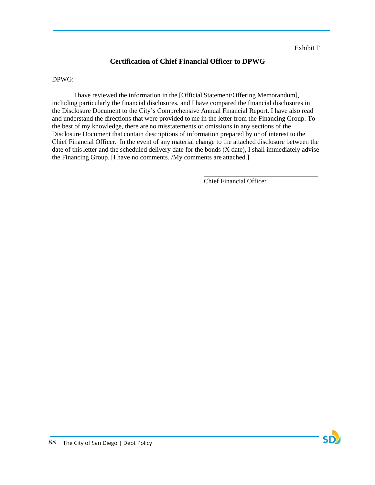# **Certification of Chief Financial Officer to DPWG**

DPWG:

I have reviewed the information in the [Official Statement/Offering Memorandum], including particularly the financial disclosures, and I have compared the financial disclosures in the Disclosure Document to the City's Comprehensive Annual Financial Report. I have also read and understand the directions that were provided to me in the letter from the Financing Group. To the best of my knowledge, there are no misstatements or omissions in any sections of the Disclosure Document that contain descriptions of information prepared by or of interest to the Chief Financial Officer. In the event of any material change to the attached disclosure between the date of thisletter and the scheduled delivery date for the bonds (X date), I shall immediately advise the Financing Group. [I have no comments. /My comments are attached.]

Chief Financial Officer

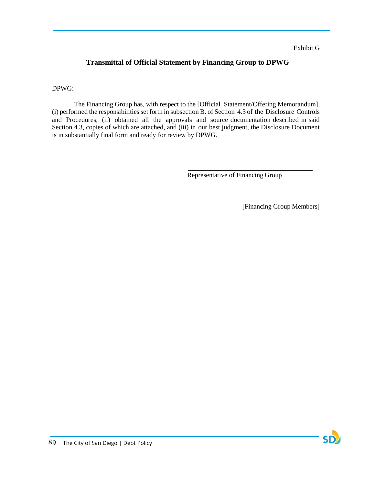### Exhibit G

# **Transmittal of Official Statement by Financing Group to DPWG**

### DPWG:

The Financing Group has, with respect to the [Official Statement/Offering Memorandum], (i) performed the responsibilities set forth in subsection B. of Section 4.3 of the Disclosure Controls and Procedures, (ii) obtained all the approvals and source documentation described in said Section 4.3, copies of which are attached, and (iii) in our best judgment, the Disclosure Document is in substantially final form and ready for review by DPWG.

Representative of Financing Group

[Financing Group Members]

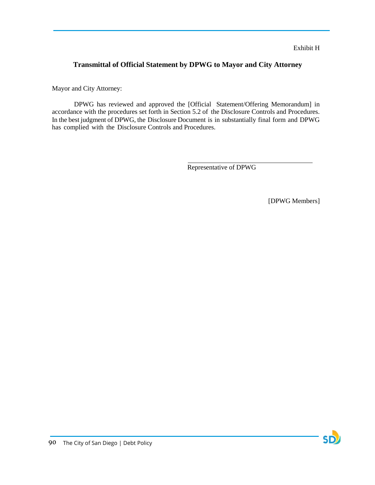# **Transmittal of Official Statement by DPWG to Mayor and City Attorney**

Mayor and City Attorney:

DPWG has reviewed and approved the [Official Statement/Offering Memorandum] in accordance with the procedures set forth in Section 5.2 of the Disclosure Controls and Procedures. In the best judgment of DPWG, the Disclosure Document is in substantially final form and DPWG has complied with the Disclosure Controls and Procedures.

Representative of DPWG

[DPWG Members]

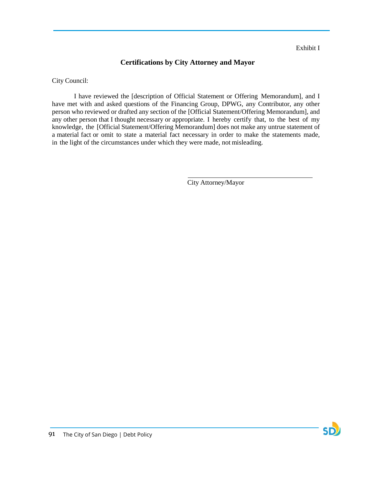Exhibit I

# **Certifications by City Attorney and Mayor**

City Council:

I have reviewed the [description of Official Statement or Offering Memorandum], and I have met with and asked questions of the Financing Group, DPWG, any Contributor, any other person who reviewed or drafted any section of the [Official Statement/Offering Memorandum], and any other person that I thought necessary or appropriate. I hereby certify that, to the best of my knowledge, the [Official Statement/Offering Memorandum] does not make any untrue statement of a material fact or omit to state a material fact necessary in order to make the statements made, in the light of the circumstances under which they were made, not misleading.

City Attorney/Mayor

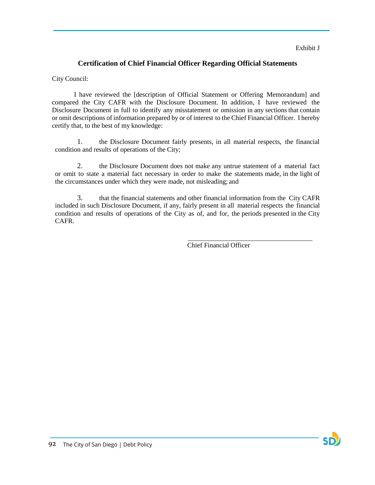### Exhibit J

# **Certification of Chief Financial Officer Regarding Official Statements**

City Council:

I have reviewed the [description of Official Statement or Offering Memorandum] and compared the City CAFR with the Disclosure Document. In addition, I have reviewed the Disclosure Document in full to identify any misstatement or omission in any sections that contain or omit descriptions of information prepared by or of interest to the Chief Financial Officer. I hereby certify that, to the best of my knowledge:

1. the Disclosure Document fairly presents, in all material respects, the financial condition and results of operations of the City;

2. the Disclosure Document does not make any untrue statement of a material fact or omit to state a material fact necessary in order to make the statements made, in the light of the circumstances under which they were made, not misleading; and

3. that the financial statements and other financial information from the City CAFR included in such Disclosure Document, if any, fairly present in all material respects the financial condition and results of operations of the City as of, and for, the periods presented in the City CAFR.

Chief Financial Officer

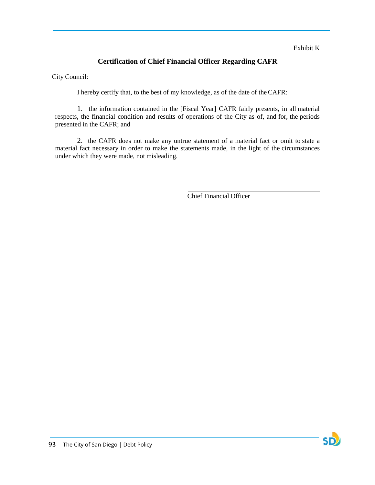Exhibit K

# **Certification of Chief Financial Officer Regarding CAFR**

City Council:

I hereby certify that, to the best of my knowledge, as of the date of theCAFR:

1. the information contained in the [Fiscal Year] CAFR fairly presents, in all material respects, the financial condition and results of operations of the City as of, and for, the periods presented in the CAFR; and

2. the CAFR does not make any untrue statement of a material fact or omit to state a material fact necessary in order to make the statements made, in the light of the circumstances under which they were made, not misleading.

Chief Financial Officer

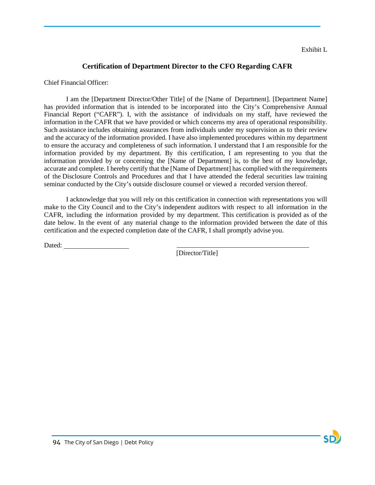# **Certification of Department Director to the CFO Regarding CAFR**

Chief Financial Officer:

I am the [Department Director/Other Title] of the [Name of Department]. [Department Name] has provided information that is intended to be incorporated into the City's Comprehensive Annual Financial Report ("CAFR"). I, with the assistance of individuals on my staff, have reviewed the information in the CAFR that we have provided or which concerns my area of operational responsibility. Such assistance includes obtaining assurances from individuals under my supervision as to their review and the accuracy of the information provided. I have also implemented procedures within my department to ensure the accuracy and completeness of such information. I understand that I am responsible for the information provided by my department. By this certification, I am representing to you that the information provided by or concerning the [Name of Department] is, to the best of my knowledge, accurate and complete. I hereby certify that the [Name of Department] has complied with the requirements of the Disclosure Controls and Procedures and that I have attended the federal securities law training seminar conducted by the City's outside disclosure counsel or viewed a recorded version thereof.

I acknowledge that you will rely on this certification in connection with representations you will make to the City Council and to the City's independent auditors with respect to all information in the CAFR, including the information provided by my department. This certification is provided as of the date below. In the event of any material change to the information provided between the date of this certification and the expected completion date of the CAFR, I shall promptly advise you.

Dated:

[Director/Title]

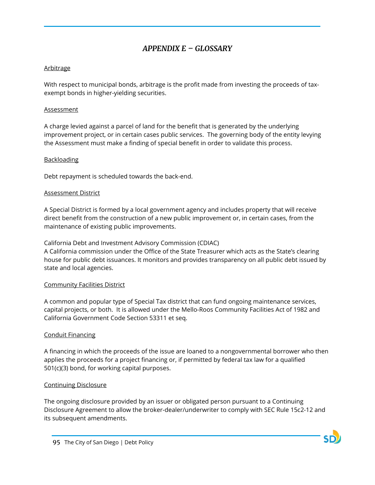# *APPENDIX E – GLOSSARY*

## Arbitrage

With respect to municipal bonds, arbitrage is the profit made from investing the proceeds of taxexempt bonds in higher-yielding securities.

### Assessment

A charge levied against a parcel of land for the benefit that is generated by the underlying improvement project, or in certain cases public services. The governing body of the entity levying the Assessment must make a finding of special benefit in order to validate this process.

# Backloading

Debt repayment is scheduled towards the back-end.

# Assessment District

A Special District is formed by a local government agency and includes property that will receive direct benefit from the construction of a new public improvement or, in certain cases, from the maintenance of existing public improvements.

California Debt and Investment Advisory Commission (CDIAC)

A California commission under the Office of the State Treasurer which acts as the State's clearing house for public debt issuances. It monitors and provides transparency on all public debt issued by state and local agencies.

### Community Facilities District

A common and popular type of Special Tax district that can fund ongoing maintenance services, capital projects, or both. It is allowed under the Mello-Roos Community Facilities Act of 1982 and California Government Code Section 53311 et seq.

# Conduit Financing

A financing in which the proceeds of the issue are loaned to a nongovernmental borrower who then applies the proceeds for a project financing or, if permitted by federal tax law for a qualified 501(c)(3) bond, for working capital purposes.

### Continuing Disclosure

The ongoing disclosure provided by an issuer or obligated person pursuant to a Continuing Disclosure Agreement to allow the broker-dealer/underwriter to comply with SEC Rule 15c2-12 and its subsequent amendments.

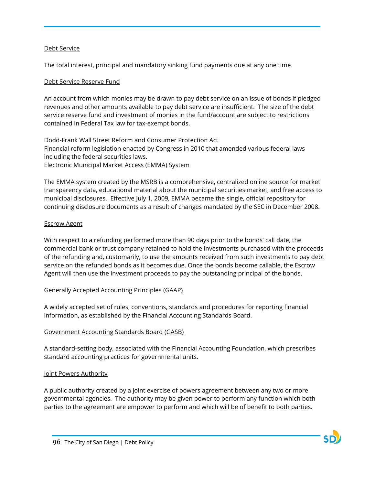### Debt Service

The total interest, principal and mandatory sinking fund payments due at any one time.

### Debt Service Reserve Fund

An account from which monies may be drawn to pay debt service on an issue of bonds if pledged revenues and other amounts available to pay debt service are insufficient. The size of the debt service reserve fund and investment of monies in the fund/account are subject to restrictions contained in Federal Tax law for tax-exempt bonds.

Dodd-Frank Wall Street Reform and Consumer Protection Act Financial reform legislation enacted by Congress in 2010 that amended various federal laws including the federal securities laws**.** Electronic Municipal Market Access (EMMA) System

The EMMA system created by the MSRB is a comprehensive, centralized online source for market transparency data, educational material about the municipal securities market, and free access to municipal disclosures. Effective July 1, 2009, EMMA became the single, official repository for continuing disclosure documents as a result of changes mandated by the SEC in December 2008.

### Escrow Agent

With respect to a refunding performed more than 90 days prior to the bonds' call date, the commercial bank or trust company retained to hold the investments purchased with the proceeds of the refunding and, customarily, to use the amounts received from such investments to pay debt service on the refunded bonds as it becomes due. Once the bonds become callable, the Escrow Agent will then use the investment proceeds to pay the outstanding principal of the bonds.

### Generally Accepted Accounting Principles (GAAP)

A widely accepted set of rules, conventions, standards and procedures for reporting financial information, as established by the Financial Accounting Standards Board.

### Government Accounting Standards Board (GASB)

A standard-setting body, associated with the Financial Accounting Foundation, which prescribes standard accounting practices for governmental units.

### Joint Powers Authority

A public authority created by a joint exercise of powers agreement between any two or more governmental agencies. The authority may be given power to perform any function which both parties to the agreement are empower to perform and which will be of benefit to both parties.

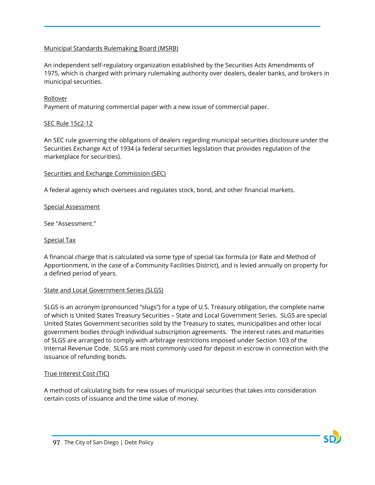## Municipal Standards Rulemaking Board (MSRB)

An independent self-regulatory organization established by the Securities Acts Amendments of 1975, which is charged with primary rulemaking authority over dealers, dealer banks, and brokers in municipal securities.

### Rollover

Payment of maturing commercial paper with a new issue of commercial paper.

### SEC Rule 15c2-12

An SEC rule governing the obligations of dealers regarding municipal securities disclosure under the Securities Exchange Act of 1934 (a federal securities legislation that provides regulation of the marketplace for securities).

### Securities and Exchange Commission (SEC)

A federal agency which oversees and regulates stock, bond, and other financial markets.

### Special Assessment

See "Assessment."

### Special Tax

A financial charge that is calculated via some type of special tax formula (or Rate and Method of Apportionment, in the case of a Community Facilities District), and is levied annually on property for a defined period of years.

### State and Local Government Series (SLGS)

SLGS is an acronym (pronounced "slugs") for a type of U.S. Treasury obligation, the complete name of which is United States Treasury Securities – State and Local Government Series. SLGS are special United States Government securities sold by the Treasury to states, municipalities and other local government bodies through individual subscription agreements. The interest rates and maturities of SLGS are arranged to comply with arbitrage restrictions imposed under Section 103 of the Internal Revenue Code. SLGS are most commonly used for deposit in escrow in connection with the issuance of refunding bonds.

### True Interest Cost (TIC)

A method of calculating bids for new issues of municipal securities that takes into consideration certain costs of issuance and the time value of money.